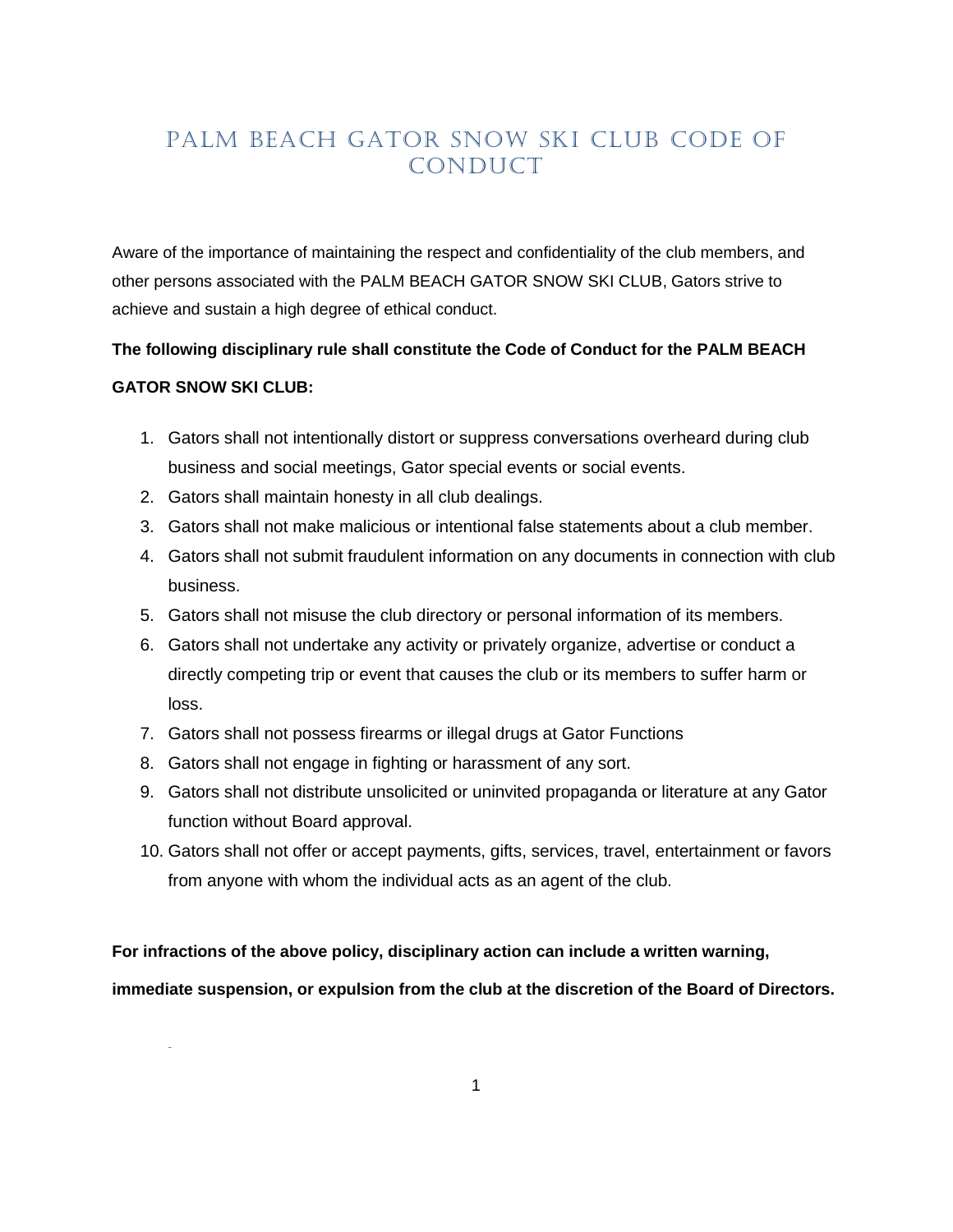# <span id="page-0-0"></span>PALM BEACH GATOR SNOW SKI CLUB CODE OF CONDUCT

Aware of the importance of maintaining the respect and confidentiality of the club members, and other persons associated with the PALM BEACH GATOR SNOW SKI CLUB, Gators strive to achieve and sustain a high degree of ethical conduct.

# **The following disciplinary rule shall constitute the Code of Conduct for the PALM BEACH GATOR SNOW SKI CLUB:**

- 1. Gators shall not intentionally distort or suppress conversations overheard during club business and social meetings, Gator special events or social events.
- 2. Gators shall maintain honesty in all club dealings.
- 3. Gators shall not make malicious or intentional false statements about a club member.
- 4. Gators shall not submit fraudulent information on any documents in connection with club business.
- 5. Gators shall not misuse the club directory or personal information of its members.
- 6. Gators shall not undertake any activity or privately organize, advertise or conduct a directly competing trip or event that causes the club or its members to suffer harm or loss.
- 7. Gators shall not possess firearms or illegal drugs at Gator Functions
- 8. Gators shall not engage in fighting or harassment of any sort.

~

- 9. Gators shall not distribute unsolicited or uninvited propaganda or literature at any Gator function without Board approval.
- 10. Gators shall not offer or accept payments, gifts, services, travel, entertainment or favors from anyone with whom the individual acts as an agent of the club.

**For infractions of the above policy, disciplinary action can include a written warning,** 

**immediate suspension, or expulsion from the club at the discretion of the Board of Directors.**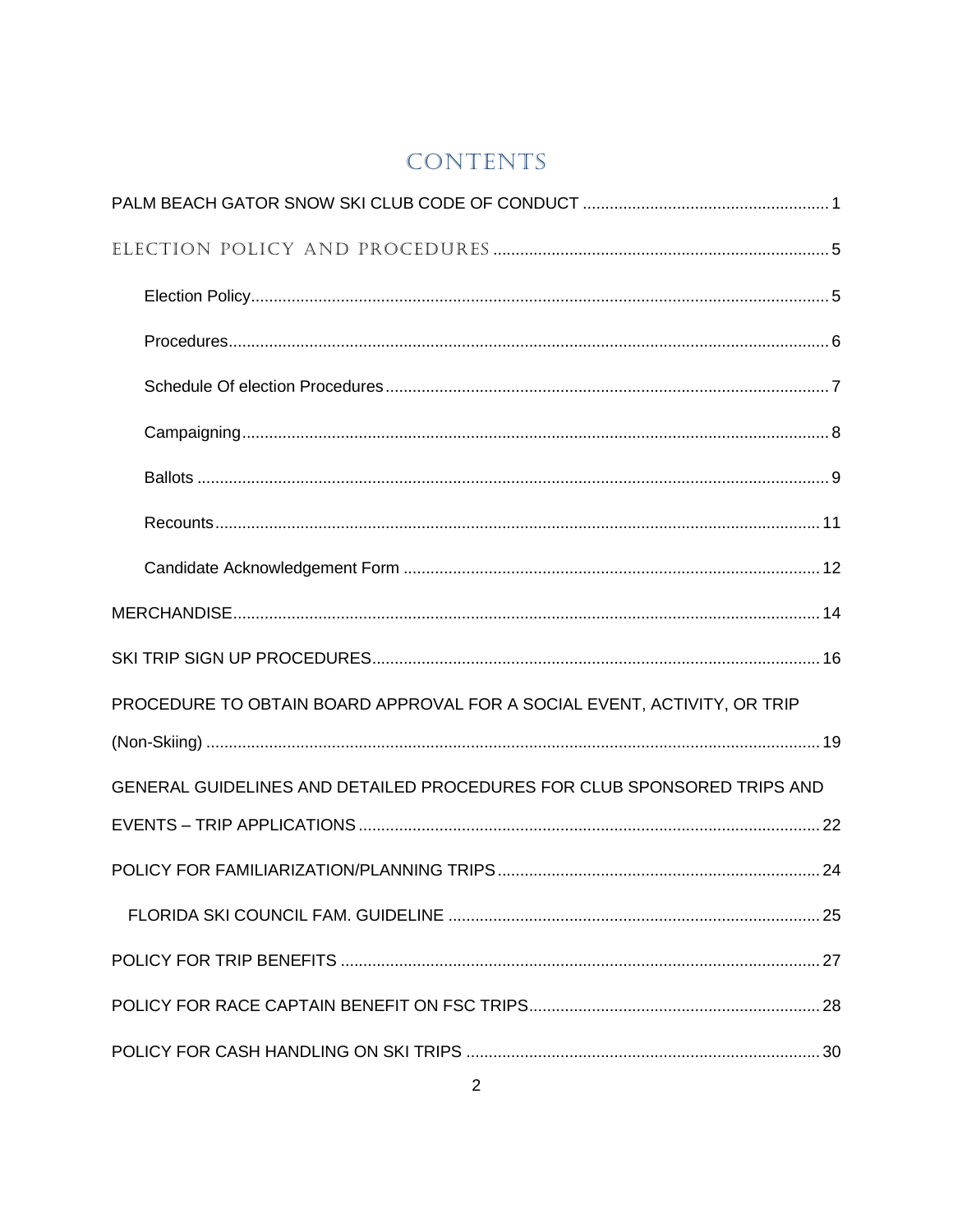# CONTENTS

| PROCEDURE TO OBTAIN BOARD APPROVAL FOR A SOCIAL EVENT, ACTIVITY, OR TRIP |  |
|--------------------------------------------------------------------------|--|
|                                                                          |  |
| GENERAL GUIDELINES AND DETAILED PROCEDURES FOR CLUB SPONSORED TRIPS AND  |  |
|                                                                          |  |
|                                                                          |  |
|                                                                          |  |
|                                                                          |  |
|                                                                          |  |
|                                                                          |  |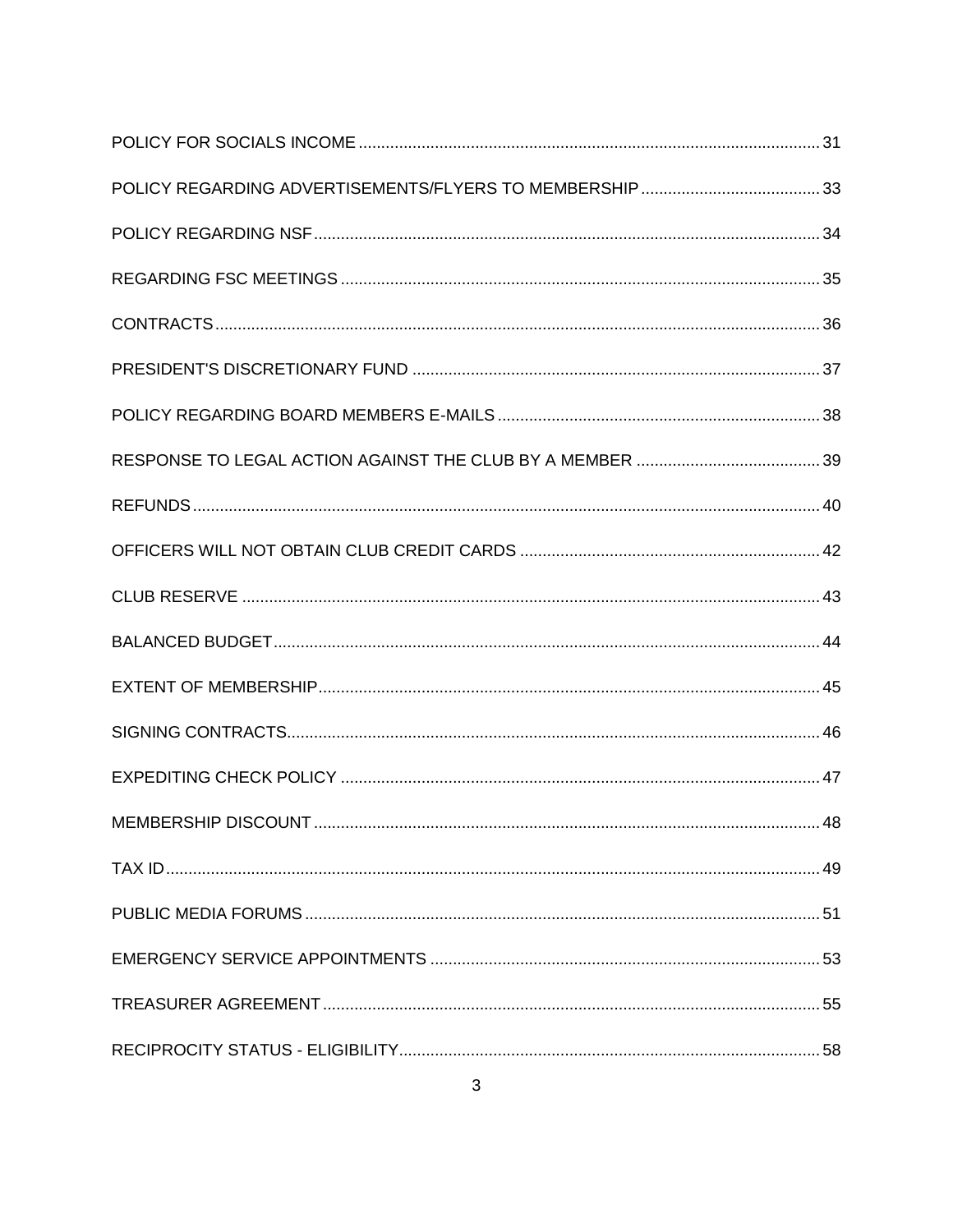| .48 |
|-----|
|     |
|     |
|     |
|     |
|     |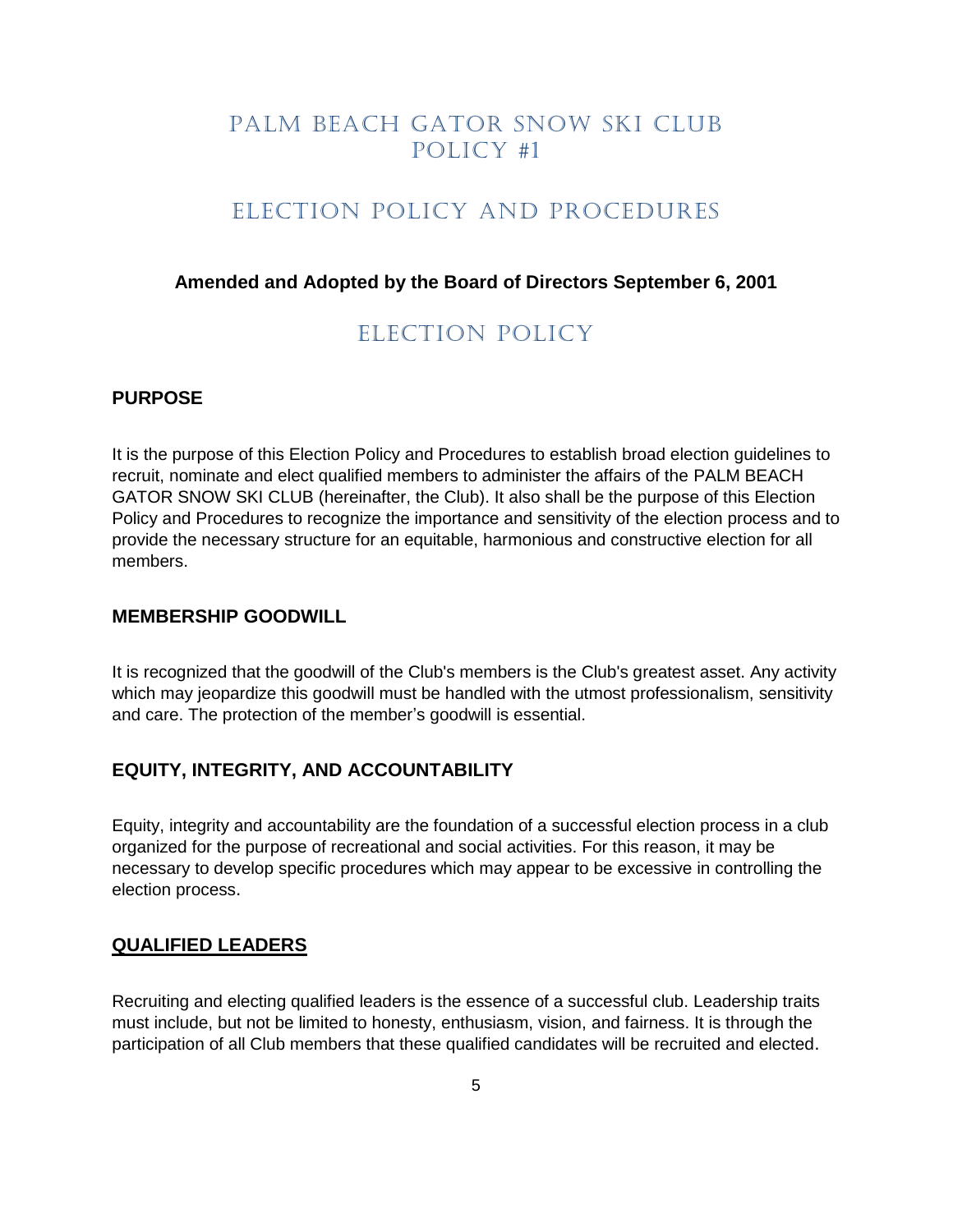### PALM BEACH GATOR SNOW SKI CLUB Policy #1

#### ELECTION POLICY AND PROCEDURES

#### <span id="page-4-1"></span><span id="page-4-0"></span>**Amended and Adopted by the Board of Directors September 6, 2001**

### Election Policy

#### **PURPOSE**

It is the purpose of this Election Policy and Procedures to establish broad election guidelines to recruit, nominate and elect qualified members to administer the affairs of the PALM BEACH GATOR SNOW SKI CLUB (hereinafter, the Club). It also shall be the purpose of this Election Policy and Procedures to recognize the importance and sensitivity of the election process and to provide the necessary structure for an equitable, harmonious and constructive election for all members.

#### **MEMBERSHIP GOODWILL**

It is recognized that the goodwill of the Club's members is the Club's greatest asset. Any activity which may jeopardize this goodwill must be handled with the utmost professionalism, sensitivity and care. The protection of the member's goodwill is essential.

#### **EQUITY, INTEGRITY, AND ACCOUNTABILITY**

Equity, integrity and accountability are the foundation of a successful election process in a club organized for the purpose of recreational and social activities. For this reason, it may be necessary to develop specific procedures which may appear to be excessive in controlling the election process.

#### **QUALIFIED LEADERS**

Recruiting and electing qualified leaders is the essence of a successful club. Leadership traits must include, but not be limited to honesty, enthusiasm, vision, and fairness. It is through the participation of all Club members that these qualified candidates will be recruited and elected.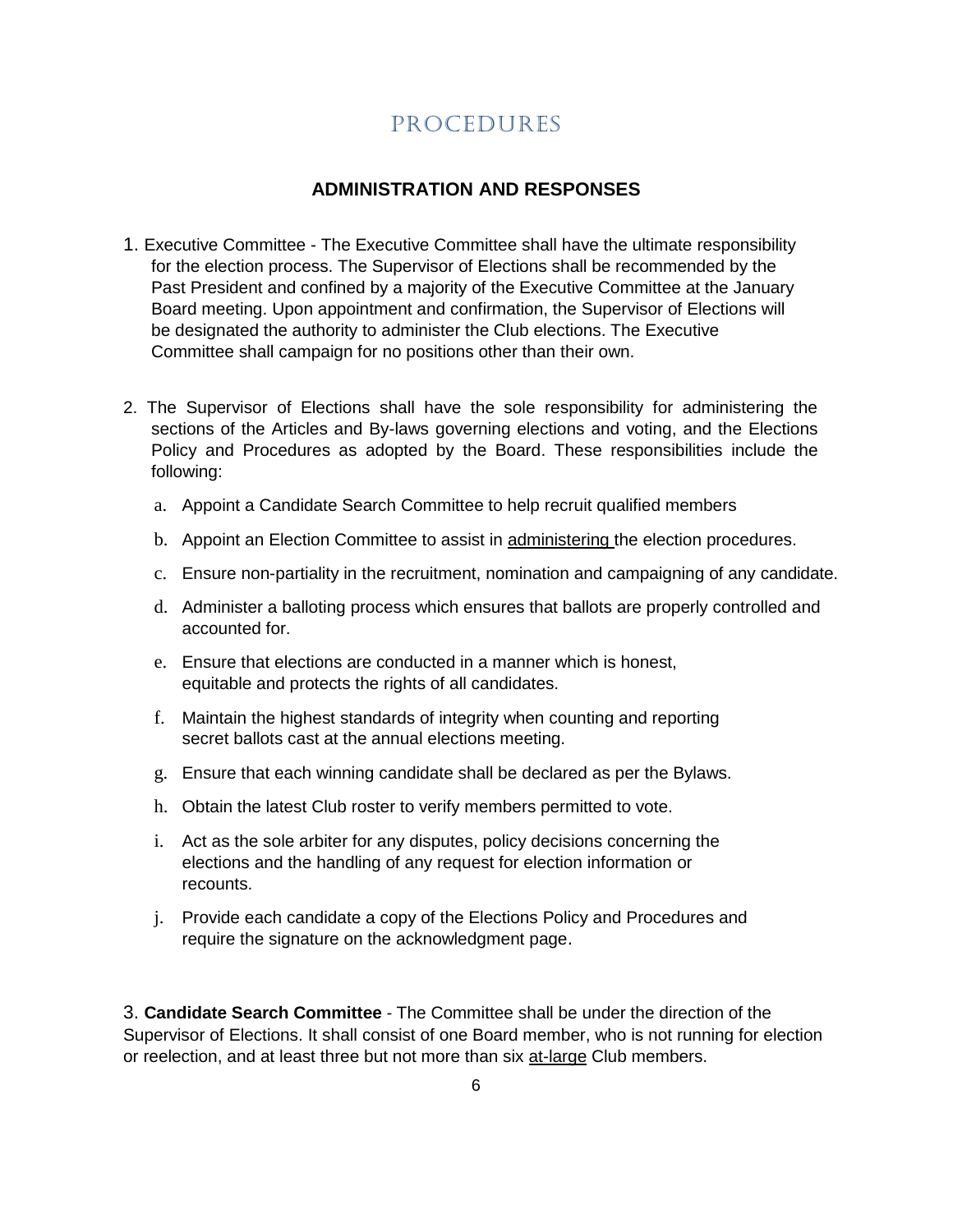# Procedures

#### **ADMINISTRATION AND RESPONSES**

- <span id="page-5-0"></span>1. Executive Committee - The Executive Committee shall have the ultimate responsibility for the election process. The Supervisor of Elections shall be recommended by the Past President and confined by a majority of the Executive Committee at the January Board meeting. Upon appointment and confirmation, the Supervisor of Elections will be designated the authority to administer the Club elections. The Executive Committee shall campaign for no positions other than their own.
- 2. The Supervisor of Elections shall have the sole responsibility for administering the sections of the Articles and By-laws governing elections and voting, and the Elections Policy and Procedures as adopted by the Board. These responsibilities include the following:
	- a. Appoint a Candidate Search Committee to help recruit qualified members
	- b. Appoint an Election Committee to assist in administering the election procedures.
	- c. Ensure non-partiality in the recruitment, nomination and campaigning of any candidate.
	- d. Administer a balloting process which ensures that ballots are properly controlled and accounted for.
	- e. Ensure that elections are conducted in a manner which is honest, equitable and protects the rights of all candidates.
	- f. Maintain the highest standards of integrity when counting and reporting secret ballots cast at the annual elections meeting.
	- g. Ensure that each winning candidate shall be declared as per the Bylaws.
	- h. Obtain the latest Club roster to verify members permitted to vote.
	- i. Act as the sole arbiter for any disputes, policy decisions concerning the elections and the handling of any request for election information or recounts.
	- j. Provide each candidate a copy of the Elections Policy and Procedures and require the signature on the acknowledgment page.

3. **Candidate Search Committee** - The Committee shall be under the direction of the Supervisor of Elections. It shall consist of one Board member, who is not running for election or reelection, and at least three but not more than six at-large Club members.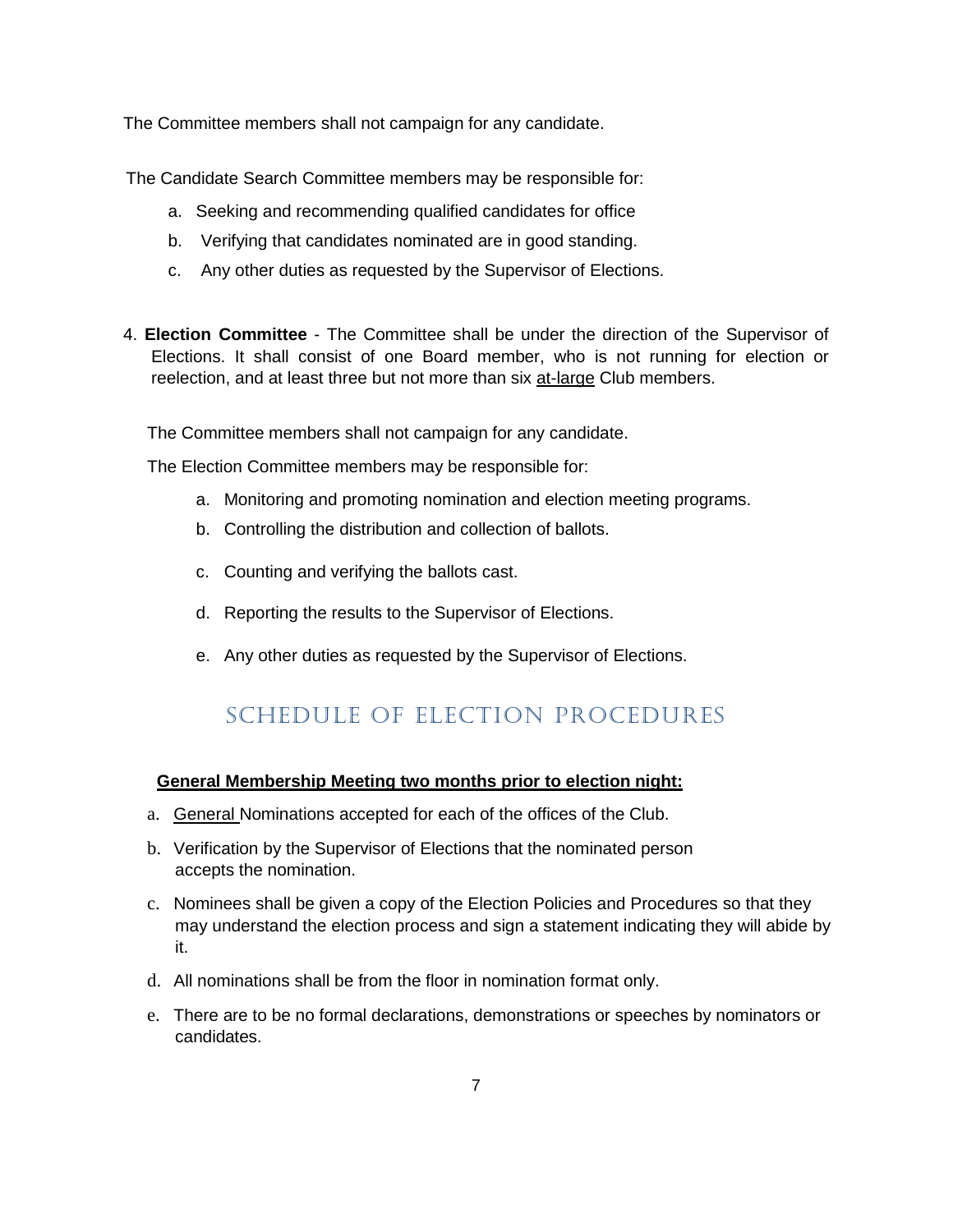The Committee members shall not campaign for any candidate.

The Candidate Search Committee members may be responsible for:

- a. Seeking and recommending qualified candidates for office
- b. Verifying that candidates nominated are in good standing.
- c. Any other duties as requested by the Supervisor of Elections.
- 4. **Election Committee** The Committee shall be under the direction of the Supervisor of Elections. It shall consist of one Board member, who is not running for election or reelection, and at least three but not more than six at-large Club members.

The Committee members shall not campaign for any candidate.

The Election Committee members may be responsible for:

- a. Monitoring and promoting nomination and election meeting programs.
- b. Controlling the distribution and collection of ballots.
- c. Counting and verifying the ballots cast.
- d. Reporting the results to the Supervisor of Elections.
- e. Any other duties as requested by the Supervisor of Elections.

# Schedule Of election Procedures

#### <span id="page-6-0"></span>**General Membership Meeting two months prior to election night:**

- a. General Nominations accepted for each of the offices of the Club.
- b. Verification by the Supervisor of Elections that the nominated person accepts the nomination.
- c. Nominees shall be given a copy of the Election Policies and Procedures so that they may understand the election process and sign a statement indicating they will abide by it.
- d. All nominations shall be from the floor in nomination format only.
- e. There are to be no formal declarations, demonstrations or speeches by nominators or candidates.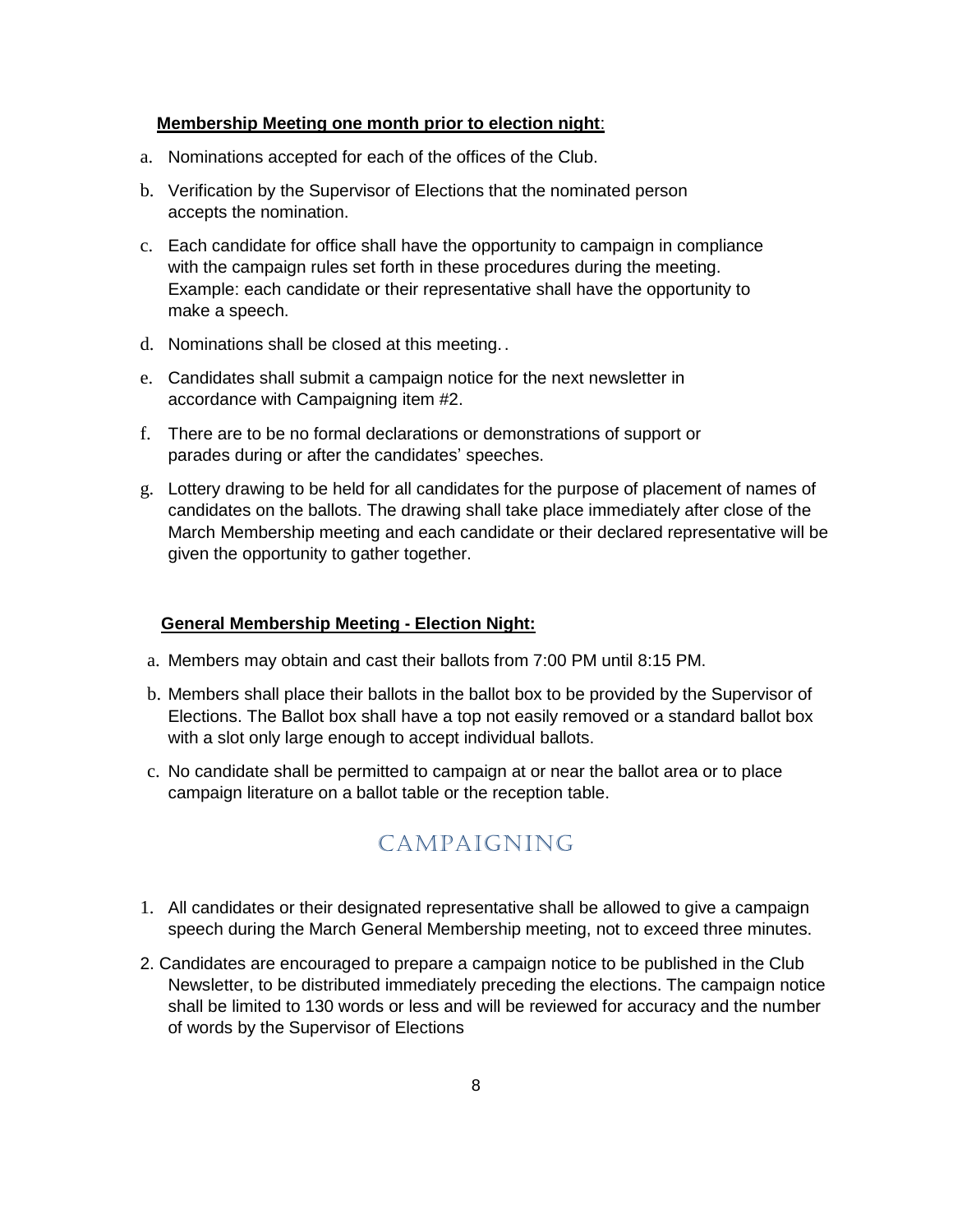#### **Membership Meeting one month prior to election night**:

- a. Nominations accepted for each of the offices of the Club.
- b. Verification by the Supervisor of Elections that the nominated person accepts the nomination.
- c. Each candidate for office shall have the opportunity to campaign in compliance with the campaign rules set forth in these procedures during the meeting. Example: each candidate or their representative shall have the opportunity to make a speech.
- d. Nominations shall be closed at this meeting..
- e. Candidates shall submit a campaign notice for the next newsletter in accordance with Campaigning item #2.
- f. There are to be no formal declarations or demonstrations of support or parades during or after the candidates' speeches.
- g. Lottery drawing to be held for all candidates for the purpose of placement of names of candidates on the ballots. The drawing shall take place immediately after close of the March Membership meeting and each candidate or their declared representative will be given the opportunity to gather together.

#### **General Membership Meeting - Election Night:**

- a. Members may obtain and cast their ballots from 7:00 PM until 8:15 PM.
- b. Members shall place their ballots in the ballot box to be provided by the Supervisor of Elections. The Ballot box shall have a top not easily removed or a standard ballot box with a slot only large enough to accept individual ballots.
- <span id="page-7-0"></span>c. No candidate shall be permitted to campaign at or near the ballot area or to place campaign literature on a ballot table or the reception table.

# Campaigning

- 1. All candidates or their designated representative shall be allowed to give a campaign speech during the March General Membership meeting, not to exceed three minutes.
- 2. Candidates are encouraged to prepare a campaign notice to be published in the Club Newsletter, to be distributed immediately preceding the elections. The campaign notice shall be limited to 130 words or less and will be reviewed for accuracy and the number of words by the Supervisor of Elections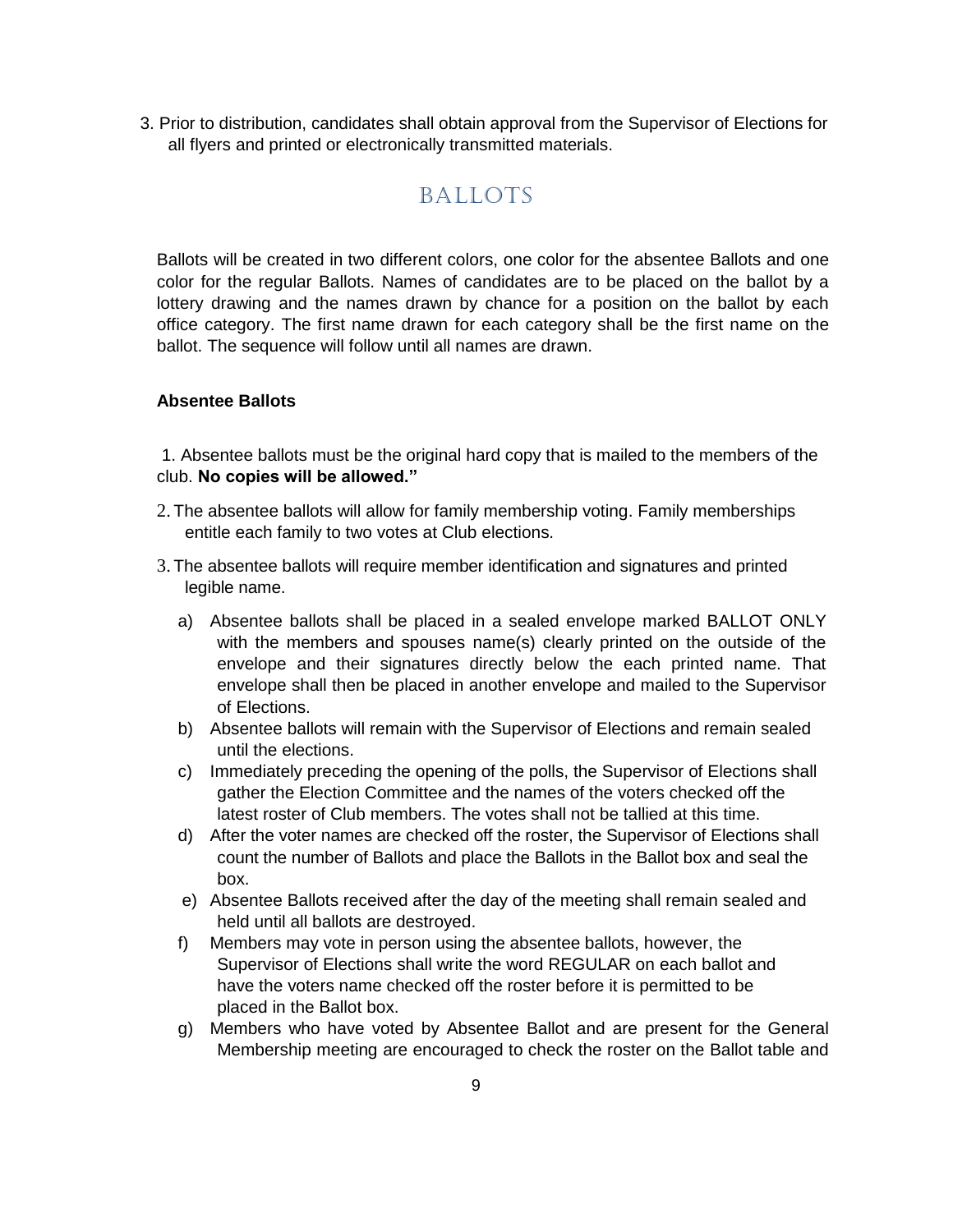<span id="page-8-0"></span>3. Prior to distribution, candidates shall obtain approval from the Supervisor of Elections for all flyers and printed or electronically transmitted materials.

### **BALLOTS**

Ballots will be created in two different colors, one color for the absentee Ballots and one color for the regular Ballots. Names of candidates are to be placed on the ballot by a lottery drawing and the names drawn by chance for a position on the ballot by each office category. The first name drawn for each category shall be the first name on the ballot. The sequence will follow until all names are drawn.

#### **Absentee Ballots**

1. Absentee ballots must be the original hard copy that is mailed to the members of the club. **No copies will be allowed."**

- 2. The absentee ballots will allow for family membership voting. Family memberships entitle each family to two votes at Club elections.
- 3. The absentee ballots will require member identification and signatures and printed legible name.
	- a) Absentee ballots shall be placed in a sealed envelope marked BALLOT ONLY with the members and spouses name(s) clearly printed on the outside of the envelope and their signatures directly below the each printed name. That envelope shall then be placed in another envelope and mailed to the Supervisor of Elections.
	- b) Absentee ballots will remain with the Supervisor of Elections and remain sealed until the elections.
	- c) Immediately preceding the opening of the polls, the Supervisor of Elections shall gather the Election Committee and the names of the voters checked off the latest roster of Club members. The votes shall not be tallied at this time.
	- d) After the voter names are checked off the roster, the Supervisor of Elections shall count the number of Ballots and place the Ballots in the Ballot box and seal the box.
	- e) Absentee Ballots received after the day of the meeting shall remain sealed and held until all ballots are destroyed.
	- f) Members may vote in person using the absentee ballots, however, the Supervisor of Elections shall write the word REGULAR on each ballot and have the voters name checked off the roster before it is permitted to be placed in the Ballot box.
	- g) Members who have voted by Absentee Ballot and are present for the General Membership meeting are encouraged to check the roster on the Ballot table and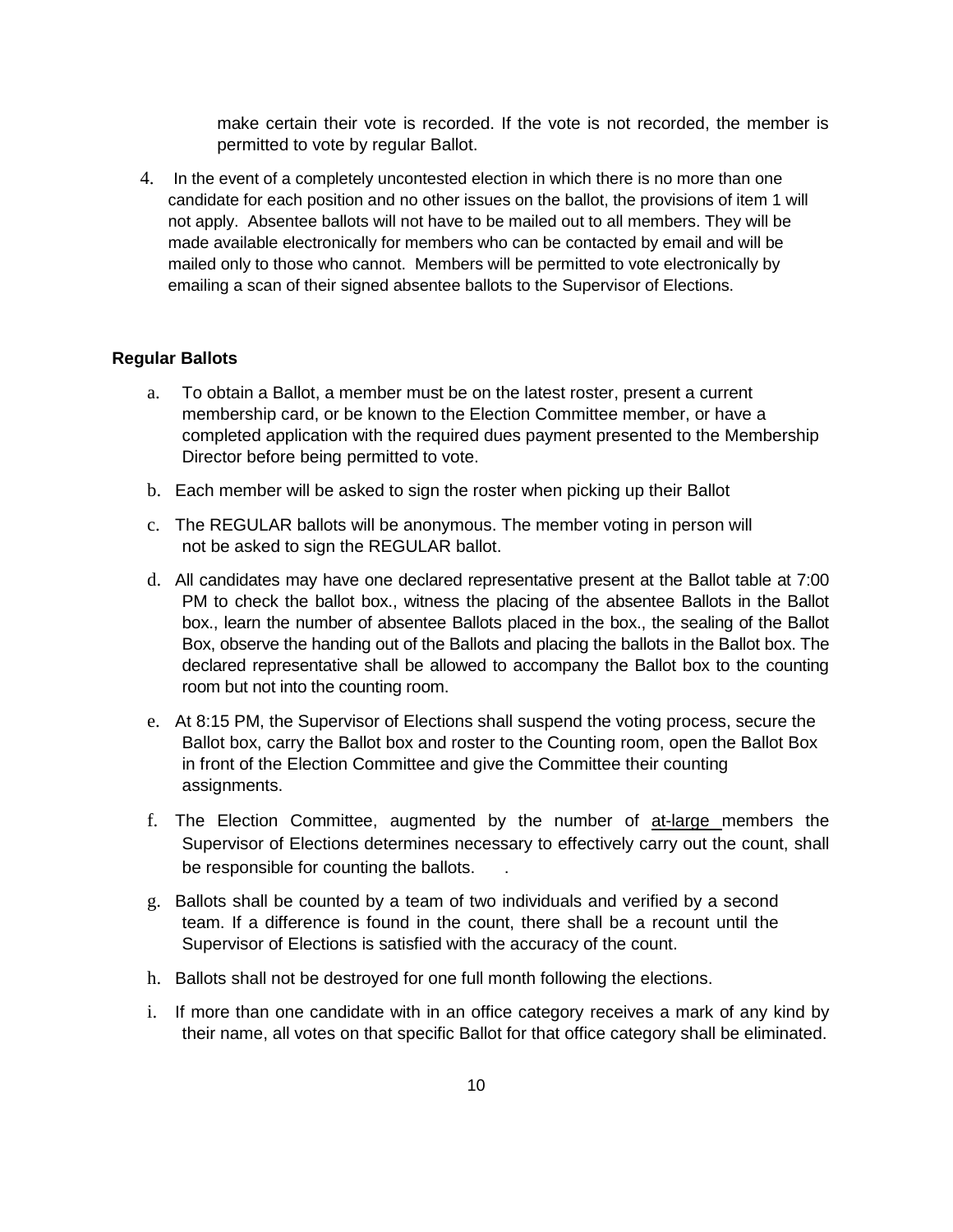make certain their vote is recorded. If the vote is not recorded, the member is permitted to vote by regular Ballot.

4. In the event of a completely uncontested election in which there is no more than one candidate for each position and no other issues on the ballot, the provisions of item 1 will not apply. Absentee ballots will not have to be mailed out to all members. They will be made available electronically for members who can be contacted by email and will be mailed only to those who cannot. Members will be permitted to vote electronically by emailing a scan of their signed absentee ballots to the Supervisor of Elections.

#### **Regular Ballots**

- a. To obtain a Ballot, a member must be on the latest roster, present a current membership card, or be known to the Election Committee member, or have a completed application with the required dues payment presented to the Membership Director before being permitted to vote.
- b. Each member will be asked to sign the roster when picking up their Ballot
- c. The REGULAR ballots will be anonymous. The member voting in person will not be asked to sign the REGULAR ballot.
- d. All candidates may have one declared representative present at the Ballot table at 7:00 PM to check the ballot box., witness the placing of the absentee Ballots in the Ballot box., learn the number of absentee Ballots placed in the box., the sealing of the Ballot Box, observe the handing out of the Ballots and placing the ballots in the Ballot box. The declared representative shall be allowed to accompany the Ballot box to the counting room but not into the counting room.
- e. At 8:15 PM, the Supervisor of Elections shall suspend the voting process, secure the Ballot box, carry the Ballot box and roster to the Counting room, open the Ballot Box in front of the Election Committee and give the Committee their counting assignments.
- f. The Election Committee, augmented by the number of at-large members the Supervisor of Elections determines necessary to effectively carry out the count, shall be responsible for counting the ballots.
- g. Ballots shall be counted by a team of two individuals and verified by a second team. If a difference is found in the count, there shall be a recount until the Supervisor of Elections is satisfied with the accuracy of the count.
- h. Ballots shall not be destroyed for one full month following the elections.
- i. If more than one candidate with in an office category receives a mark of any kind by their name, all votes on that specific Ballot for that office category shall be eliminated.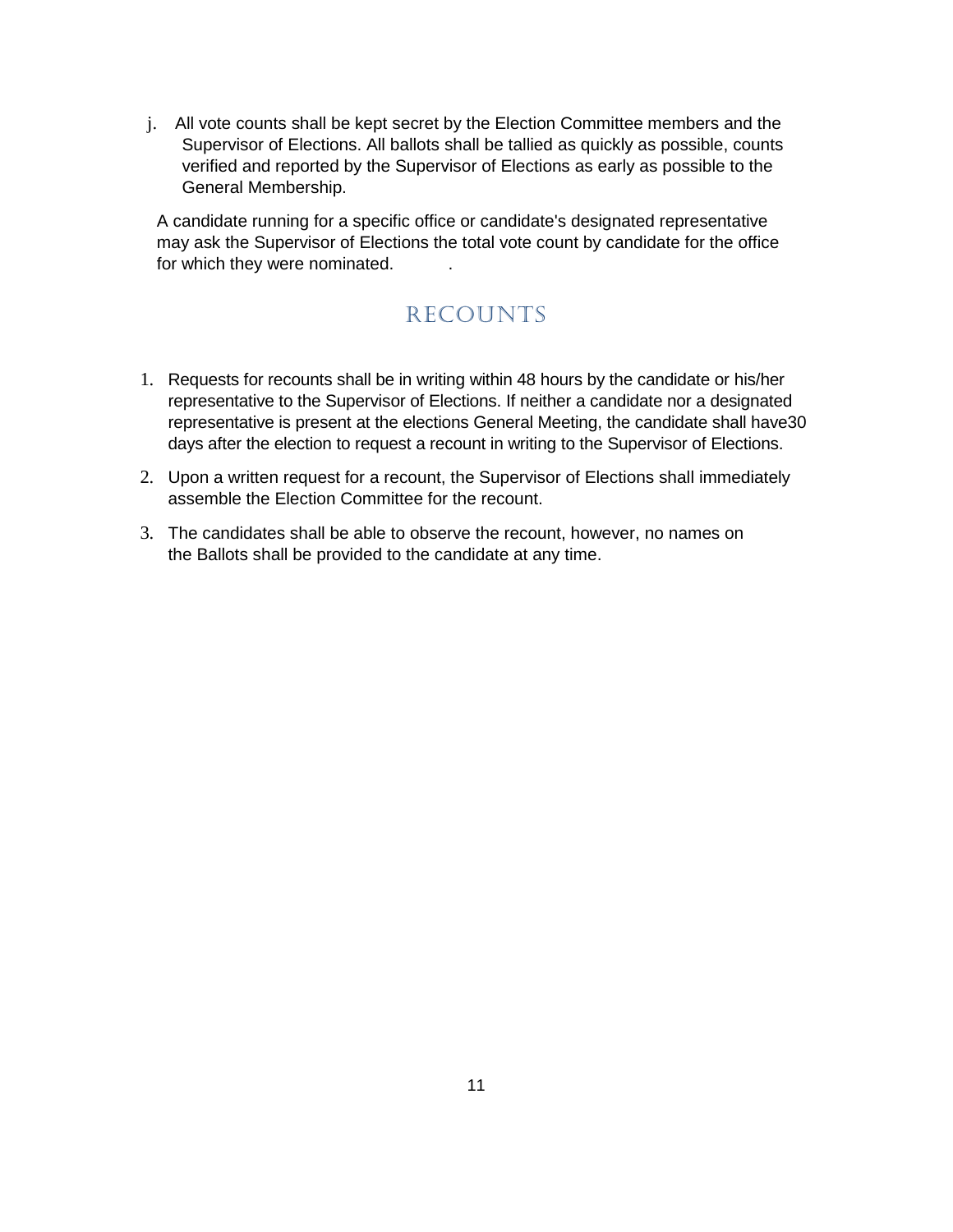j. All vote counts shall be kept secret by the Election Committee members and the Supervisor of Elections. All ballots shall be tallied as quickly as possible, counts verified and reported by the Supervisor of Elections as early as possible to the General Membership.

<span id="page-10-0"></span>A candidate running for a specific office or candidate's designated representative may ask the Supervisor of Elections the total vote count by candidate for the office for which they were nominated.

# **RECOUNTS**

- 1. Requests for recounts shall be in writing within 48 hours by the candidate or his/her representative to the Supervisor of Elections. If neither a candidate nor a designated representative is present at the elections General Meeting, the candidate shall have30 days after the election to request a recount in writing to the Supervisor of Elections.
- 2. Upon a written request for a recount, the Supervisor of Elections shall immediately assemble the Election Committee for the recount.
- 3. The candidates shall be able to observe the recount, however, no names on the Ballots shall be provided to the candidate at any time.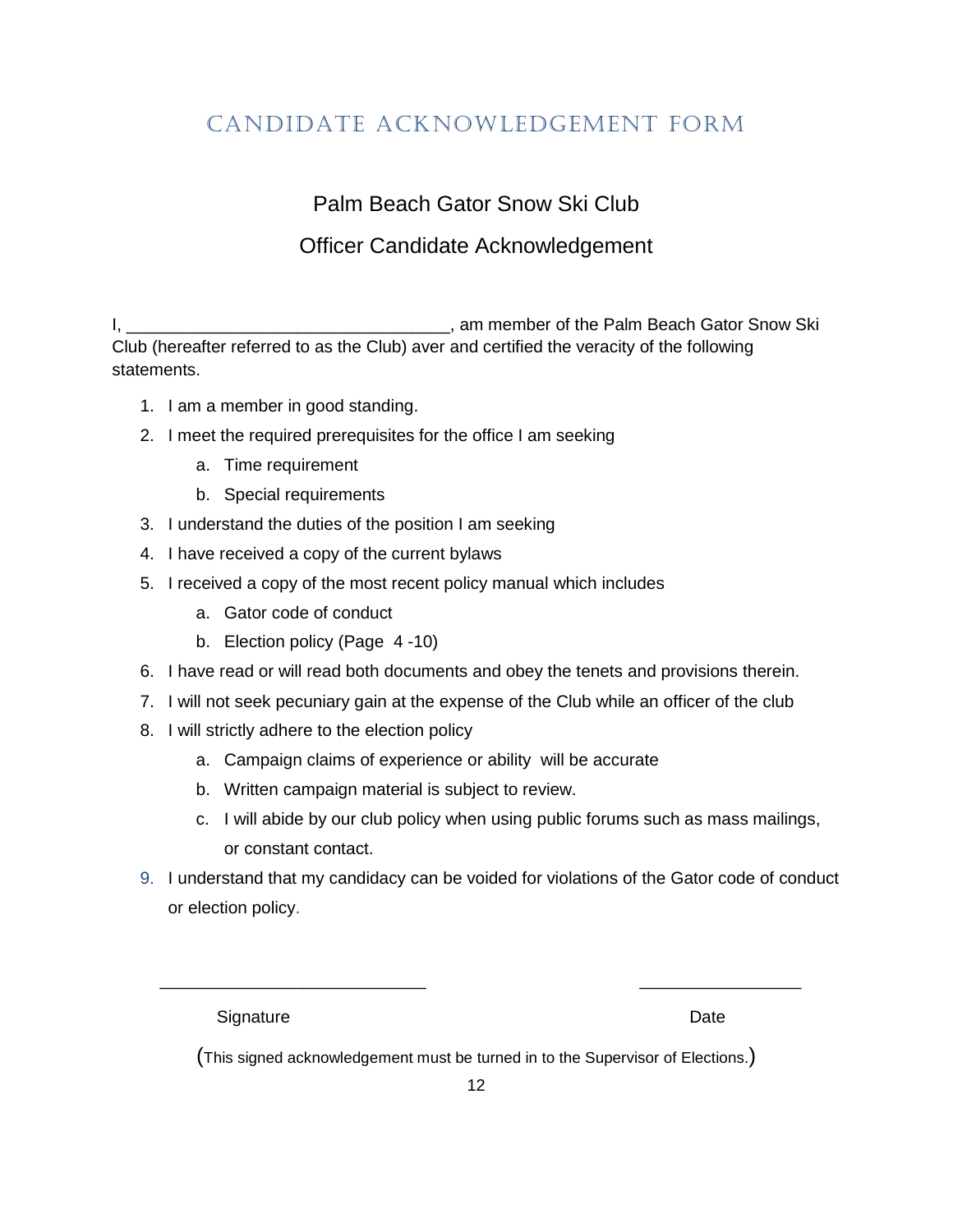# <span id="page-11-0"></span>Candidate Acknowledgement Form

Palm Beach Gator Snow Ski Club

# Officer Candidate Acknowledgement

I, **I**, **I**, **Example 2** am member of the Palm Beach Gator Snow Ski Club (hereafter referred to as the Club) aver and certified the veracity of the following statements.

- 1. I am a member in good standing.
- 2. I meet the required prerequisites for the office I am seeking
	- a. Time requirement
	- b. Special requirements
- 3. I understand the duties of the position I am seeking
- 4. I have received a copy of the current bylaws
- 5. I received a copy of the most recent policy manual which includes
	- a. Gator code of conduct
	- b. Election policy (Page 4 -10)
- 6. I have read or will read both documents and obey the tenets and provisions therein.
- 7. I will not seek pecuniary gain at the expense of the Club while an officer of the club
- 8. I will strictly adhere to the election policy
	- a. Campaign claims of experience or ability will be accurate
	- b. Written campaign material is subject to review.
	- c. I will abide by our club policy when using public forums such as mass mailings, or constant contact.
- 9. I understand that my candidacy can be voided for violations of the Gator code of conduct or election policy.

Signature Date **Date** 

(This signed acknowledgement must be turned in to the Supervisor of Elections.)

 $\overline{\phantom{a}}$  ,  $\overline{\phantom{a}}$  ,  $\overline{\phantom{a}}$  ,  $\overline{\phantom{a}}$  ,  $\overline{\phantom{a}}$  ,  $\overline{\phantom{a}}$  ,  $\overline{\phantom{a}}$  ,  $\overline{\phantom{a}}$  ,  $\overline{\phantom{a}}$  ,  $\overline{\phantom{a}}$  ,  $\overline{\phantom{a}}$  ,  $\overline{\phantom{a}}$  ,  $\overline{\phantom{a}}$  ,  $\overline{\phantom{a}}$  ,  $\overline{\phantom{a}}$  ,  $\overline{\phantom{a}}$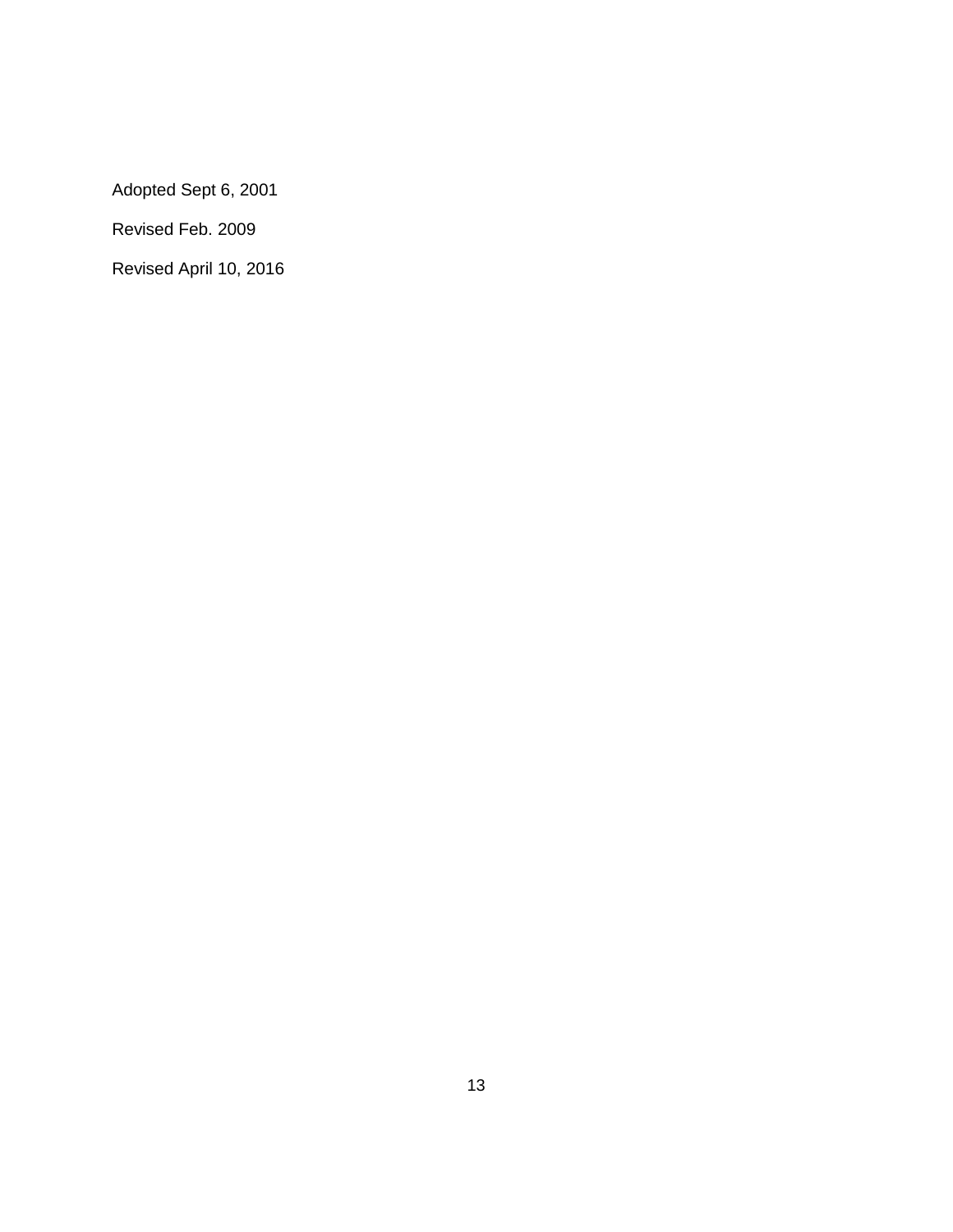Adopted Sept 6, 2001

Revised Feb. 2009

Revised April 10, 2016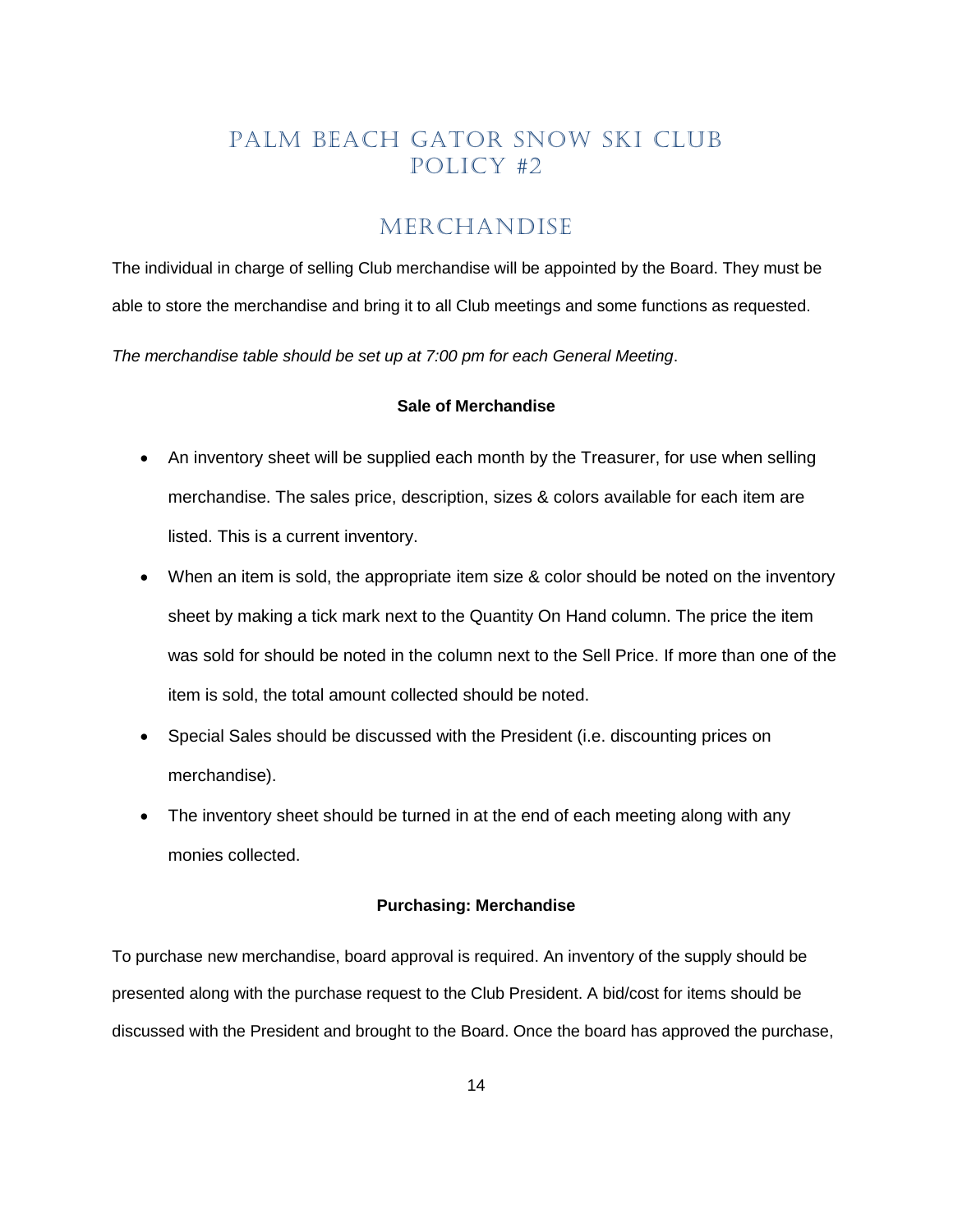## PALM BEACH GATOR SNOW SKI CLUB Policy #2

#### MERCHANDISE

<span id="page-13-0"></span>The individual in charge of selling Club merchandise will be appointed by the Board. They must be able to store the merchandise and bring it to all Club meetings and some functions as requested.

*The merchandise table should be set up at 7:00 pm for each General Meeting*.

#### **Sale of Merchandise**

- An inventory sheet will be supplied each month by the Treasurer, for use when selling merchandise. The sales price, description, sizes & colors available for each item are listed. This is a current inventory.
- When an item is sold, the appropriate item size & color should be noted on the inventory sheet by making a tick mark next to the Quantity On Hand column. The price the item was sold for should be noted in the column next to the Sell Price. If more than one of the item is sold, the total amount collected should be noted.
- Special Sales should be discussed with the President (i.e. discounting prices on merchandise).
- The inventory sheet should be turned in at the end of each meeting along with any monies collected.

#### **Purchasing: Merchandise**

To purchase new merchandise, board approval is required. An inventory of the supply should be presented along with the purchase request to the Club President. A bid/cost for items should be discussed with the President and brought to the Board. Once the board has approved the purchase,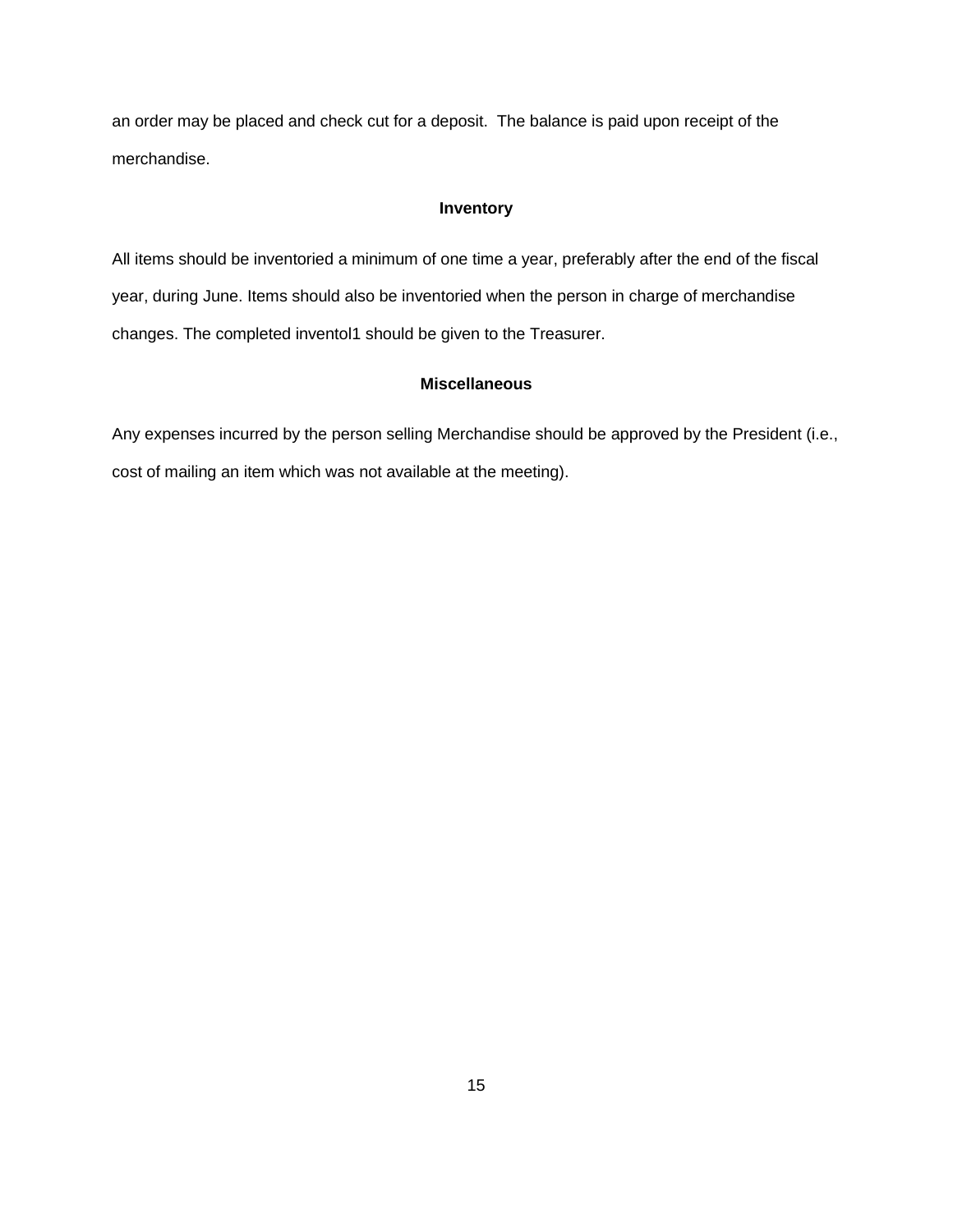an order may be placed and check cut for a deposit. The balance is paid upon receipt of the merchandise.

#### **Inventory**

All items should be inventoried a minimum of one time a year, preferably after the end of the fiscal year, during June. Items should also be inventoried when the person in charge of merchandise changes. The completed inventol1 should be given to the Treasurer.

#### **Miscellaneous**

Any expenses incurred by the person selling Merchandise should be approved by the President (i.e., cost of mailing an item which was not available at the meeting).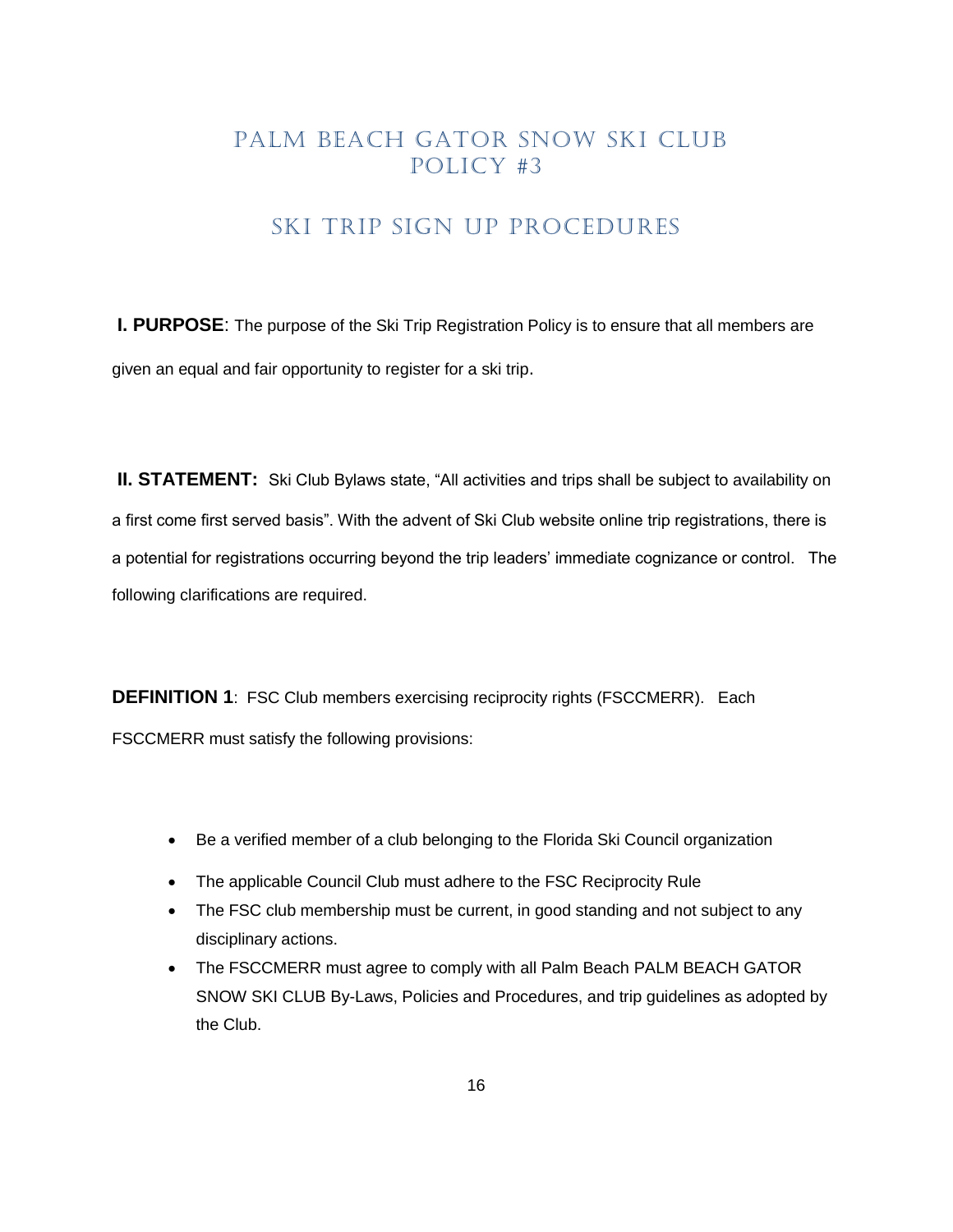#### SKI TRIP SIGN UP PROCEDURES

<span id="page-15-0"></span>**I. PURPOSE:** The purpose of the Ski Trip Registration Policy is to ensure that all members are given an equal and fair opportunity to register for a ski trip.

**II. STATEMENT:** Ski Club Bylaws state, "All activities and trips shall be subject to availability on a first come first served basis". With the advent of Ski Club website online trip registrations, there is a potential for registrations occurring beyond the trip leaders' immediate cognizance or control. The following clarifications are required.

**DEFINITION 1:** FSC Club members exercising reciprocity rights (FSCCMERR). Each FSCCMERR must satisfy the following provisions:

- Be a verified member of a club belonging to the Florida Ski Council organization
- The applicable Council Club must adhere to the FSC Reciprocity Rule
- The FSC club membership must be current, in good standing and not subject to any disciplinary actions.
- The FSCCMERR must agree to comply with all Palm Beach PALM BEACH GATOR SNOW SKI CLUB By-Laws, Policies and Procedures, and trip guidelines as adopted by the Club.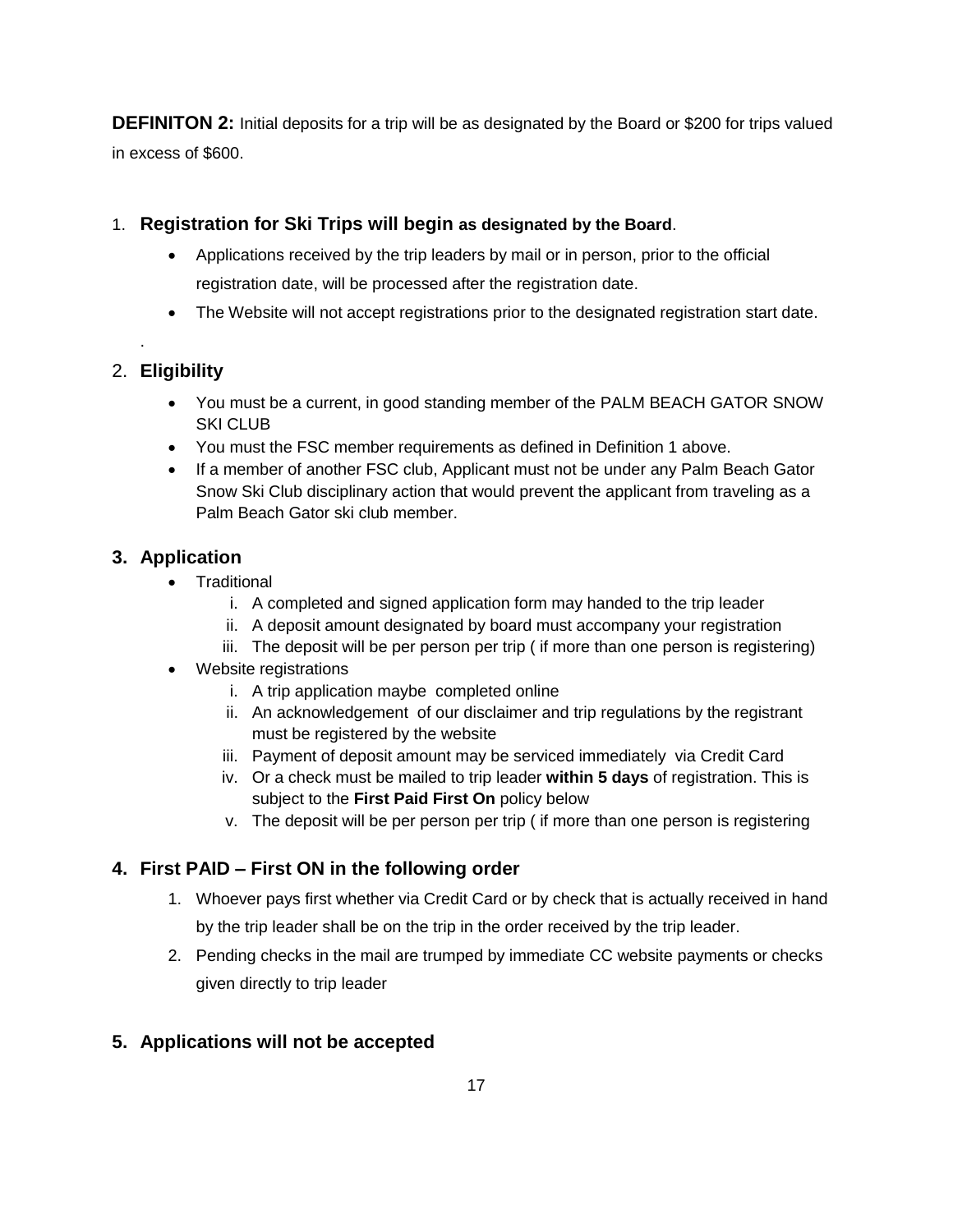**DEFINITON 2:** Initial deposits for a trip will be as designated by the Board or \$200 for trips valued in excess of \$600.

#### 1. **Registration for Ski Trips will begin as designated by the Board**.

- Applications received by the trip leaders by mail or in person, prior to the official registration date, will be processed after the registration date.
- The Website will not accept registrations prior to the designated registration start date.

#### 2. **Eligibility**

.

- You must be a current, in good standing member of the PALM BEACH GATOR SNOW SKI CLUB
- You must the FSC member requirements as defined in Definition 1 above.
- If a member of another FSC club, Applicant must not be under any Palm Beach Gator Snow Ski Club disciplinary action that would prevent the applicant from traveling as a Palm Beach Gator ski club member.

#### **3. Application**

- Traditional
	- i. A completed and signed application form may handed to the trip leader
	- ii. A deposit amount designated by board must accompany your registration
	- iii. The deposit will be per person per trip ( if more than one person is registering)
- Website registrations
	- i. A trip application maybe completed online
	- ii. An acknowledgement of our disclaimer and trip regulations by the registrant must be registered by the website
	- iii. Payment of deposit amount may be serviced immediately via Credit Card
	- iv. Or a check must be mailed to trip leader **within 5 days** of registration. This is subject to the **First Paid First On** policy below
	- v. The deposit will be per person per trip ( if more than one person is registering

#### **4. First PAID – First ON in the following order**

- 1. Whoever pays first whether via Credit Card or by check that is actually received in hand by the trip leader shall be on the trip in the order received by the trip leader.
- 2. Pending checks in the mail are trumped by immediate CC website payments or checks given directly to trip leader

#### **5. Applications will not be accepted**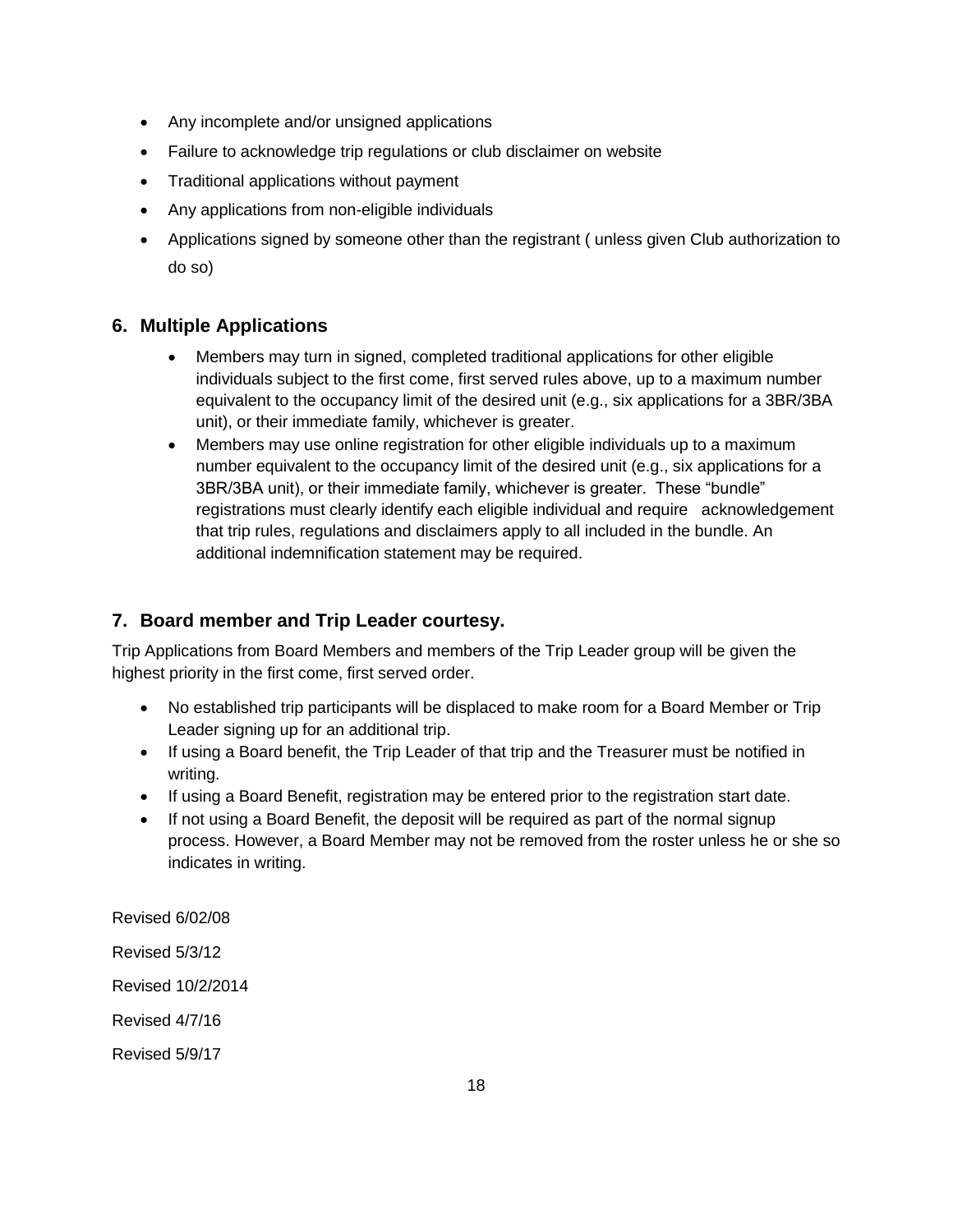- Any incomplete and/or unsigned applications
- Failure to acknowledge trip regulations or club disclaimer on website
- Traditional applications without payment
- Any applications from non-eligible individuals
- Applications signed by someone other than the registrant ( unless given Club authorization to do so)

#### **6. Multiple Applications**

- Members may turn in signed, completed traditional applications for other eligible individuals subject to the first come, first served rules above, up to a maximum number equivalent to the occupancy limit of the desired unit (e.g., six applications for a 3BR/3BA unit), or their immediate family, whichever is greater.
- Members may use online registration for other eligible individuals up to a maximum number equivalent to the occupancy limit of the desired unit (e.g., six applications for a 3BR/3BA unit), or their immediate family, whichever is greater. These "bundle" registrations must clearly identify each eligible individual and require acknowledgement that trip rules, regulations and disclaimers apply to all included in the bundle. An additional indemnification statement may be required.

#### **7. Board member and Trip Leader courtesy.**

Trip Applications from Board Members and members of the Trip Leader group will be given the highest priority in the first come, first served order.

- No established trip participants will be displaced to make room for a Board Member or Trip Leader signing up for an additional trip.
- If using a Board benefit, the Trip Leader of that trip and the Treasurer must be notified in writing.
- If using a Board Benefit, registration may be entered prior to the registration start date.
- If not using a Board Benefit, the deposit will be required as part of the normal signup process. However, a Board Member may not be removed from the roster unless he or she so indicates in writing.

Revised 6/02/08

Revised 5/3/12

Revised 10/2/2014

Revised 4/7/16

Revised 5/9/17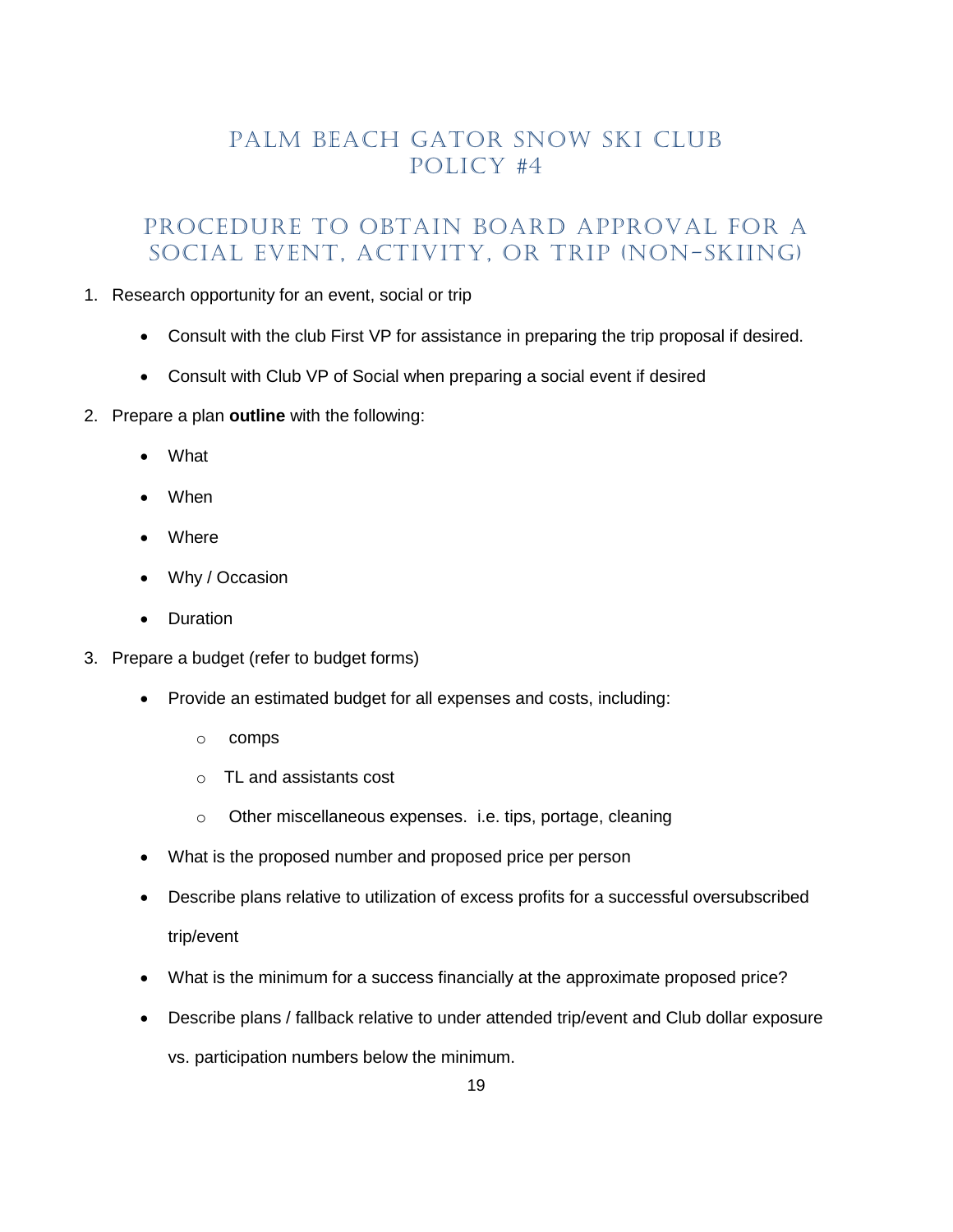# PALM BEACH GATOR SNOW SKI CLUB Policy #4

### <span id="page-18-0"></span>PROCEDURE TO OBTAIN BOARD APPROVAL FOR A SOCIAL EVENT, ACTIVITY, OR TRIP (Non-Skiing)

#### 1. Research opportunity for an event, social or trip

- Consult with the club First VP for assistance in preparing the trip proposal if desired.
- Consult with Club VP of Social when preparing a social event if desired
- 2. Prepare a plan **outline** with the following:
	- What
	- When
	- Where
	- Why / Occasion
	- Duration
- 3. Prepare a budget (refer to budget forms)
	- Provide an estimated budget for all expenses and costs, including:
		- o comps
		- o TL and assistants cost
		- o Other miscellaneous expenses. i.e. tips, portage, cleaning
	- What is the proposed number and proposed price per person
	- Describe plans relative to utilization of excess profits for a successful oversubscribed trip/event
	- What is the minimum for a success financially at the approximate proposed price?
	- Describe plans / fallback relative to under attended trip/event and Club dollar exposure

vs. participation numbers below the minimum.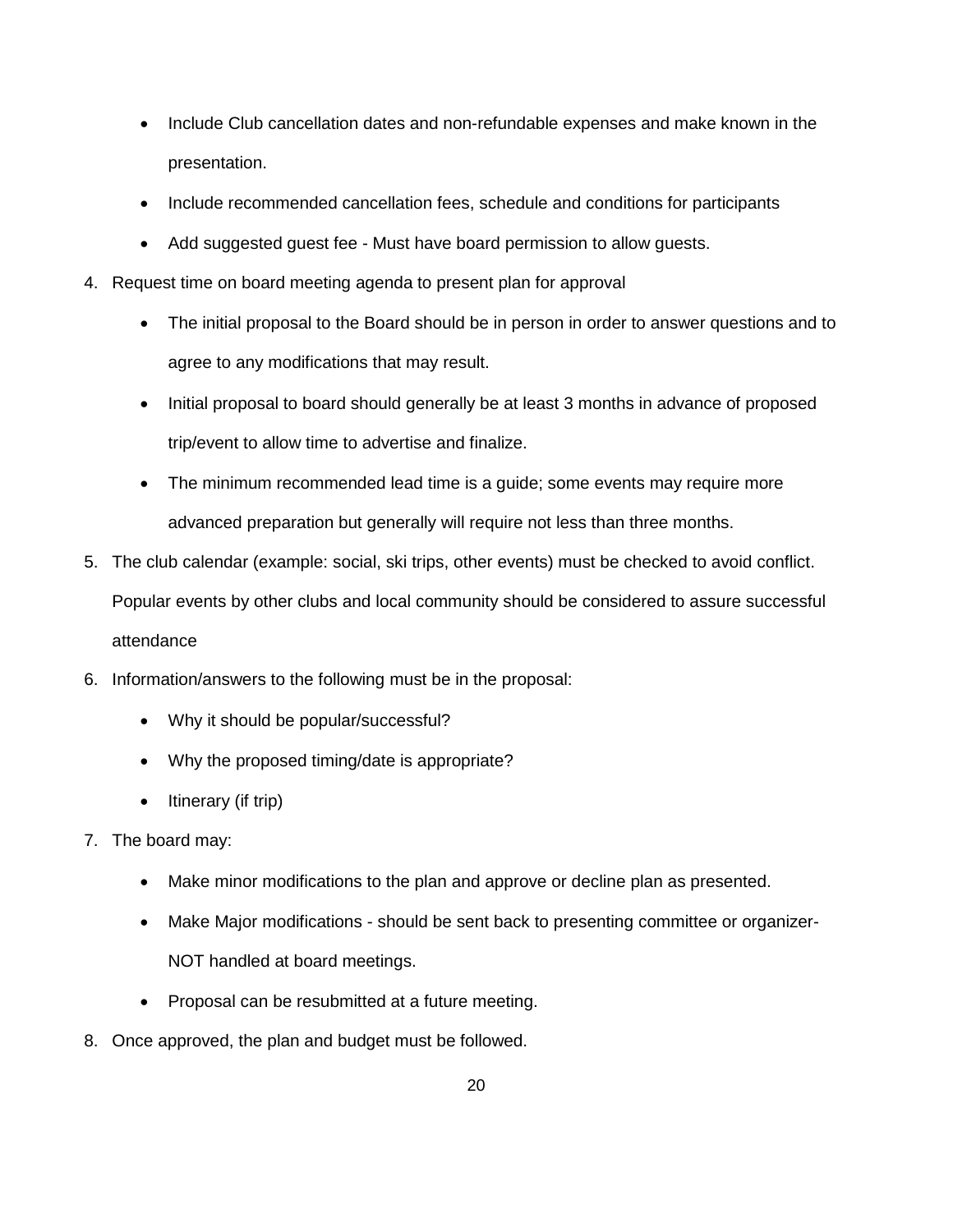- Include Club cancellation dates and non-refundable expenses and make known in the presentation.
- Include recommended cancellation fees, schedule and conditions for participants
- Add suggested guest fee Must have board permission to allow guests.
- 4. Request time on board meeting agenda to present plan for approval
	- The initial proposal to the Board should be in person in order to answer questions and to agree to any modifications that may result.
	- Initial proposal to board should generally be at least 3 months in advance of proposed trip/event to allow time to advertise and finalize.
	- The minimum recommended lead time is a guide; some events may require more advanced preparation but generally will require not less than three months.
- 5. The club calendar (example: social, ski trips, other events) must be checked to avoid conflict. Popular events by other clubs and local community should be considered to assure successful attendance
- 6. Information/answers to the following must be in the proposal:
	- Why it should be popular/successful?
	- Why the proposed timing/date is appropriate?
	- $\bullet$  Itinerary (if trip)
- 7. The board may:
	- Make minor modifications to the plan and approve or decline plan as presented.
	- Make Major modifications should be sent back to presenting committee or organizer-NOT handled at board meetings.
	- Proposal can be resubmitted at a future meeting.
- 8. Once approved, the plan and budget must be followed.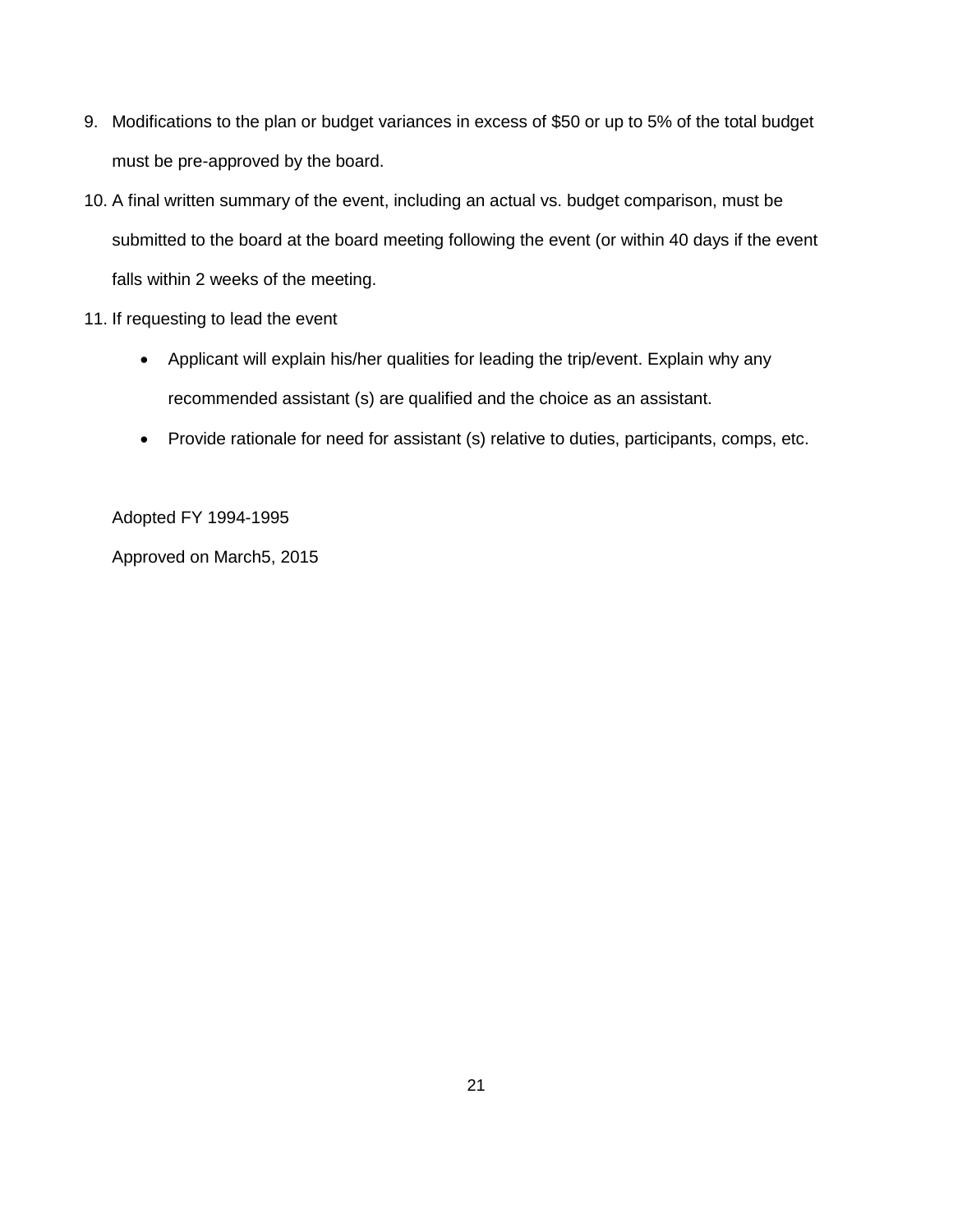- 9. Modifications to the plan or budget variances in excess of \$50 or up to 5% of the total budget must be pre-approved by the board.
- 10. A final written summary of the event, including an actual vs. budget comparison, must be submitted to the board at the board meeting following the event (or within 40 days if the event falls within 2 weeks of the meeting.
- 11. If requesting to lead the event
	- Applicant will explain his/her qualities for leading the trip/event. Explain why any recommended assistant (s) are qualified and the choice as an assistant.
	- Provide rationale for need for assistant (s) relative to duties, participants, comps, etc.

Adopted FY 1994-1995

Approved on March5, 2015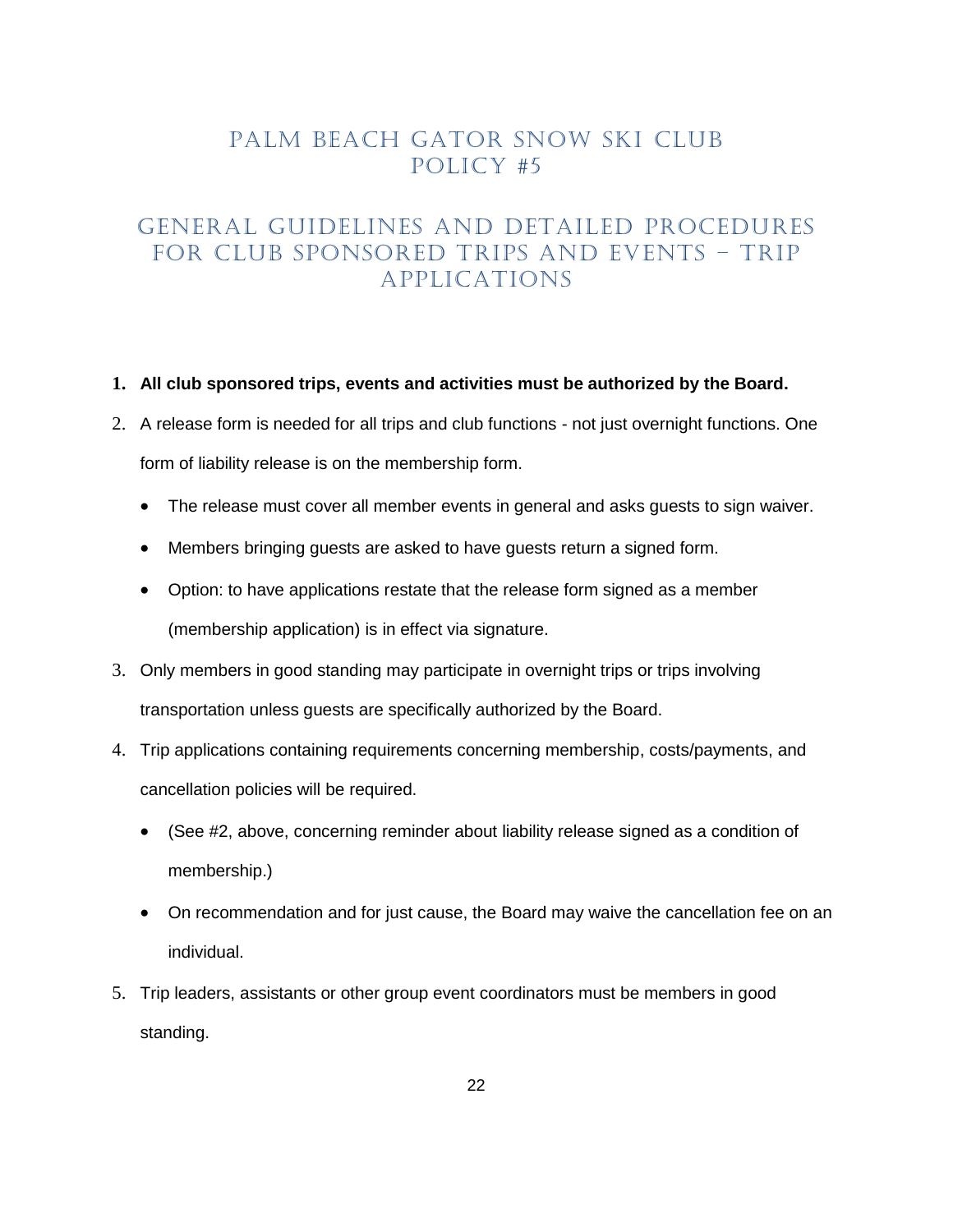### PALM BEACH GATOR SNOW SKI CLUB Policy #5

# <span id="page-21-0"></span>GENERAL GUIDELINES AND DETAILED PROCEDURES FOR CLUB SPONSORED TRIPS AND EVENTS – TRIP APPLICATIONS

#### **1. All club sponsored trips, events and activities must be authorized by the Board.**

- 2. A release form is needed for all trips and club functions not just overnight functions. One form of liability release is on the membership form.
	- The release must cover all member events in general and asks guests to sign waiver.
	- Members bringing guests are asked to have guests return a signed form.
	- Option: to have applications restate that the release form signed as a member (membership application) is in effect via signature.
- 3. Only members in good standing may participate in overnight trips or trips involving transportation unless guests are specifically authorized by the Board.
- 4. Trip applications containing requirements concerning membership, costs/payments, and cancellation policies will be required.
	- (See #2, above, concerning reminder about liability release signed as a condition of membership.)
	- On recommendation and for just cause, the Board may waive the cancellation fee on an individual.
- 5. Trip leaders, assistants or other group event coordinators must be members in good standing.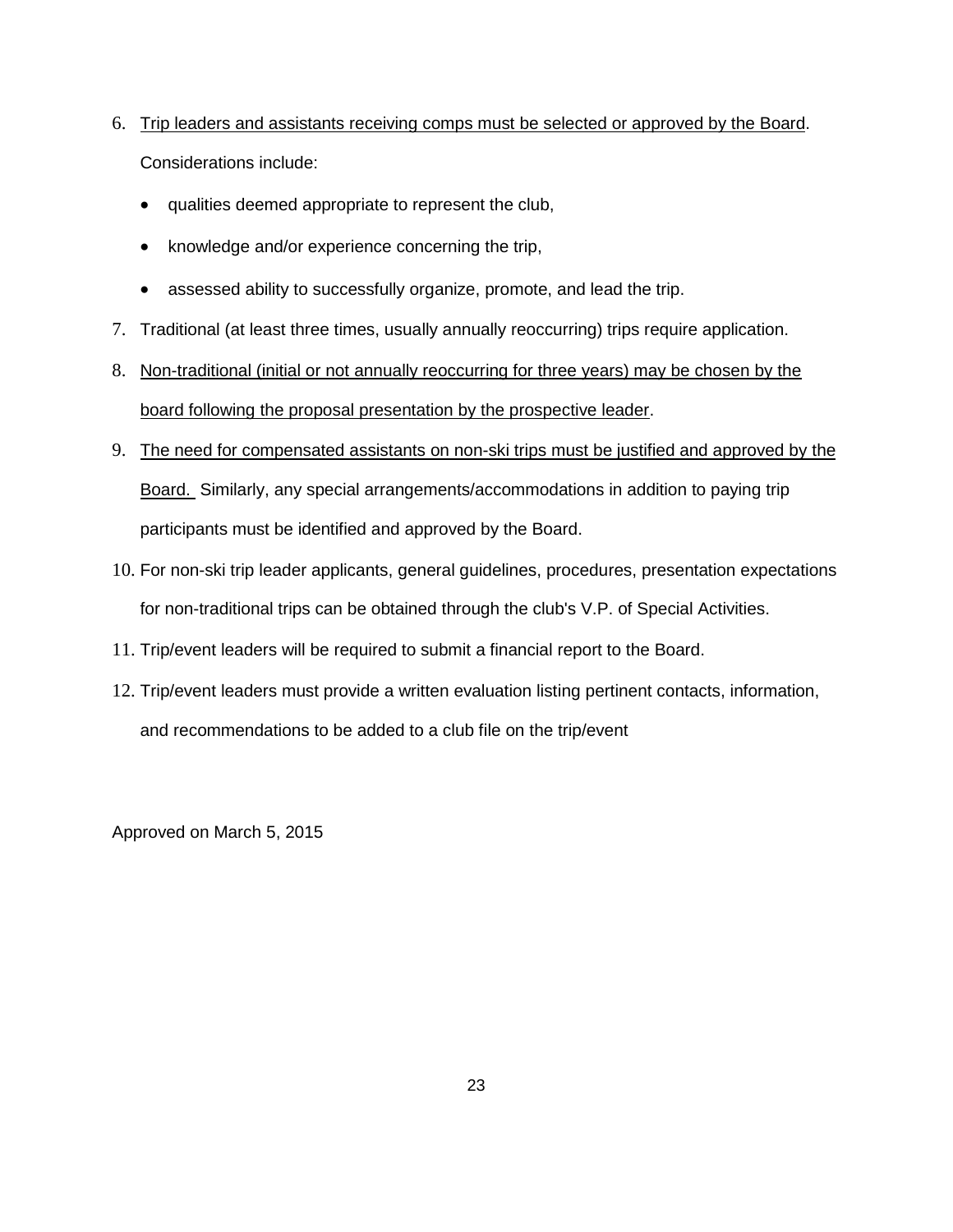- 6. Trip leaders and assistants receiving comps must be selected or approved by the Board. Considerations include:
	- qualities deemed appropriate to represent the club,
	- knowledge and/or experience concerning the trip,
	- assessed ability to successfully organize, promote, and lead the trip.
- 7. Traditional (at least three times, usually annually reoccurring) trips require application.
- 8. Non-traditional (initial or not annually reoccurring for three years) may be chosen by the board following the proposal presentation by the prospective leader.
- 9. The need for compensated assistants on non-ski trips must be justified and approved by the Board. Similarly, any special arrangements/accommodations in addition to paying trip participants must be identified and approved by the Board.
- 10. For non-ski trip leader applicants, general guidelines, procedures, presentation expectations for non-traditional trips can be obtained through the club's V.P. of Special Activities.
- 11. Trip/event leaders will be required to submit a financial report to the Board.
- 12. Trip/event leaders must provide a written evaluation listing pertinent contacts, information, and recommendations to be added to a club file on the trip/event

Approved on March 5, 2015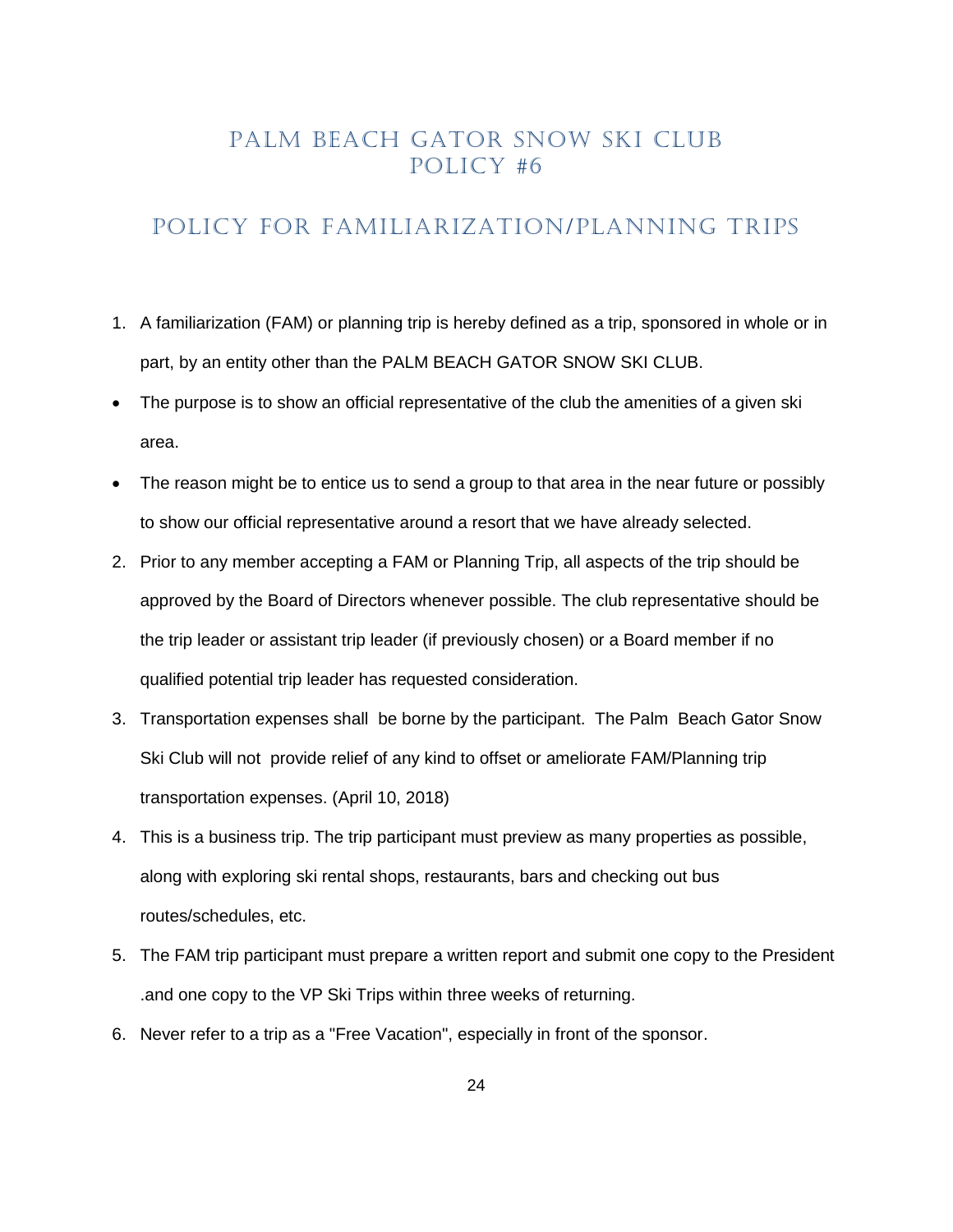## PALM BEACH GATOR SNOW SKI CLUB Policy #6

#### <span id="page-23-0"></span>POLICY FOR FAMILIARIZATION/PLANNING TRIPS

- 1. A familiarization (FAM) or planning trip is hereby defined as a trip, sponsored in whole or in part, by an entity other than the PALM BEACH GATOR SNOW SKI CLUB.
- The purpose is to show an official representative of the club the amenities of a given ski area.
- The reason might be to entice us to send a group to that area in the near future or possibly to show our official representative around a resort that we have already selected.
- 2. Prior to any member accepting a FAM or Planning Trip, all aspects of the trip should be approved by the Board of Directors whenever possible. The club representative should be the trip leader or assistant trip leader (if previously chosen) or a Board member if no qualified potential trip leader has requested consideration.
- 3. Transportation expenses shall be borne by the participant. The Palm Beach Gator Snow Ski Club will not provide relief of any kind to offset or ameliorate FAM/Planning trip transportation expenses. (April 10, 2018)
- 4. This is a business trip. The trip participant must preview as many properties as possible, along with exploring ski rental shops, restaurants, bars and checking out bus routes/schedules, etc.
- 5. The FAM trip participant must prepare a written report and submit one copy to the President .and one copy to the VP Ski Trips within three weeks of returning.
- 6. Never refer to a trip as a "Free Vacation", especially in front of the sponsor.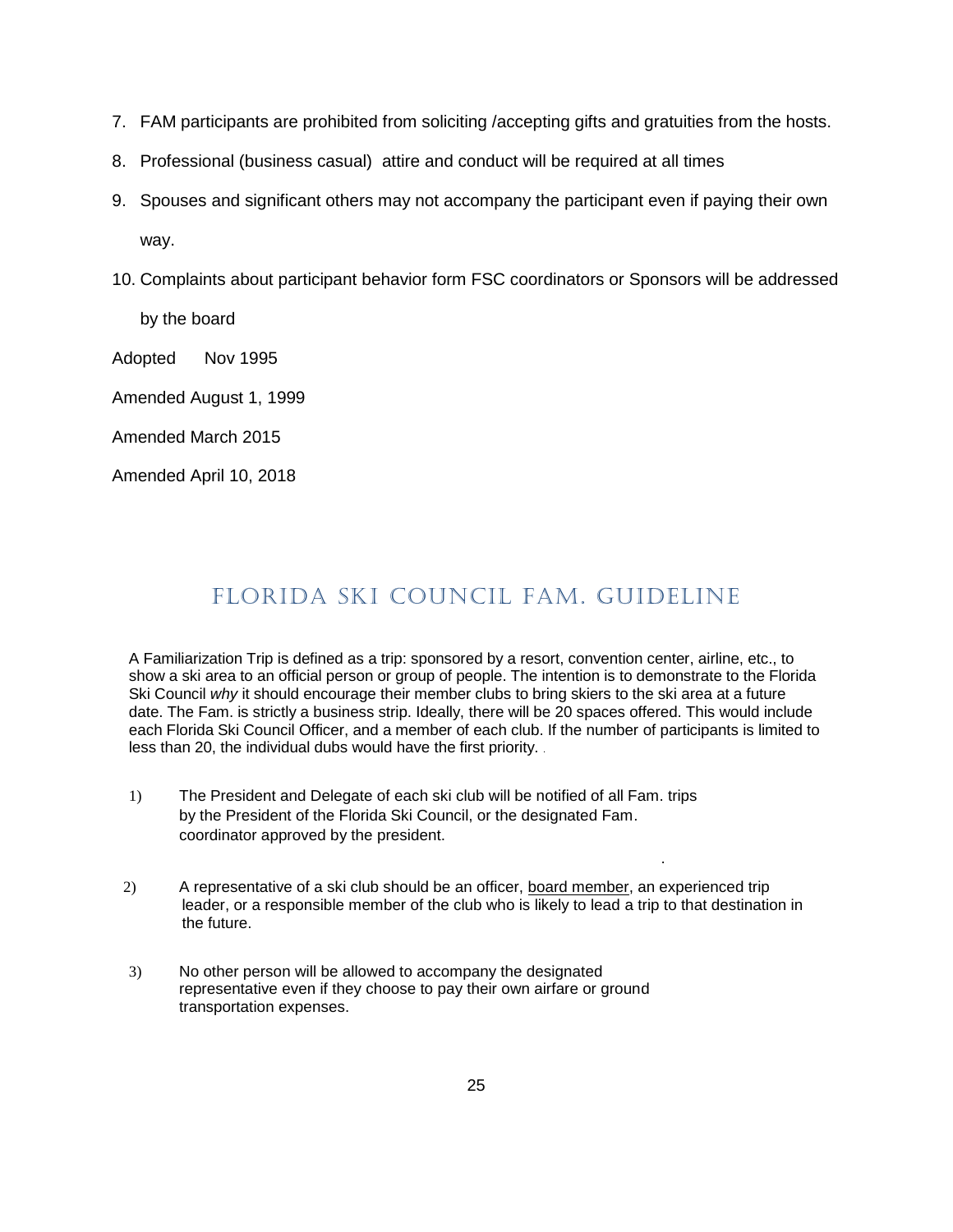- 7. FAM participants are prohibited from soliciting /accepting gifts and gratuities from the hosts.
- 8. Professional (business casual) attire and conduct will be required at all times
- 9. Spouses and significant others may not accompany the participant even if paying their own way.
- 10. Complaints about participant behavior form FSC coordinators or Sponsors will be addressed

by the board

Adopted Nov 1995

Amended August 1, 1999

Amended March 2015

Amended April 10, 2018

# FLORIDA SKI COUNCIL FAM. GUIDELINE

<span id="page-24-0"></span>A Familiarization Trip is defined as a trip: sponsored by a resort, convention center, airline, etc., to show a ski area to an official person or group of people. The intention is to demonstrate to the Florida Ski Council *why* it should encourage their member clubs to bring skiers to the ski area at a future date. The Fam. is strictly a business strip. Ideally, there will be 20 spaces offered. This would include each Florida Ski Council Officer, and a member of each club. If the number of participants is limited to less than 20, the individual dubs would have the first priority. .

- 1) The President and Delegate of each ski club will be notified of all Fam. trips by the President of the Florida Ski Council, or the designated Fam. coordinator approved by the president.
- 2) A representative of a ski club should be an officer, board member, an experienced trip leader, or a responsible member of the club who is likely to lead a trip to that destination in the future.

.

3) No other person will be allowed to accompany the designated representative even if they choose to pay their own airfare or ground transportation expenses.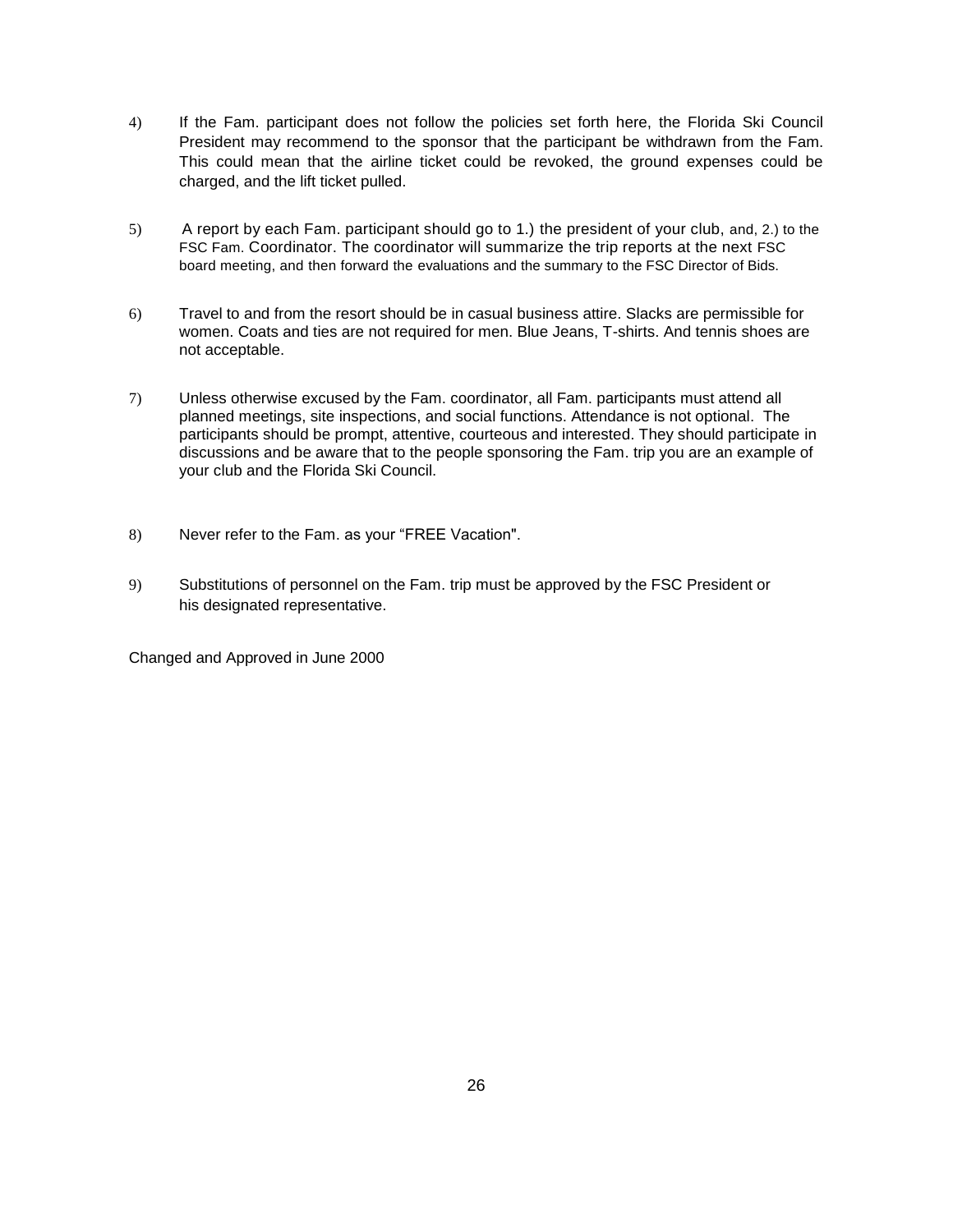- 4) If the Fam. participant does not follow the policies set forth here, the Florida Ski Council President may recommend to the sponsor that the participant be withdrawn from the Fam. This could mean that the airline ticket could be revoked, the ground expenses could be charged, and the lift ticket pulled.
- 5) A report by each Fam. participant should go to 1.) the president of your club, and, 2.) to the FSC Fam. Coordinator. The coordinator will summarize the trip reports at the next FSC board meeting, and then forward the evaluations and the summary to the FSC Director of Bids.
- 6) Travel to and from the resort should be in casual business attire. Slacks are permissible for women. Coats and ties are not required for men. Blue Jeans, T-shirts. And tennis shoes are not acceptable.
- 7) Unless otherwise excused by the Fam. coordinator, all Fam. participants must attend all planned meetings, site inspections, and social functions. Attendance is not optional. The participants should be prompt, attentive, courteous and interested. They should participate in discussions and be aware that to the people sponsoring the Fam. trip you are an example of your club and the Florida Ski Council.
- 8) Never refer to the Fam. as your "FREE Vacation".
- 9) Substitutions of personnel on the Fam. trip must be approved by the FSC President or his designated representative.

Changed and Approved in June 2000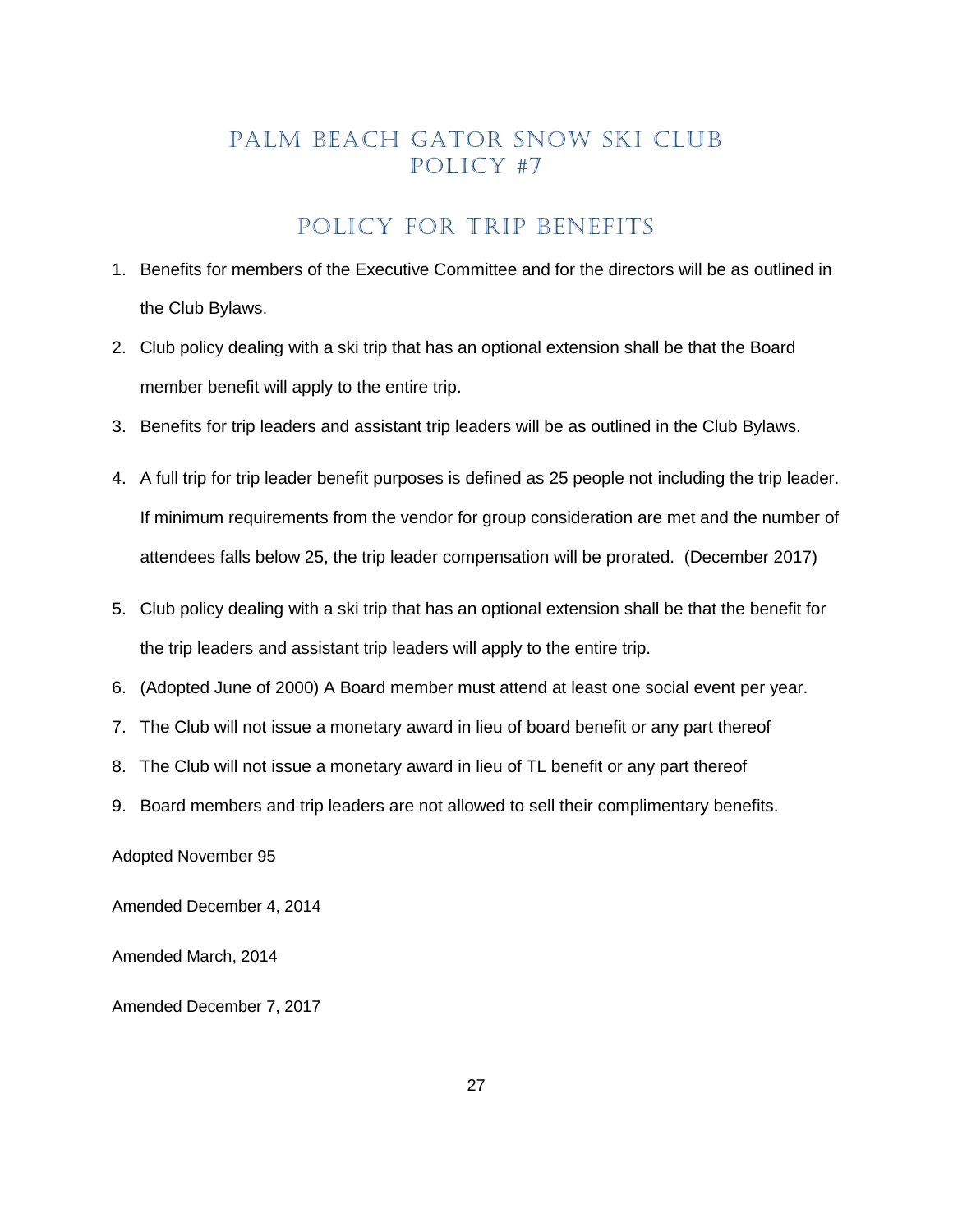# PALM BEACH GATOR SNOW SKI CLUB Policy #7

#### POLICY FOR TRIP BENEFITS

- <span id="page-26-0"></span>1. Benefits for members of the Executive Committee and for the directors will be as outlined in the Club Bylaws.
- 2. Club policy dealing with a ski trip that has an optional extension shall be that the Board member benefit will apply to the entire trip.
- 3. Benefits for trip leaders and assistant trip leaders will be as outlined in the Club Bylaws.
- 4. A full trip for trip leader benefit purposes is defined as 25 people not including the trip leader. If minimum requirements from the vendor for group consideration are met and the number of attendees falls below 25, the trip leader compensation will be prorated. (December 2017)
- 5. Club policy dealing with a ski trip that has an optional extension shall be that the benefit for the trip leaders and assistant trip leaders will apply to the entire trip.
- 6. (Adopted June of 2000) A Board member must attend at least one social event per year.
- 7. The Club will not issue a monetary award in lieu of board benefit or any part thereof
- 8. The Club will not issue a monetary award in lieu of TL benefit or any part thereof
- 9. Board members and trip leaders are not allowed to sell their complimentary benefits.

Adopted November 95

Amended December 4, 2014

Amended March, 2014

Amended December 7, 2017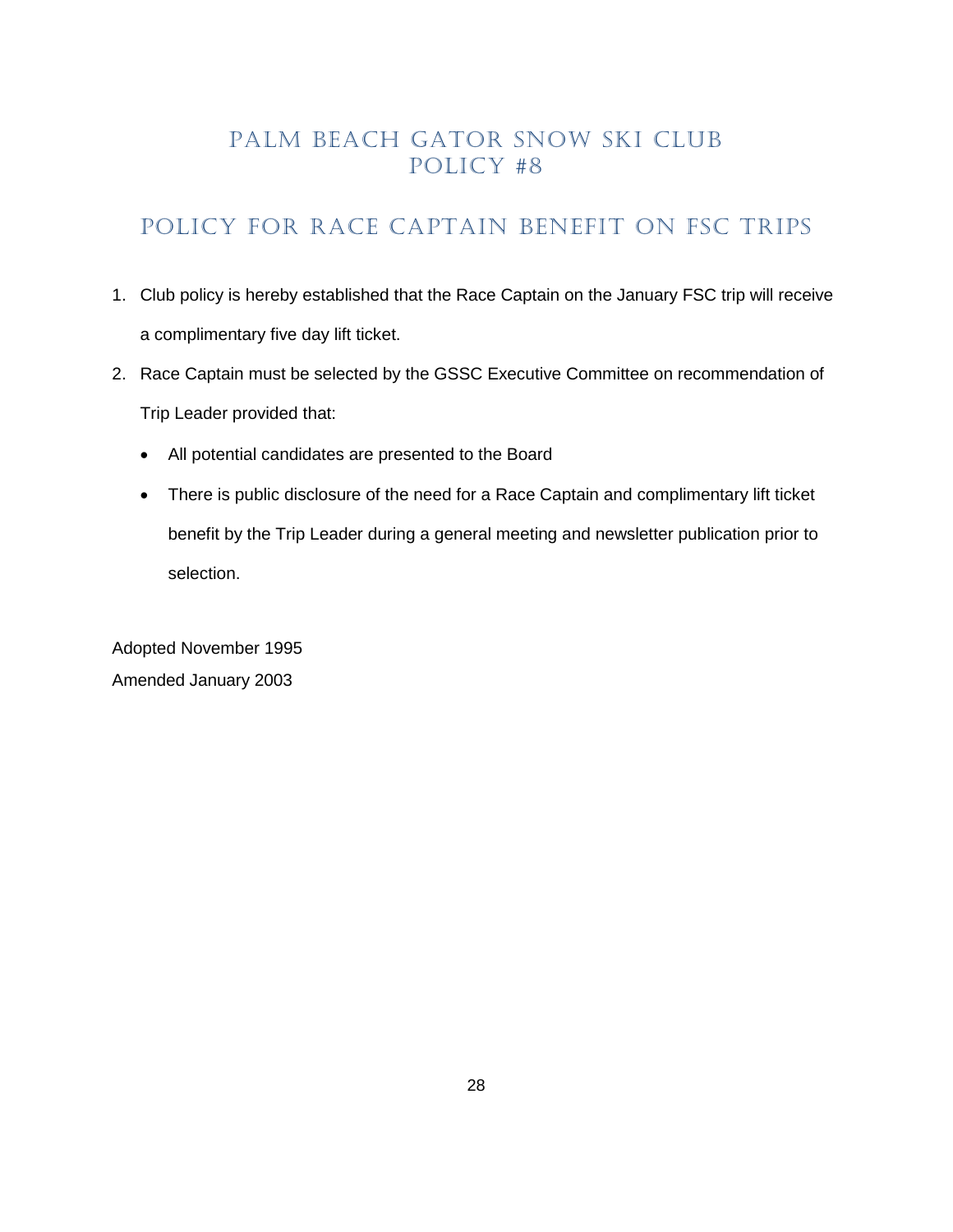# <span id="page-27-0"></span>POLICY FOR RACE CAPTAIN BENEFIT ON FSC TRIPS

- 1. Club policy is hereby established that the Race Captain on the January FSC trip will receive a complimentary five day lift ticket.
- 2. Race Captain must be selected by the GSSC Executive Committee on recommendation of Trip Leader provided that:
	- All potential candidates are presented to the Board
	- There is public disclosure of the need for a Race Captain and complimentary lift ticket benefit by the Trip Leader during a general meeting and newsletter publication prior to selection.

Adopted November 1995 Amended January 2003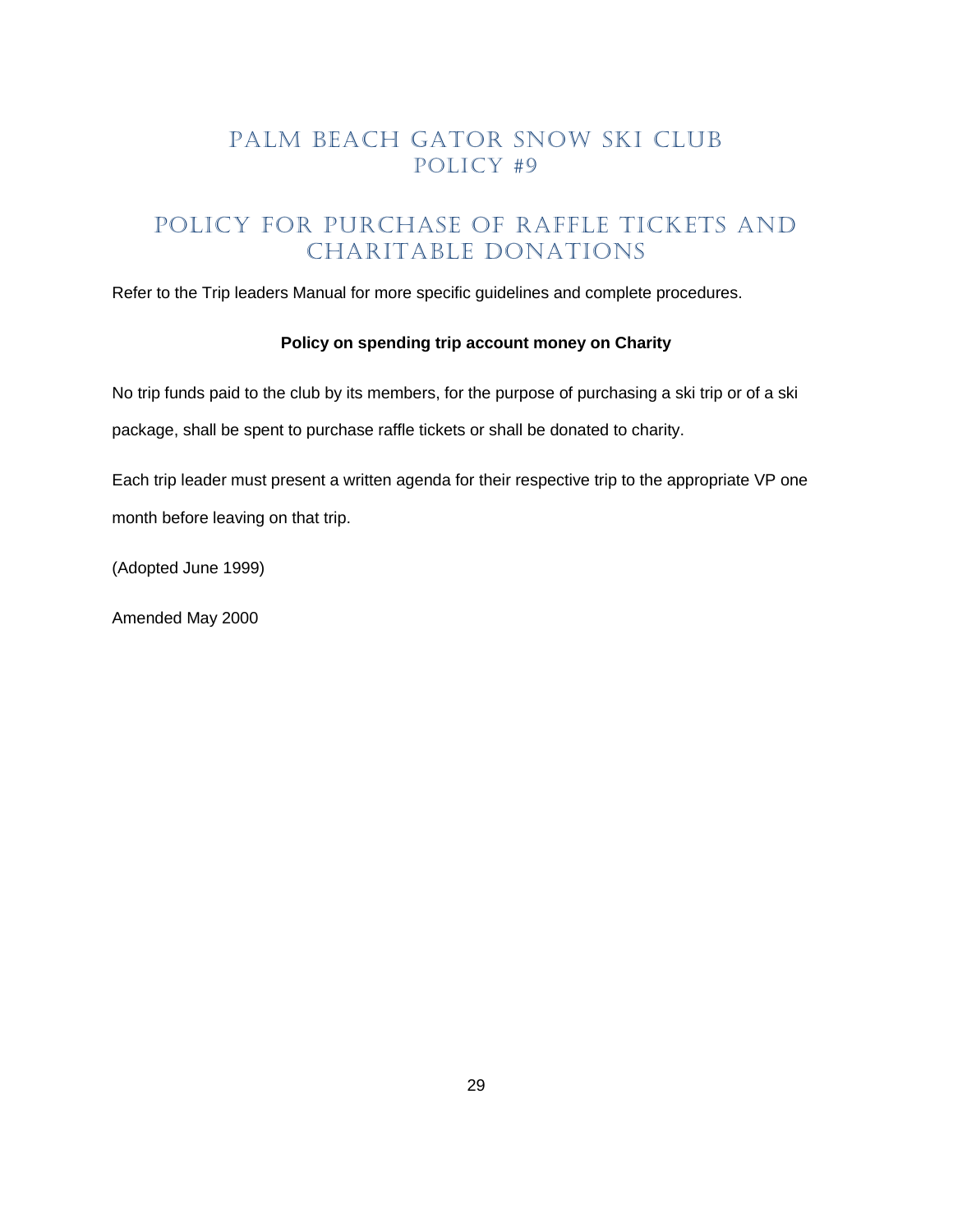# Policy for purchase of raffle Tickets and Charitable donations

Refer to the Trip leaders Manual for more specific guidelines and complete procedures.

#### **Policy on spending trip account money on Charity**

No trip funds paid to the club by its members, for the purpose of purchasing a ski trip or of a ski package, shall be spent to purchase raffle tickets or shall be donated to charity.

Each trip leader must present a written agenda for their respective trip to the appropriate VP one month before leaving on that trip.

(Adopted June 1999)

Amended May 2000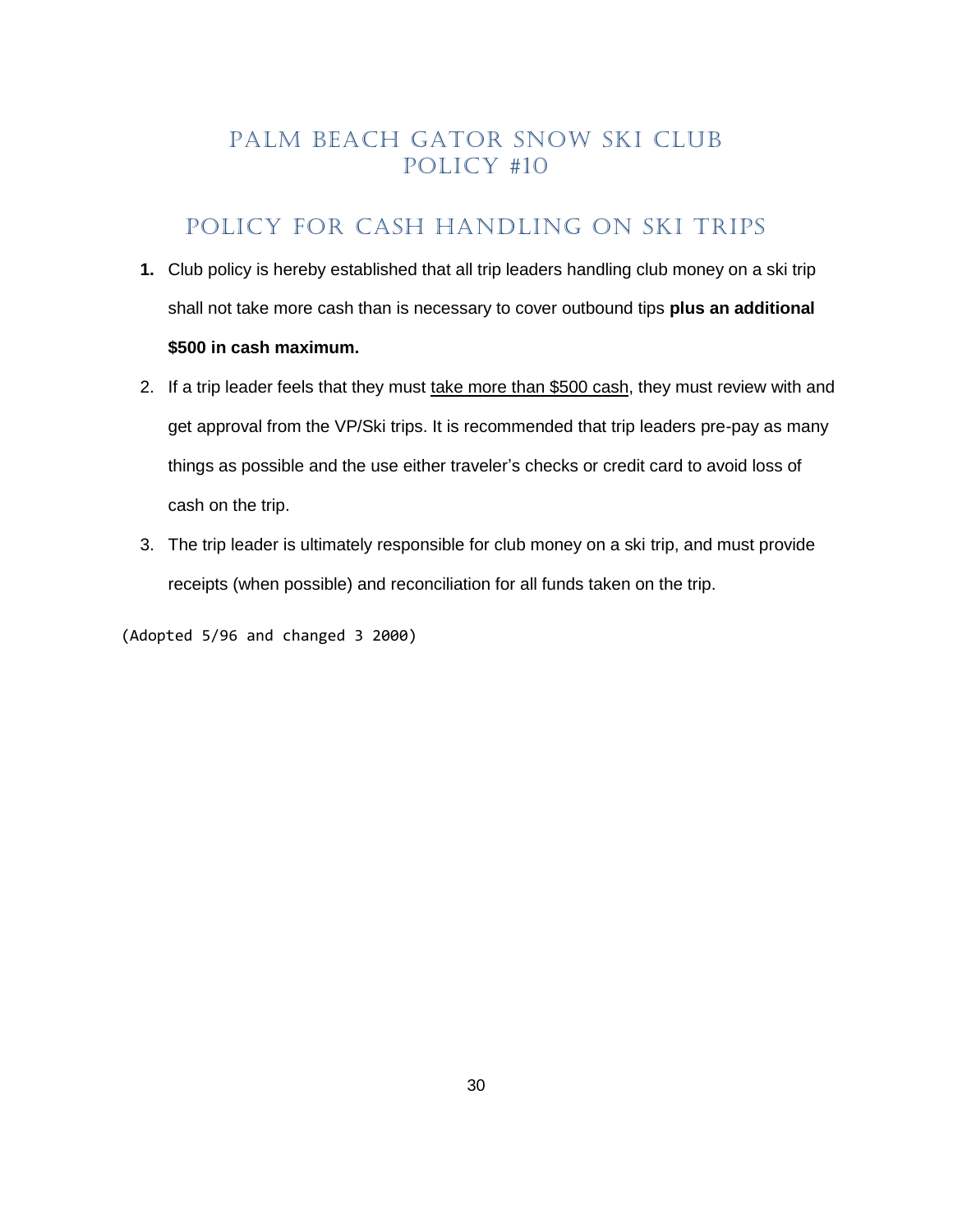# POLICY FOR CASH HANDLING ON SKI TRIPS

- <span id="page-29-0"></span>**1.** Club policy is hereby established that all trip leaders handling club money on a ski trip shall not take more cash than is necessary to cover outbound tips **plus an additional \$500 in cash maximum.**
- 2. If a trip leader feels that they must take more than \$500 cash, they must review with and get approval from the VP/Ski trips. It is recommended that trip leaders pre-pay as many things as possible and the use either traveler's checks or credit card to avoid loss of cash on the trip.
- 3. The trip leader is ultimately responsible for club money on a ski trip, and must provide receipts (when possible) and reconciliation for all funds taken on the trip.

(Adopted 5/96 and changed 3 2000)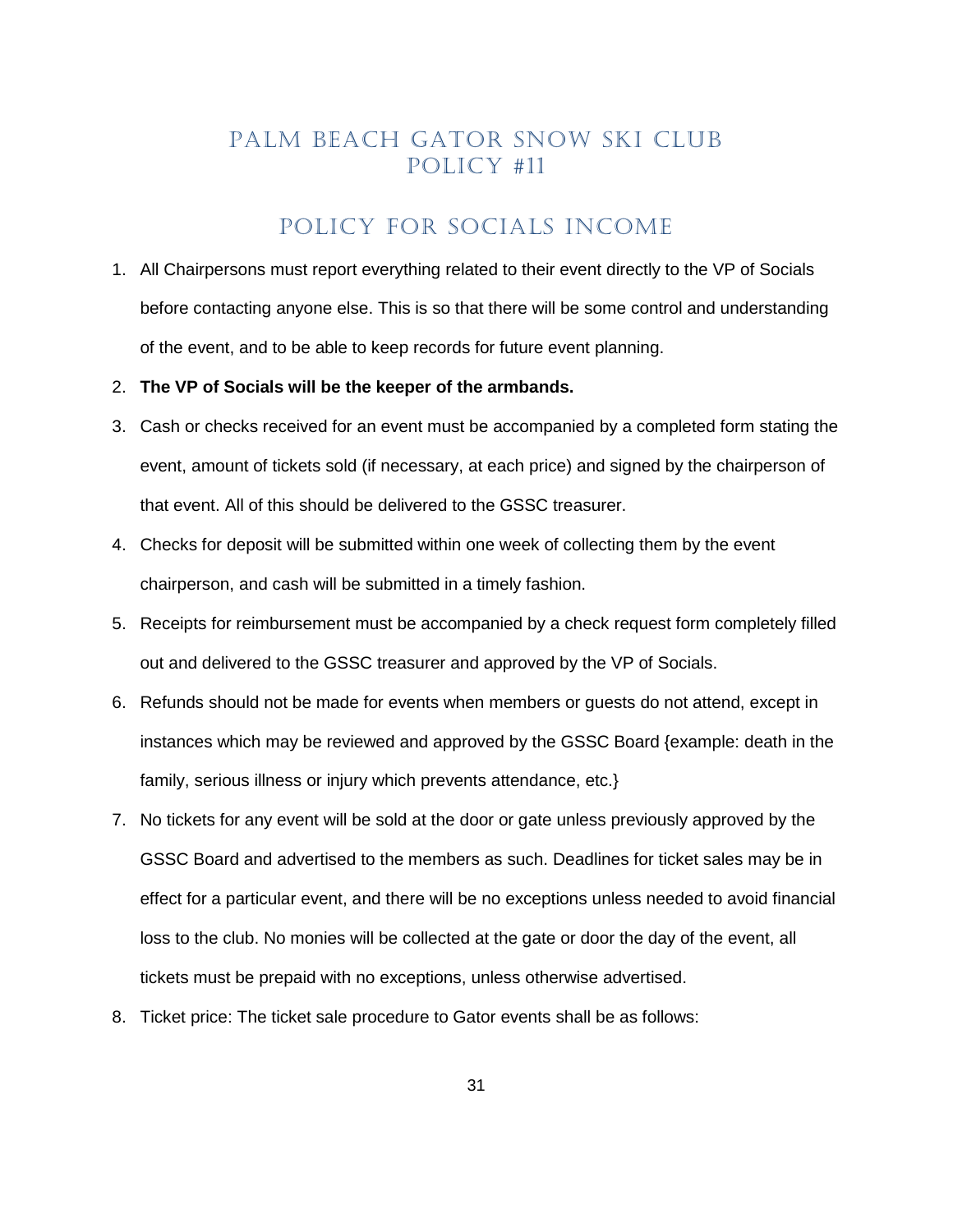# POLICY FOR SOCIALS INCOME

- <span id="page-30-0"></span>1. All Chairpersons must report everything related to their event directly to the VP of Socials before contacting anyone else. This is so that there will be some control and understanding of the event, and to be able to keep records for future event planning.
- 2. **The VP of Socials will be the keeper of the armbands.**
- 3. Cash or checks received for an event must be accompanied by a completed form stating the event, amount of tickets sold (if necessary, at each price) and signed by the chairperson of that event. All of this should be delivered to the GSSC treasurer.
- 4. Checks for deposit will be submitted within one week of collecting them by the event chairperson, and cash will be submitted in a timely fashion.
- 5. Receipts for reimbursement must be accompanied by a check request form completely filled out and delivered to the GSSC treasurer and approved by the VP of Socials.
- 6. Refunds should not be made for events when members or guests do not attend, except in instances which may be reviewed and approved by the GSSC Board {example: death in the family, serious illness or injury which prevents attendance, etc.}
- 7. No tickets for any event will be sold at the door or gate unless previously approved by the GSSC Board and advertised to the members as such. Deadlines for ticket sales may be in effect for a particular event, and there will be no exceptions unless needed to avoid financial loss to the club. No monies will be collected at the gate or door the day of the event, all tickets must be prepaid with no exceptions, unless otherwise advertised.
- 8. Ticket price: The ticket sale procedure to Gator events shall be as follows: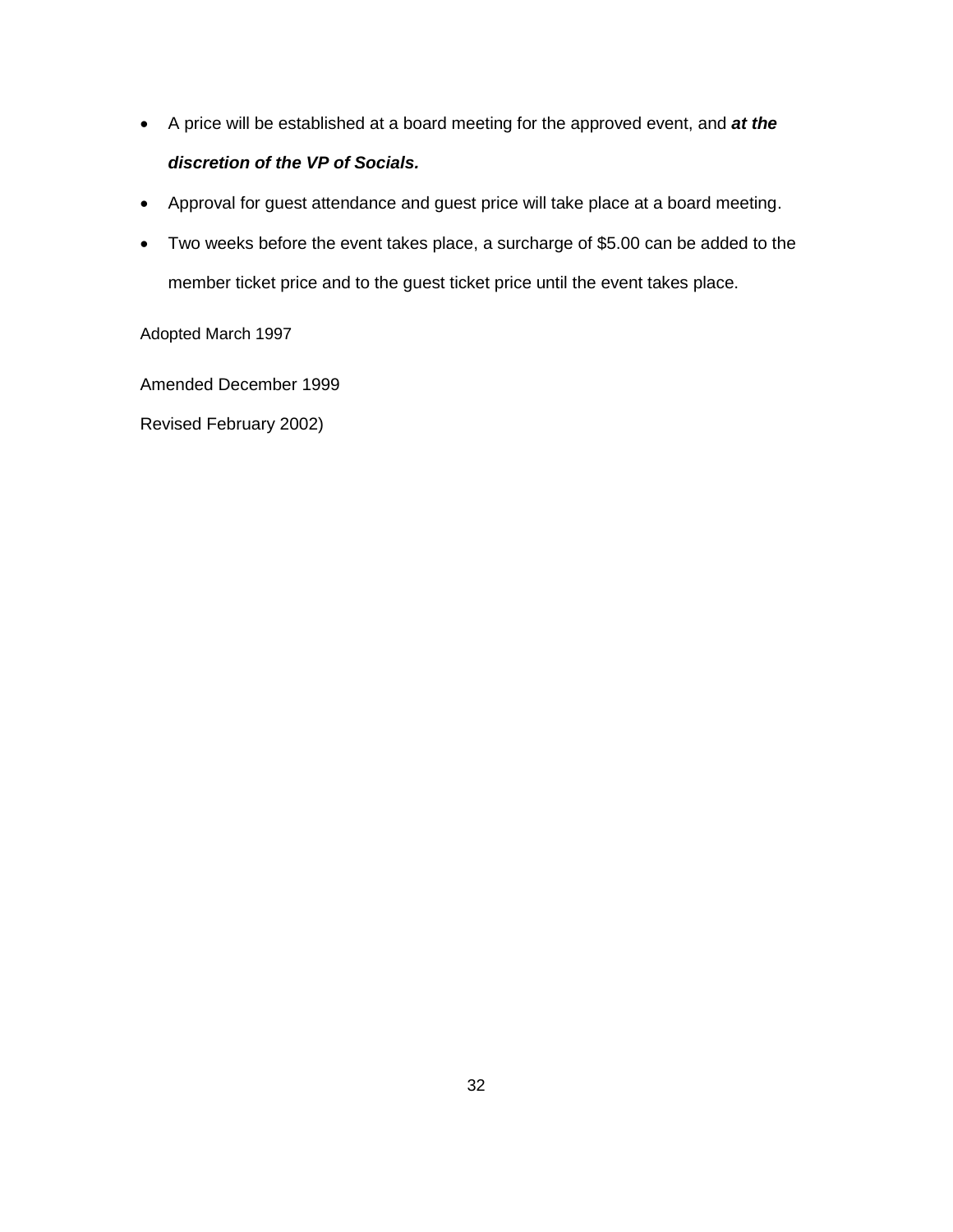- A price will be established at a board meeting for the approved event, and *at the discretion of the VP of Socials.*
- Approval for guest attendance and guest price will take place at a board meeting.
- Two weeks before the event takes place, a surcharge of \$5.00 can be added to the member ticket price and to the guest ticket price until the event takes place.

Adopted March 1997

Amended December 1999

Revised February 2002)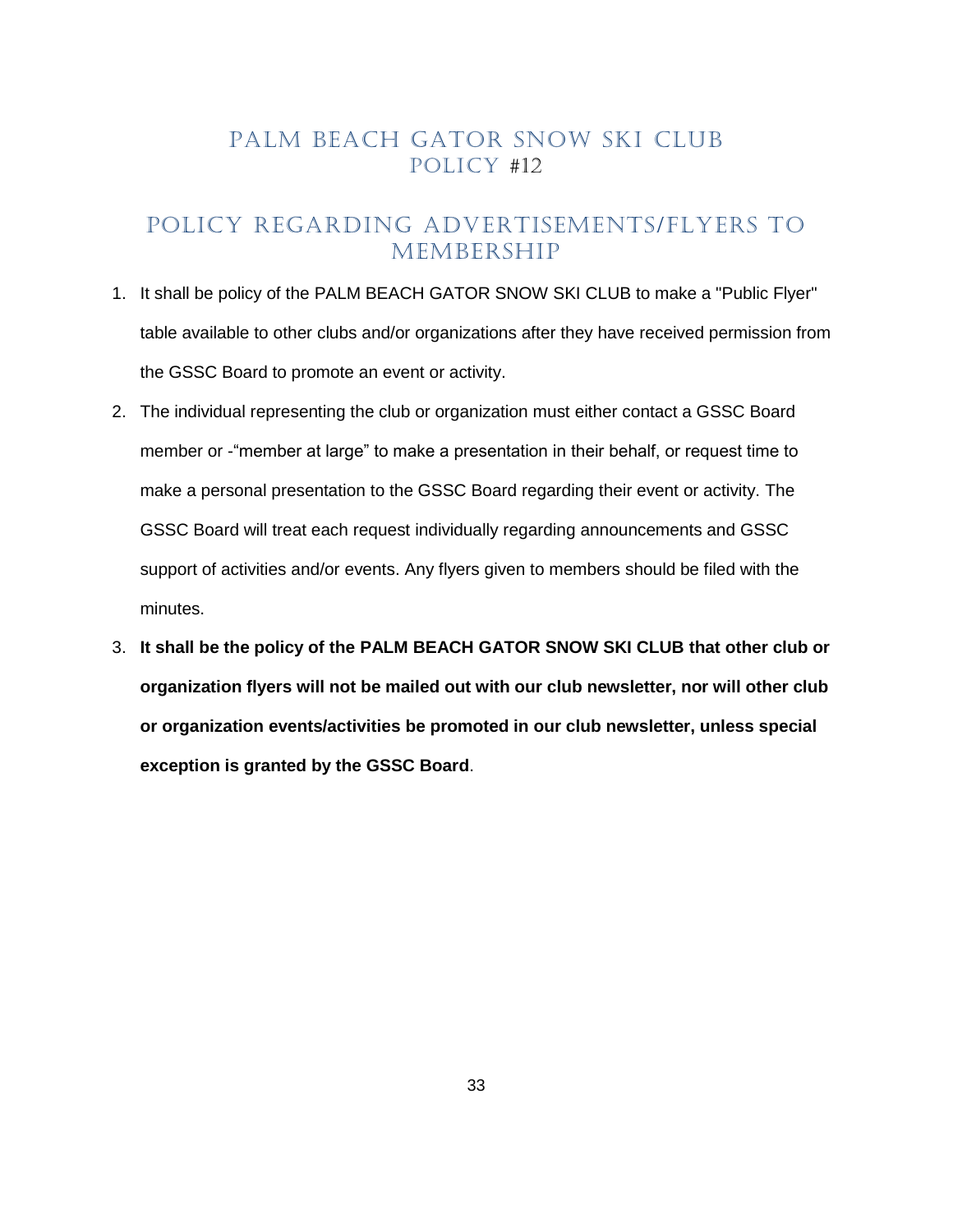### <span id="page-32-0"></span>POLICY REGARDING ADVERTISEMENTS/FLYERS TO MEMBERSHIP

- 1. It shall be policy of the PALM BEACH GATOR SNOW SKI CLUB to make a "Public Flyer" table available to other clubs and/or organizations after they have received permission from the GSSC Board to promote an event or activity.
- 2. The individual representing the club or organization must either contact a GSSC Board member or -"member at large" to make a presentation in their behalf, or request time to make a personal presentation to the GSSC Board regarding their event or activity. The GSSC Board will treat each request individually regarding announcements and GSSC support of activities and/or events. Any flyers given to members should be filed with the minutes.
- 3. **It shall be the policy of the PALM BEACH GATOR SNOW SKI CLUB that other club or organization flyers will not be mailed out with our club newsletter, nor will other club or organization events/activities be promoted in our club newsletter, unless special exception is granted by the GSSC Board**.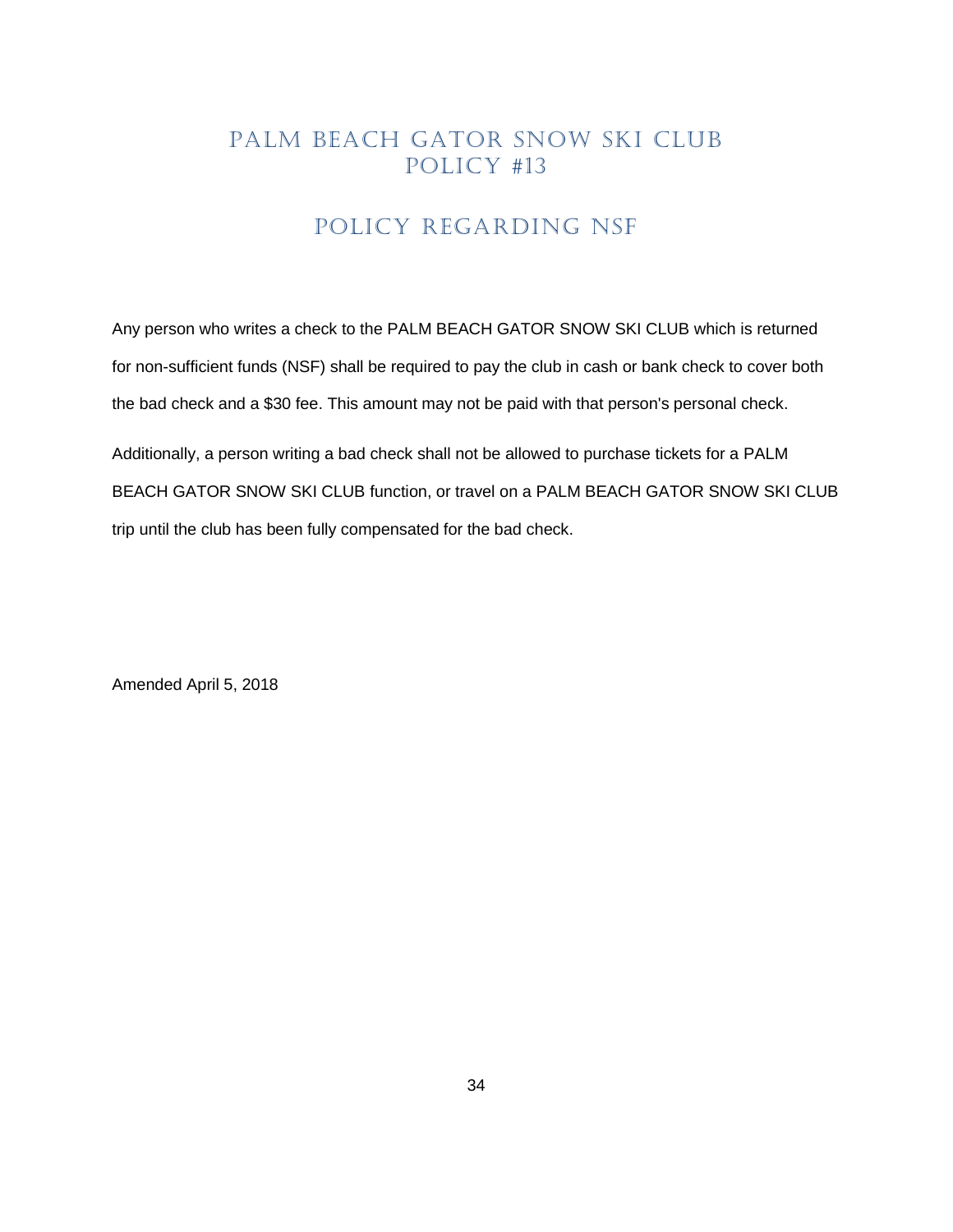# POLICY REGARDING NSF

<span id="page-33-0"></span>Any person who writes a check to the PALM BEACH GATOR SNOW SKI CLUB which is returned for non-sufficient funds (NSF) shall be required to pay the club in cash or bank check to cover both the bad check and a \$30 fee. This amount may not be paid with that person's personal check.

Additionally, a person writing a bad check shall not be allowed to purchase tickets for a PALM BEACH GATOR SNOW SKI CLUB function, or travel on a PALM BEACH GATOR SNOW SKI CLUB trip until the club has been fully compensated for the bad check.

Amended April 5, 2018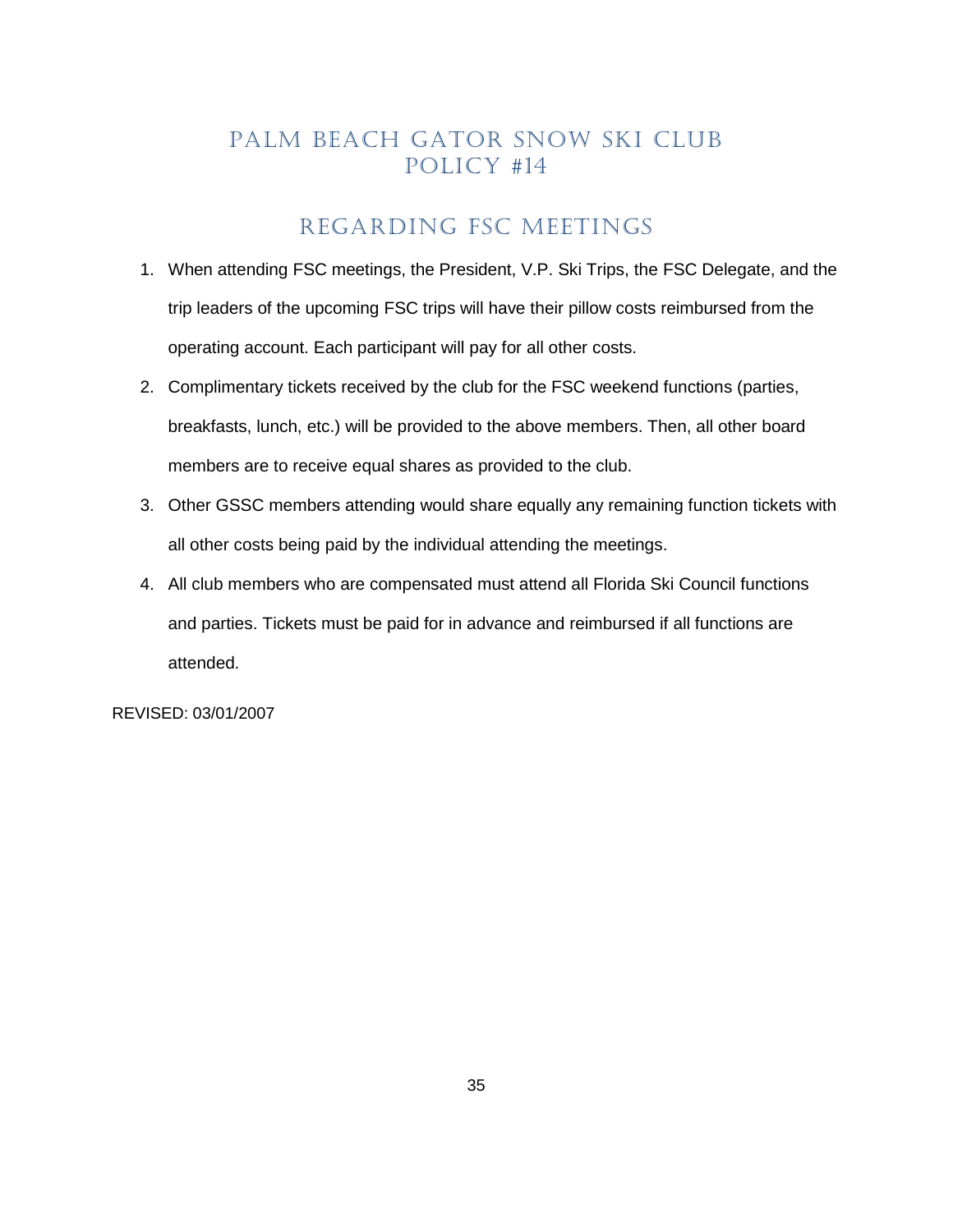# REGARDING FSC MEETINGS

- <span id="page-34-0"></span>1. When attending FSC meetings, the President, V.P. Ski Trips, the FSC Delegate, and the trip leaders of the upcoming FSC trips will have their pillow costs reimbursed from the operating account. Each participant will pay for all other costs.
- 2. Complimentary tickets received by the club for the FSC weekend functions (parties, breakfasts, lunch, etc.) will be provided to the above members. Then, all other board members are to receive equal shares as provided to the club.
- 3. Other GSSC members attending would share equally any remaining function tickets with all other costs being paid by the individual attending the meetings.
- 4. All club members who are compensated must attend all Florida Ski Council functions and parties. Tickets must be paid for in advance and reimbursed if all functions are attended.

REVISED: 03/01/2007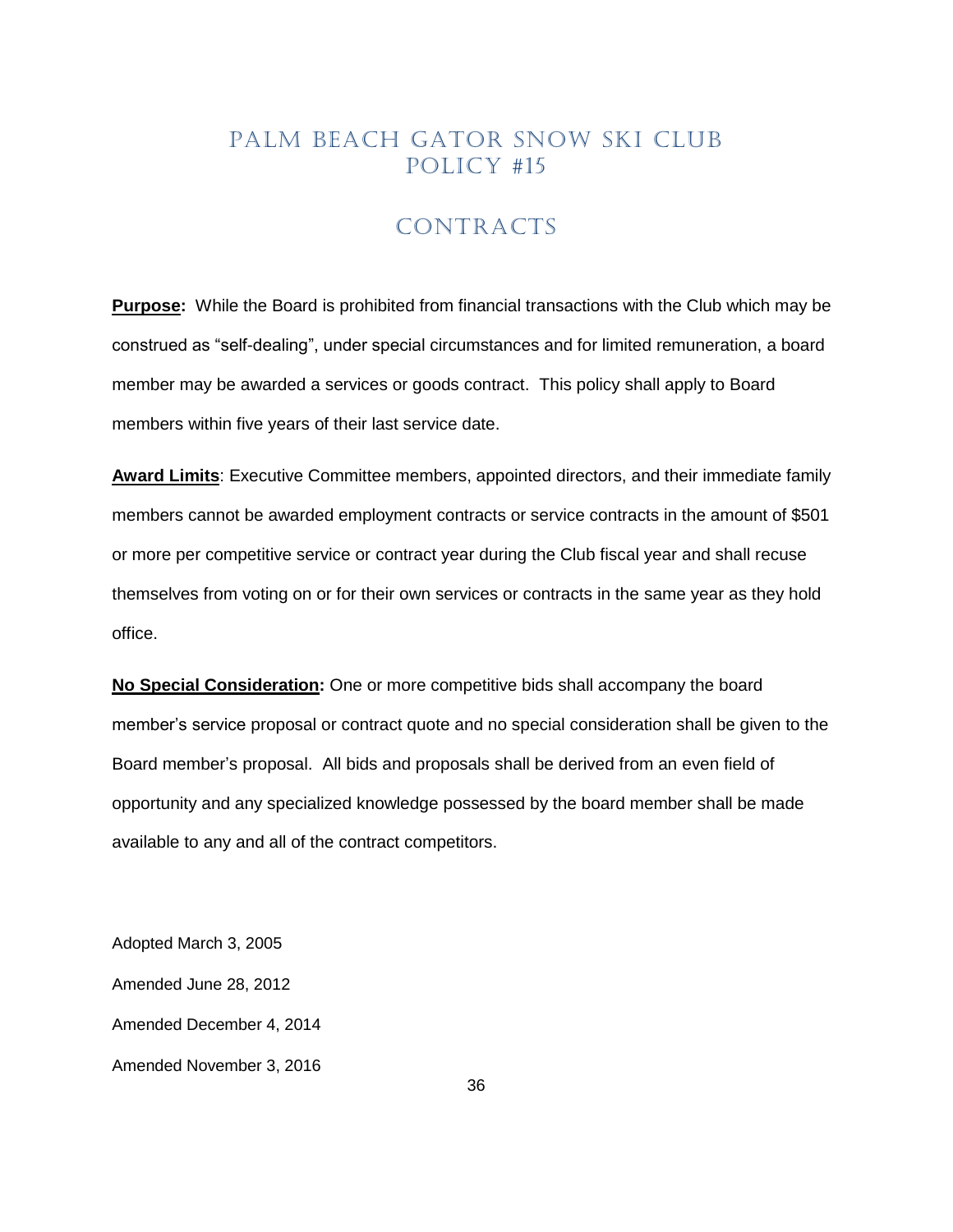# CONTRACTS

<span id="page-35-0"></span>**Purpose:** While the Board is prohibited from financial transactions with the Club which may be construed as "self-dealing", under special circumstances and for limited remuneration, a board member may be awarded a services or goods contract. This policy shall apply to Board members within five years of their last service date.

**Award Limits**: Executive Committee members, appointed directors, and their immediate family members cannot be awarded employment contracts or service contracts in the amount of \$501 or more per competitive service or contract year during the Club fiscal year and shall recuse themselves from voting on or for their own services or contracts in the same year as they hold office.

**No Special Consideration:** One or more competitive bids shall accompany the board member's service proposal or contract quote and no special consideration shall be given to the Board member's proposal. All bids and proposals shall be derived from an even field of opportunity and any specialized knowledge possessed by the board member shall be made available to any and all of the contract competitors.

Adopted March 3, 2005 Amended June 28, 2012 Amended December 4, 2014 Amended November 3, 2016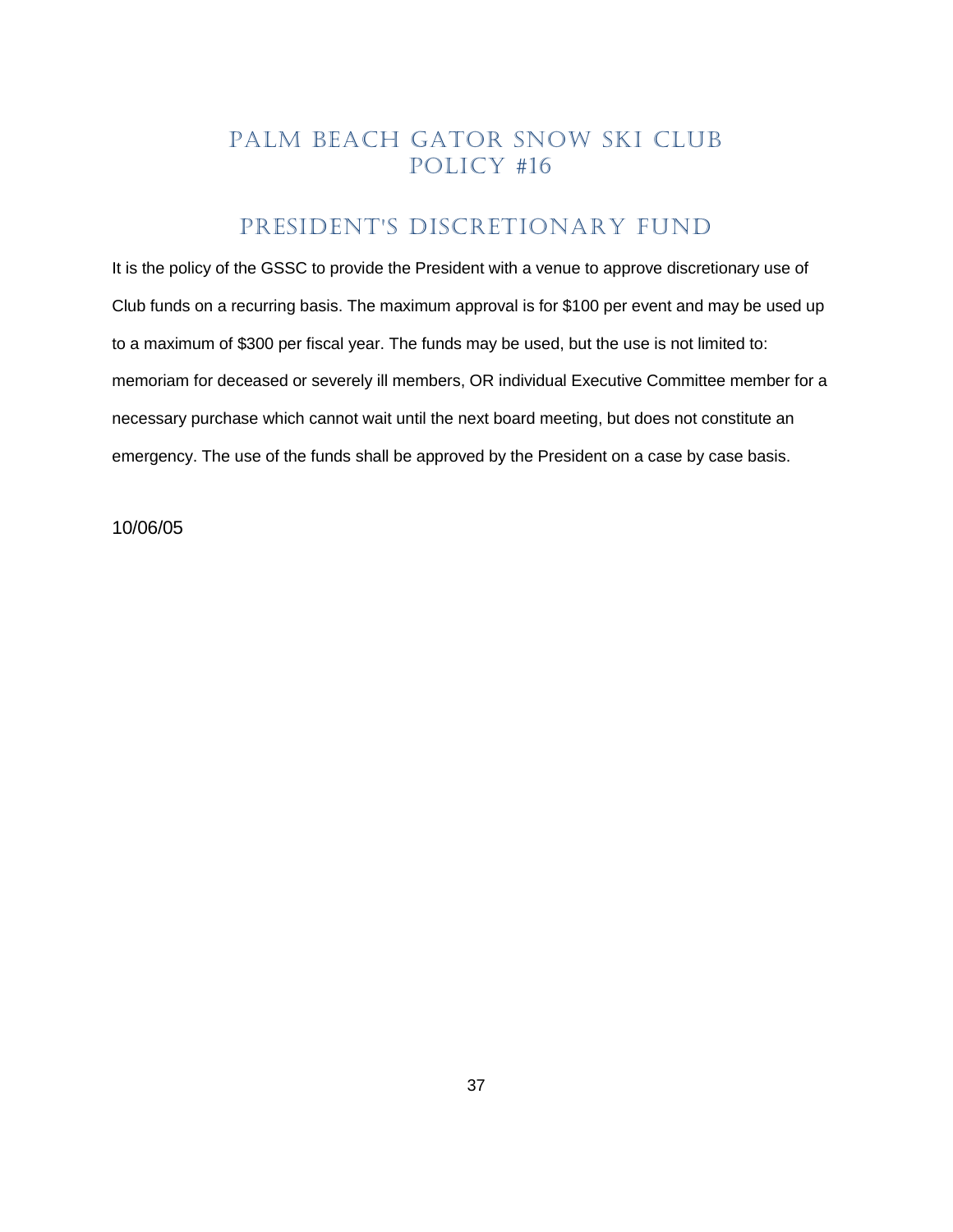## PRESIDENT'S DISCRETIONARY FUND

<span id="page-36-0"></span>It is the policy of the GSSC to provide the President with a venue to approve discretionary use of Club funds on a recurring basis. The maximum approval is for \$100 per event and may be used up to a maximum of \$300 per fiscal year. The funds may be used, but the use is not limited to: memoriam for deceased or severely ill members, OR individual Executive Committee member for a necessary purchase which cannot wait until the next board meeting, but does not constitute an emergency. The use of the funds shall be approved by the President on a case by case basis.

10/06/05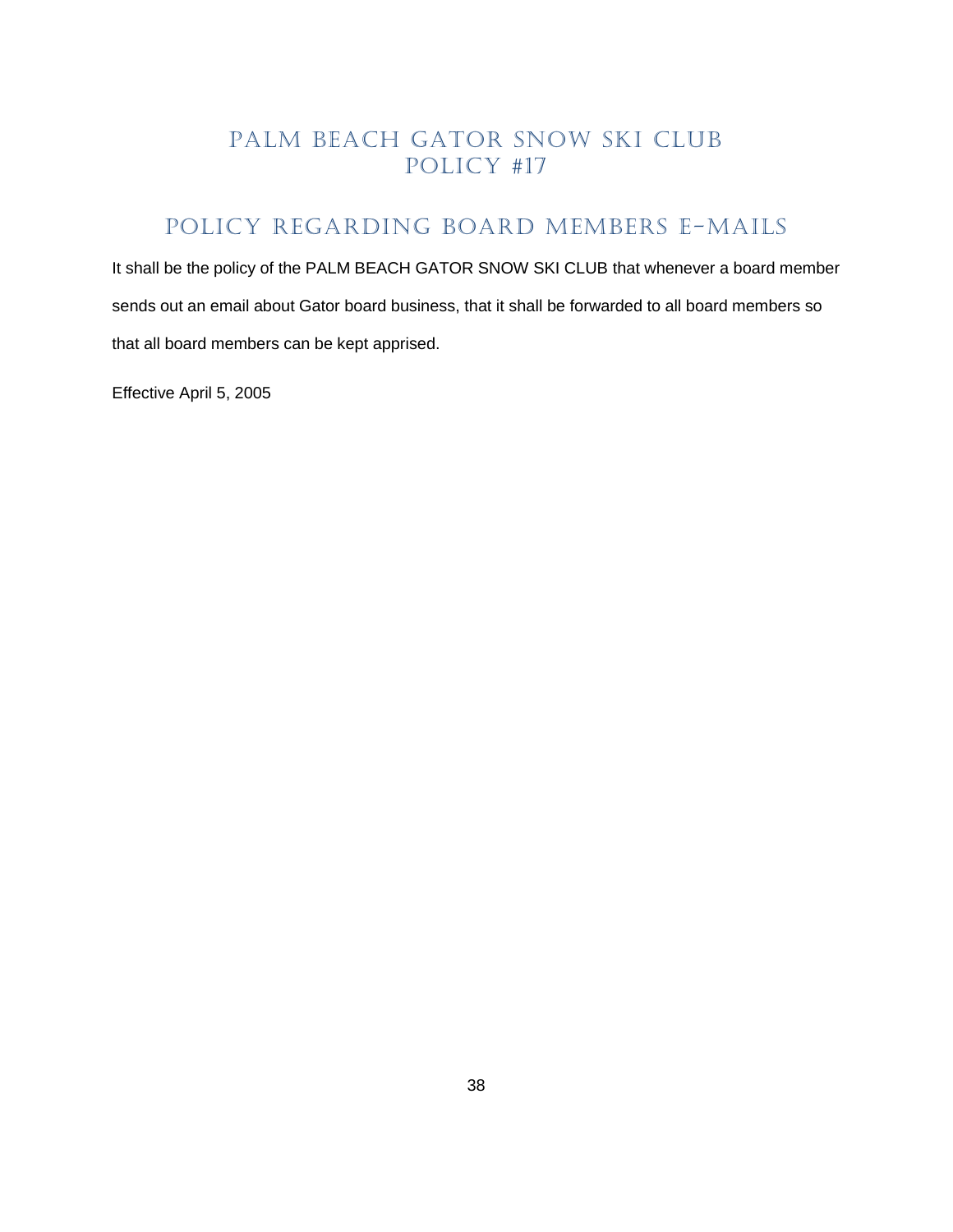# <span id="page-37-0"></span>POLICY REGARDING BOARD MEMBERS E-MAILS

It shall be the policy of the PALM BEACH GATOR SNOW SKI CLUB that whenever a board member sends out an email about Gator board business, that it shall be forwarded to all board members so that all board members can be kept apprised.

Effective April 5, 2005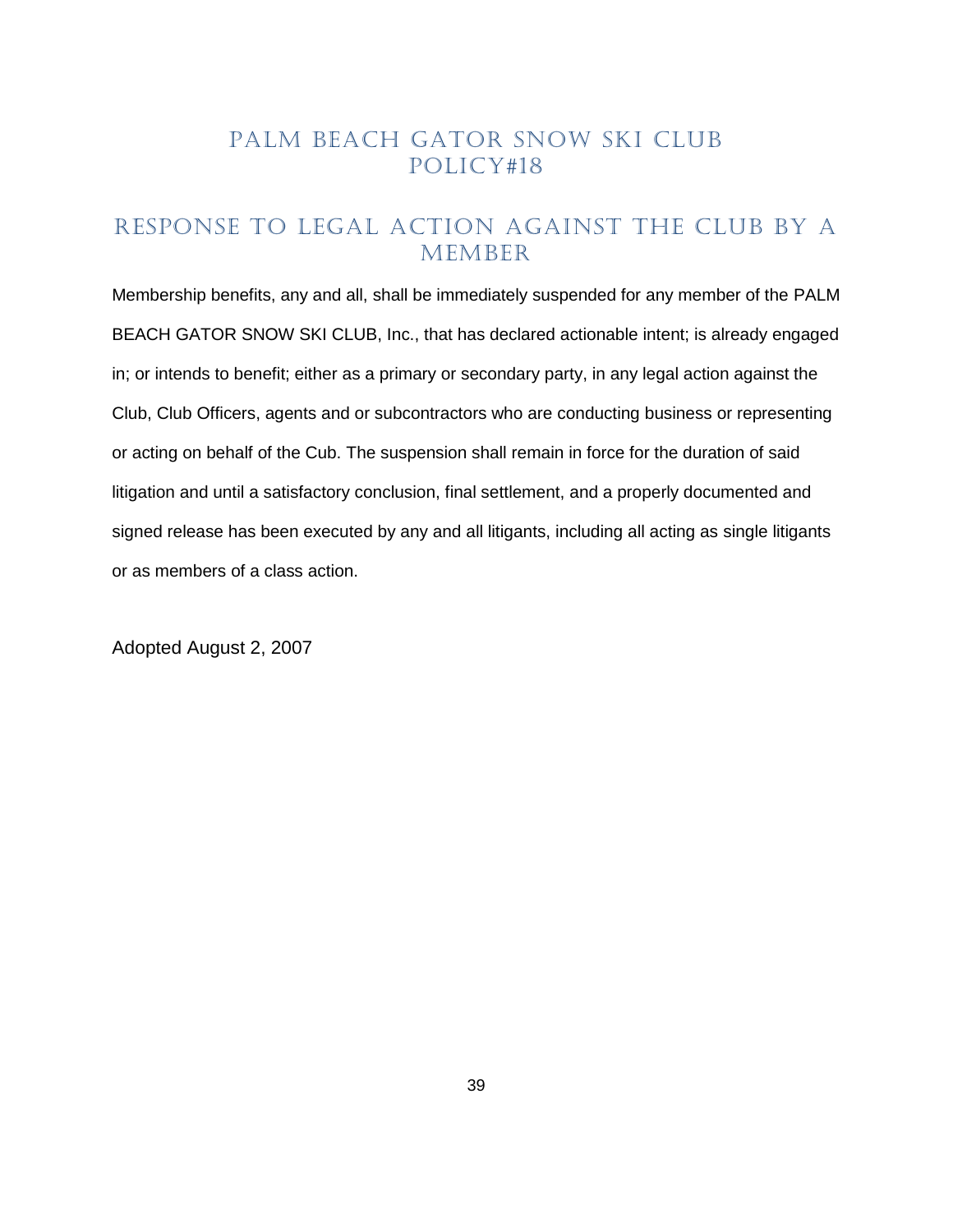### <span id="page-38-0"></span>RESPONSE TO LEGAL ACTION AGAINST THE CLUB BY A MEMBER

Membership benefits, any and all, shall be immediately suspended for any member of the PALM BEACH GATOR SNOW SKI CLUB, Inc., that has declared actionable intent; is already engaged in; or intends to benefit; either as a primary or secondary party, in any legal action against the Club, Club Officers, agents and or subcontractors who are conducting business or representing or acting on behalf of the Cub. The suspension shall remain in force for the duration of said litigation and until a satisfactory conclusion, final settlement, and a properly documented and signed release has been executed by any and all litigants, including all acting as single litigants or as members of a class action.

Adopted August 2, 2007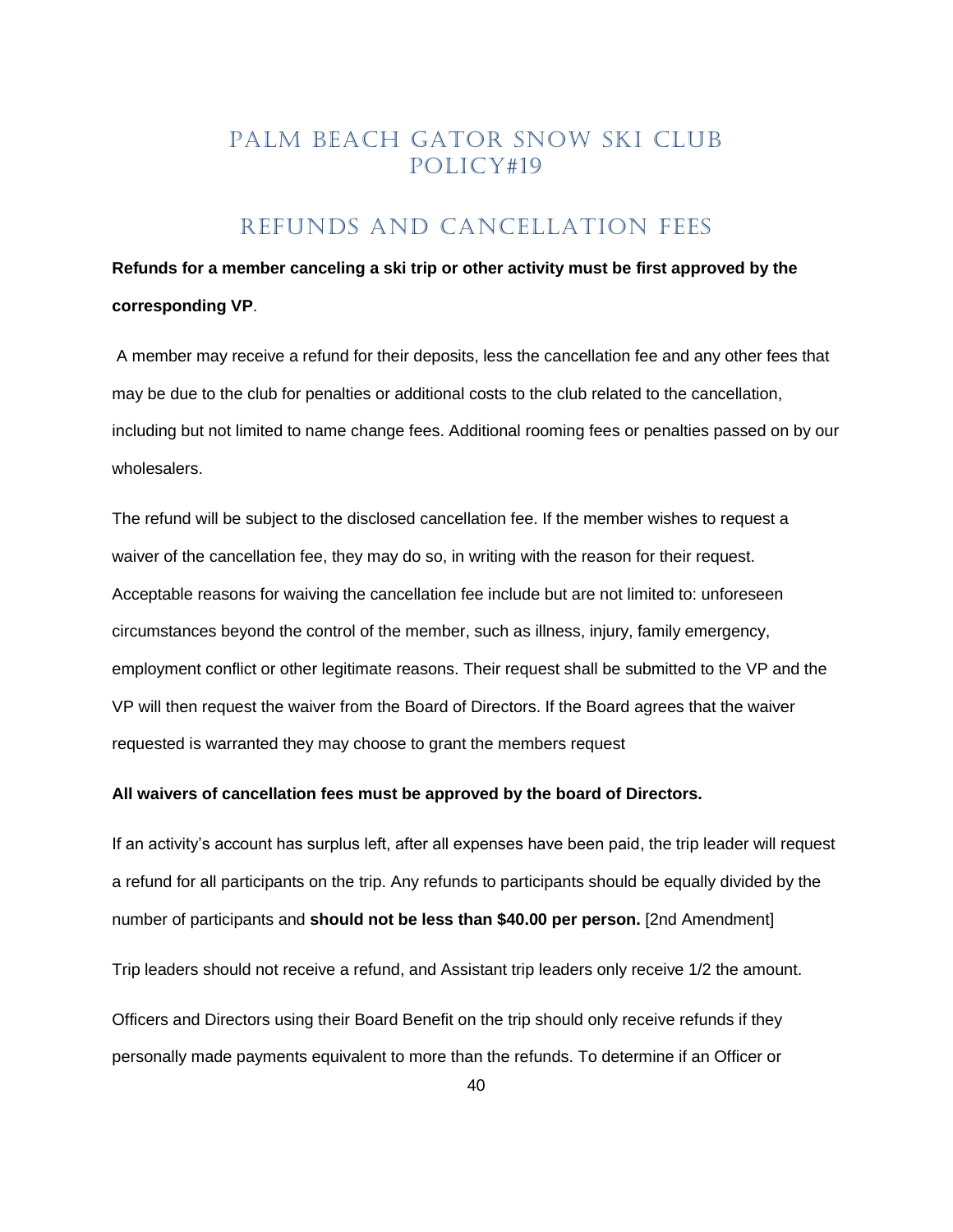# REFUNDS and Cancellation Fees

# <span id="page-39-0"></span>**Refunds for a member canceling a ski trip or other activity must be first approved by the corresponding VP**.

A member may receive a refund for their deposits, less the cancellation fee and any other fees that may be due to the club for penalties or additional costs to the club related to the cancellation, including but not limited to name change fees. Additional rooming fees or penalties passed on by our wholesalers.

The refund will be subject to the disclosed cancellation fee. If the member wishes to request a waiver of the cancellation fee, they may do so, in writing with the reason for their request. Acceptable reasons for waiving the cancellation fee include but are not limited to: unforeseen circumstances beyond the control of the member, such as illness, injury, family emergency, employment conflict or other legitimate reasons. Their request shall be submitted to the VP and the VP will then request the waiver from the Board of Directors. If the Board agrees that the waiver requested is warranted they may choose to grant the members request

#### **All waivers of cancellation fees must be approved by the board of Directors.**

If an activity's account has surplus left, after all expenses have been paid, the trip leader will request a refund for all participants on the trip. Any refunds to participants should be equally divided by the number of participants and **should not be less than \$40.00 per person.** [2nd Amendment] Trip leaders should not receive a refund, and Assistant trip leaders only receive 1/2 the amount. Officers and Directors using their Board Benefit on the trip should only receive refunds if they personally made payments equivalent to more than the refunds. To determine if an Officer or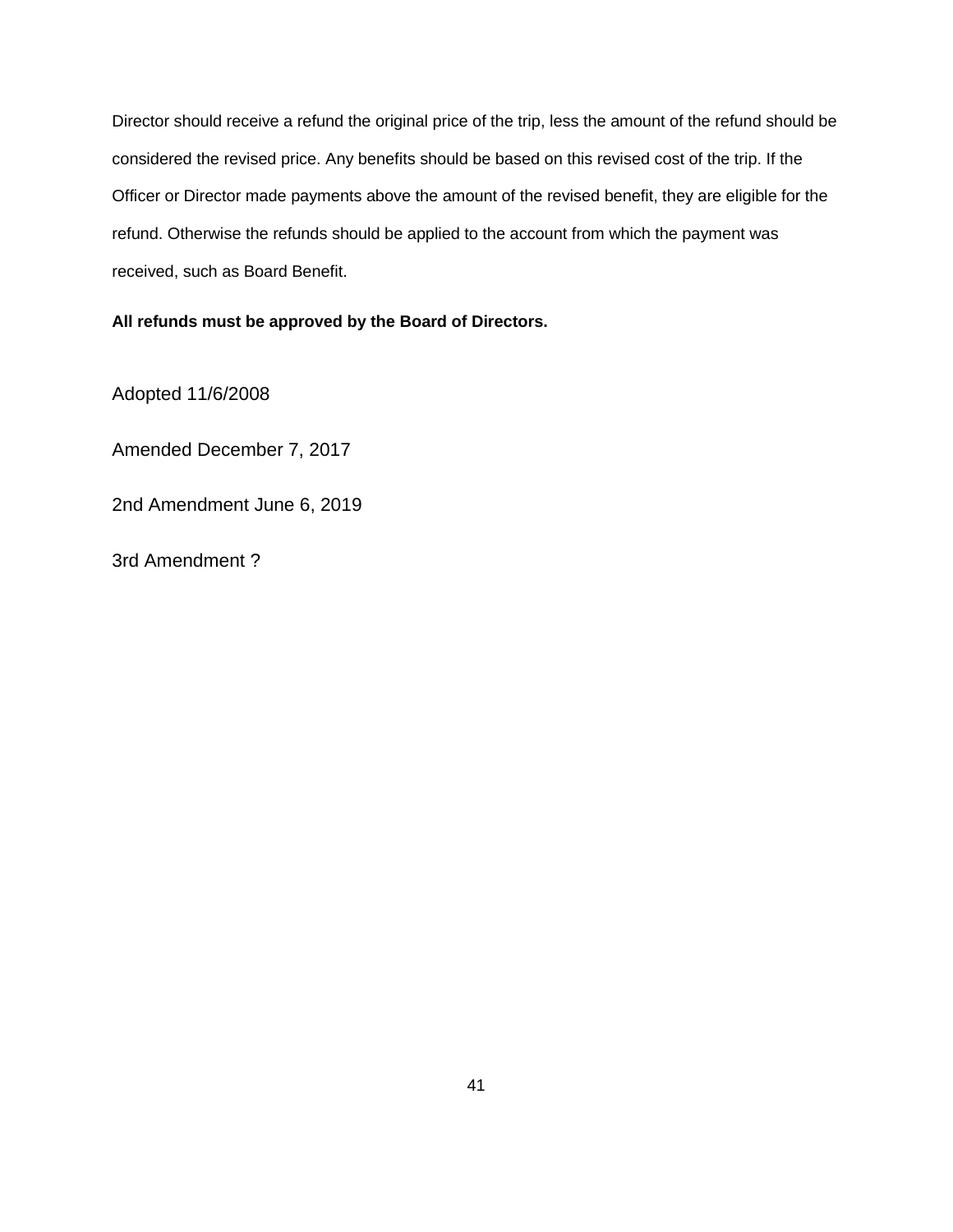Director should receive a refund the original price of the trip, less the amount of the refund should be considered the revised price. Any benefits should be based on this revised cost of the trip. If the Officer or Director made payments above the amount of the revised benefit, they are eligible for the refund. Otherwise the refunds should be applied to the account from which the payment was received, such as Board Benefit.

**All refunds must be approved by the Board of Directors.**

Adopted 11/6/2008

Amended December 7, 2017

2nd Amendment June 6, 2019

3rd Amendment ?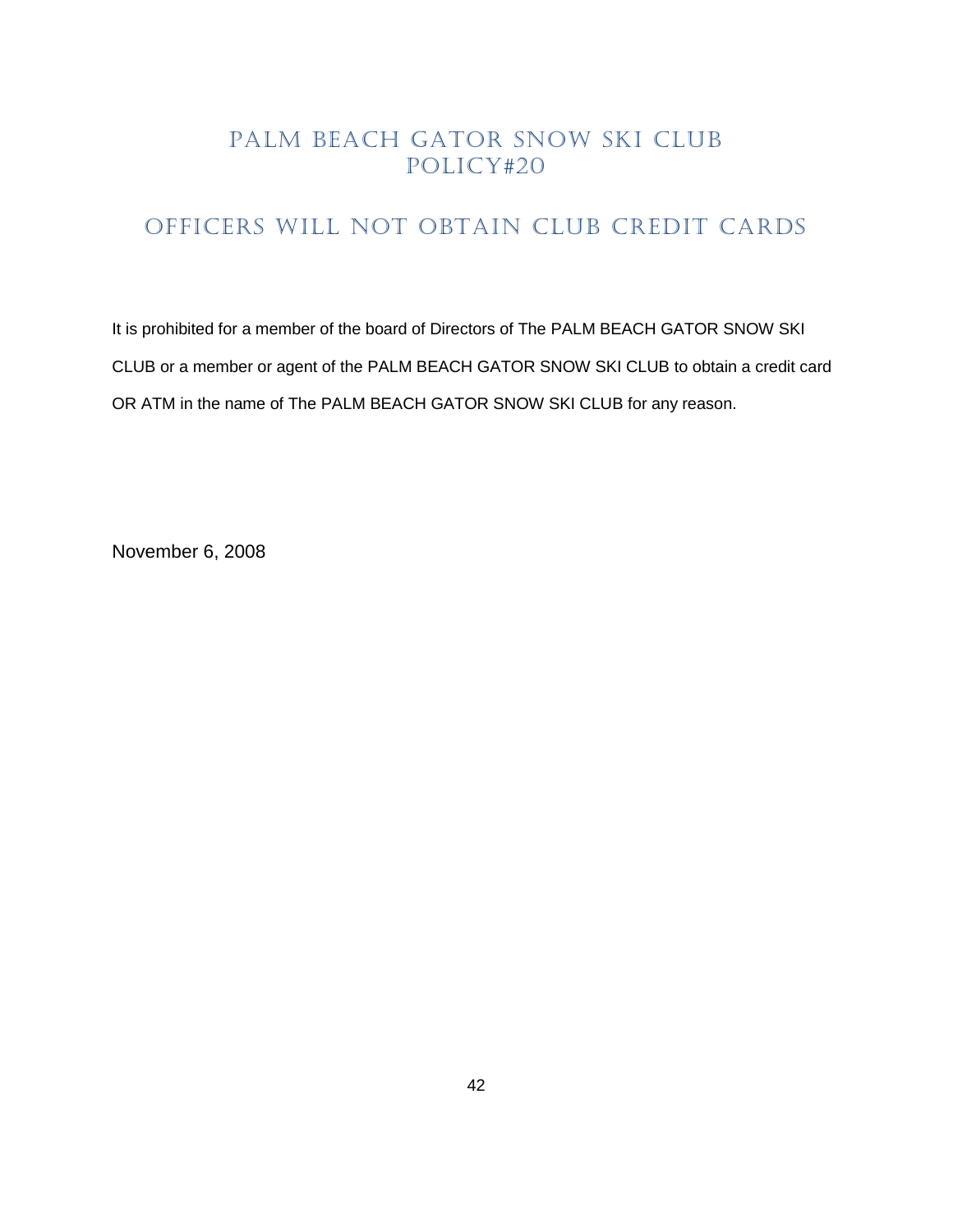# <span id="page-41-0"></span>OFFICERS WILL NOT OBTAIN CLUB CREDIT CARDS

It is prohibited for a member of the board of Directors of The PALM BEACH GATOR SNOW SKI CLUB or a member or agent of the PALM BEACH GATOR SNOW SKI CLUB to obtain a credit card OR ATM in the name of The PALM BEACH GATOR SNOW SKI CLUB for any reason.

November 6, 2008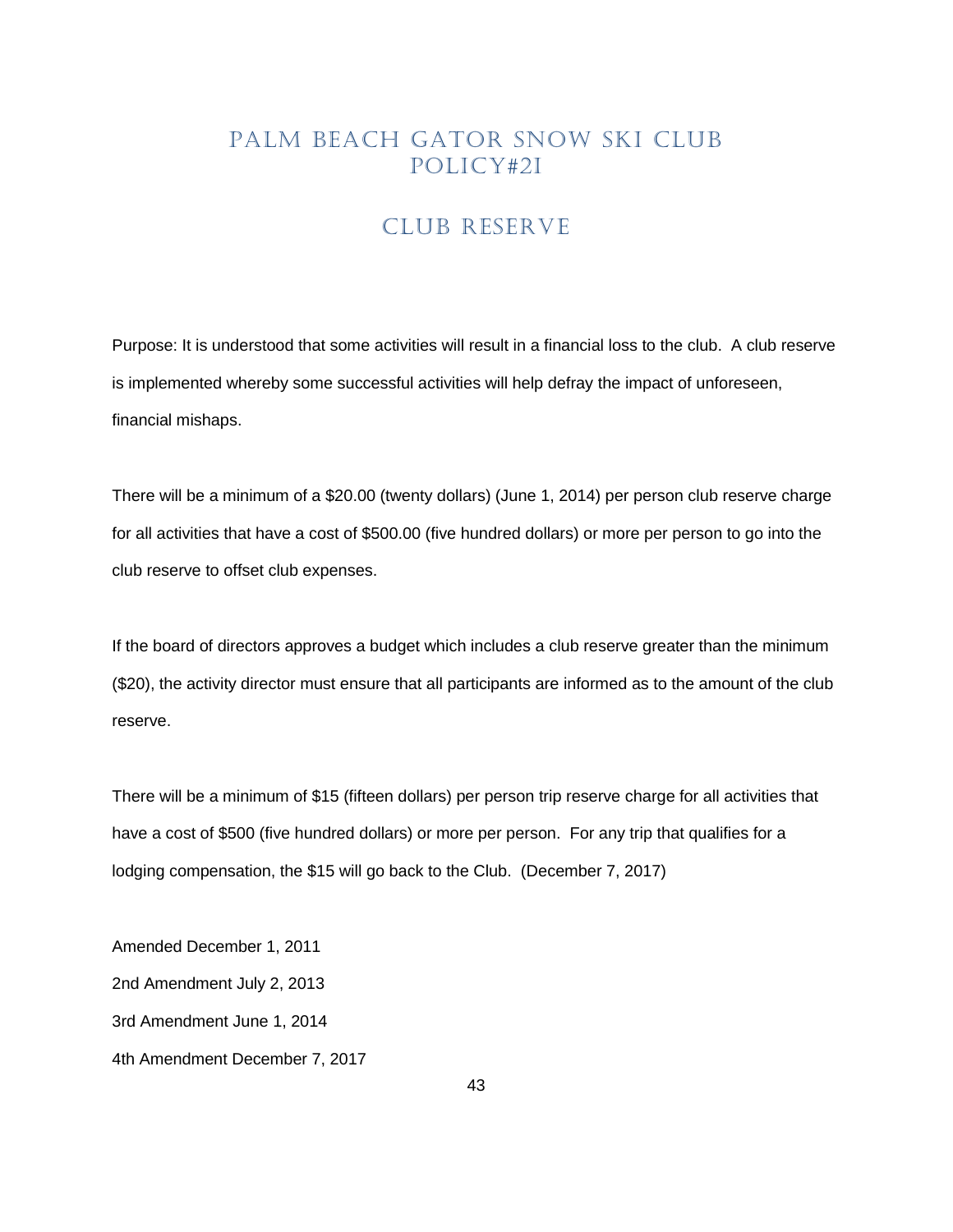#### CLUB RESERVE

<span id="page-42-0"></span>Purpose: It is understood that some activities will result in a financial loss to the club. A club reserve is implemented whereby some successful activities will help defray the impact of unforeseen, financial mishaps.

There will be a minimum of a \$20.00 (twenty dollars) (June 1, 2014) per person club reserve charge for all activities that have a cost of \$500.00 (five hundred dollars) or more per person to go into the club reserve to offset club expenses.

If the board of directors approves a budget which includes a club reserve greater than the minimum (\$20), the activity director must ensure that all participants are informed as to the amount of the club reserve.

There will be a minimum of \$15 (fifteen dollars) per person trip reserve charge for all activities that have a cost of \$500 (five hundred dollars) or more per person. For any trip that qualifies for a lodging compensation, the \$15 will go back to the Club. (December 7, 2017)

Amended December 1, 2011 2nd Amendment July 2, 2013 3rd Amendment June 1, 2014 4th Amendment December 7, 2017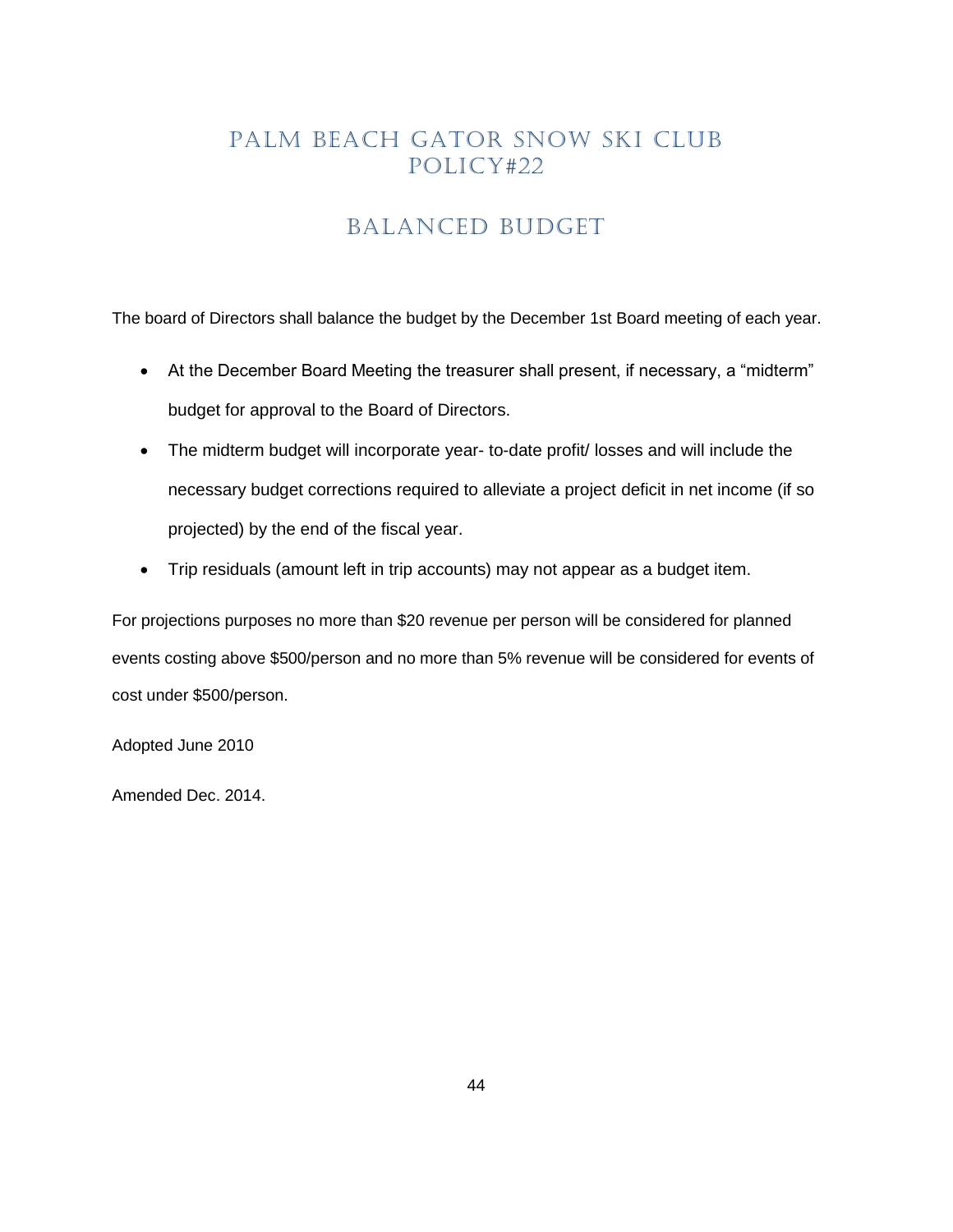# BALANCED BUDGET

<span id="page-43-0"></span>The board of Directors shall balance the budget by the December 1st Board meeting of each year.

- At the December Board Meeting the treasurer shall present, if necessary, a "midterm" budget for approval to the Board of Directors.
- The midterm budget will incorporate year- to-date profit/ losses and will include the necessary budget corrections required to alleviate a project deficit in net income (if so projected) by the end of the fiscal year.
- Trip residuals (amount left in trip accounts) may not appear as a budget item.

For projections purposes no more than \$20 revenue per person will be considered for planned events costing above \$500/person and no more than 5% revenue will be considered for events of cost under \$500/person.

Adopted June 2010

Amended Dec. 2014.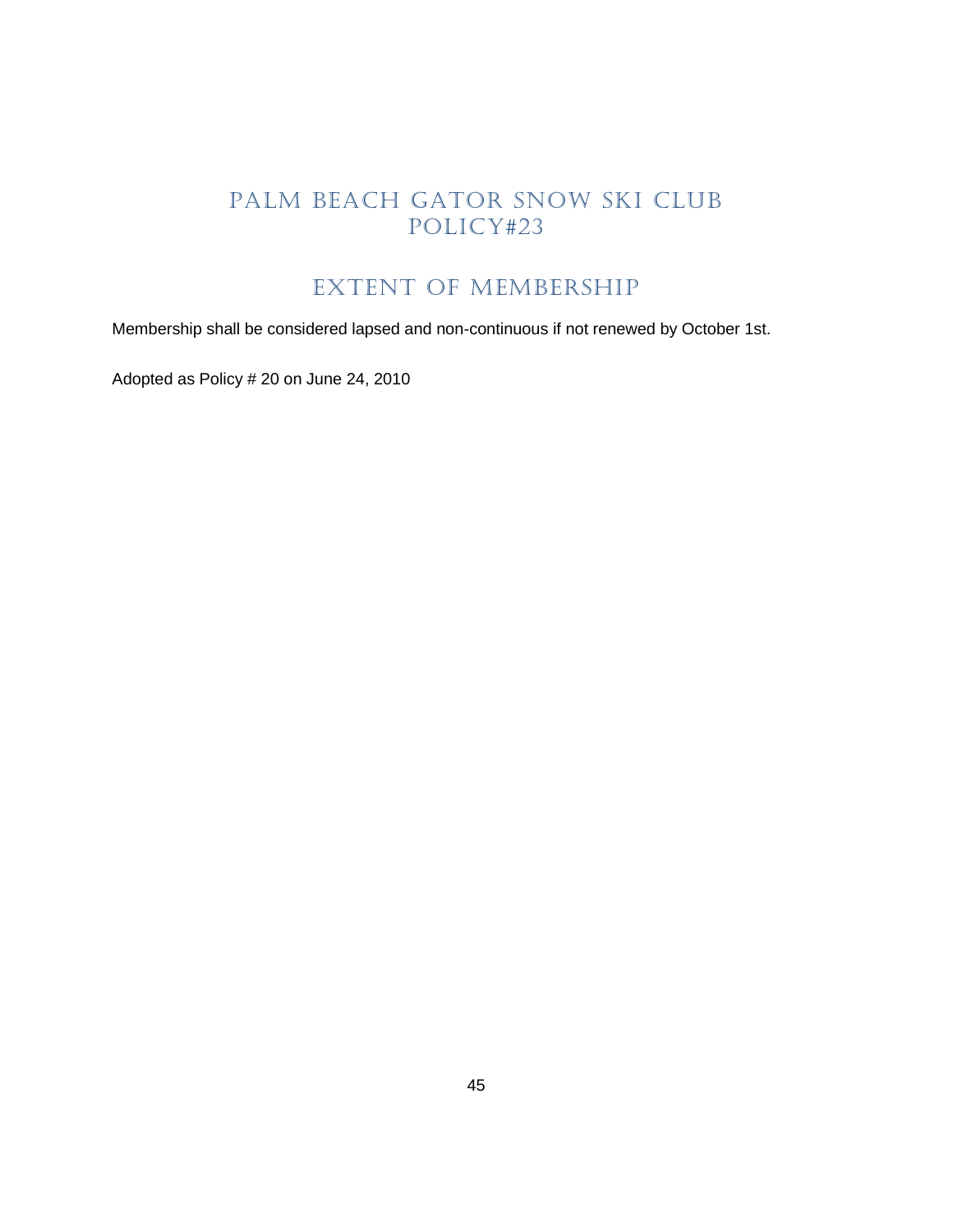# EXTENT OF MEMBERSHIP

<span id="page-44-0"></span>Membership shall be considered lapsed and non-continuous if not renewed by October 1st.

Adopted as Policy # 20 on June 24, 2010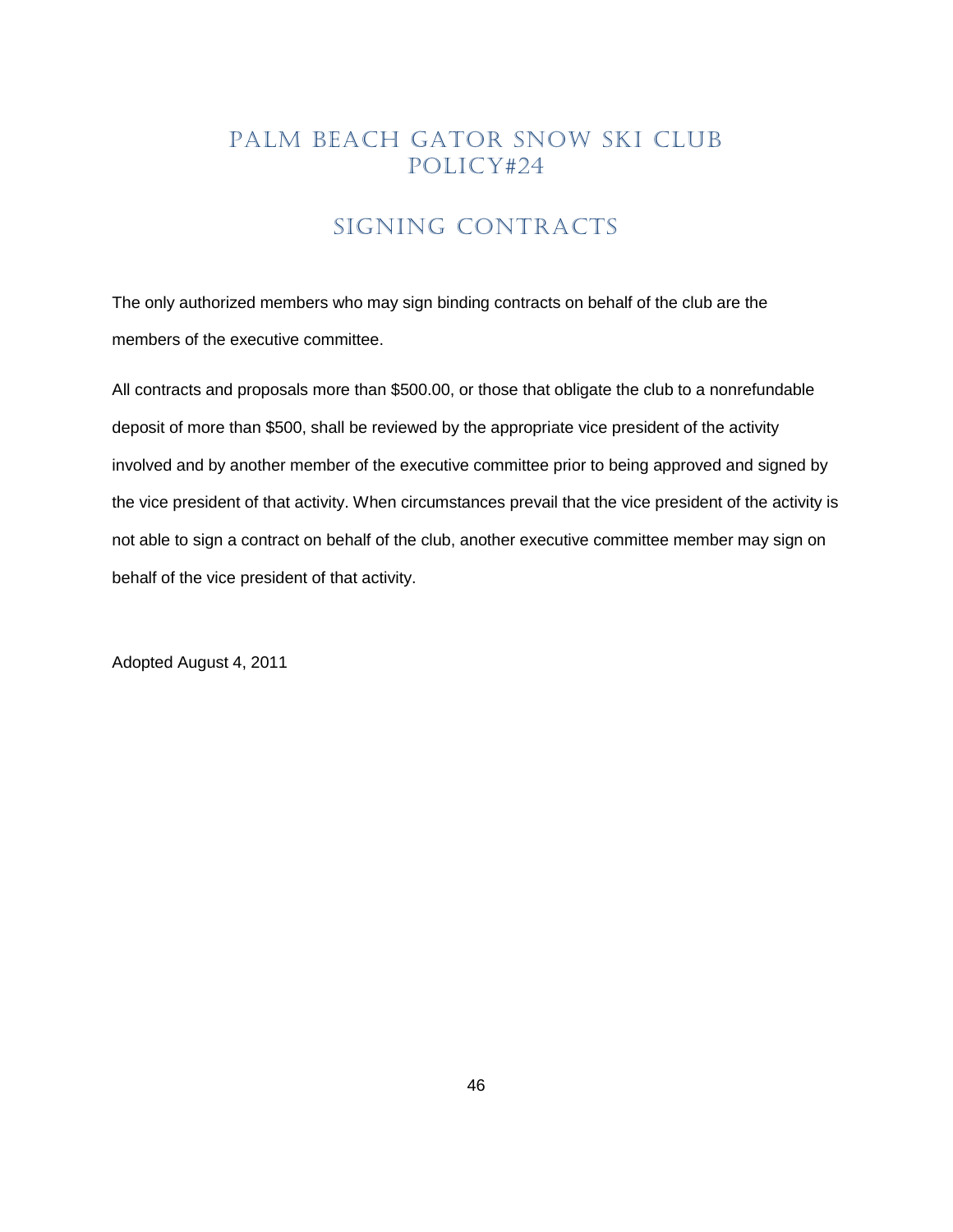# SIGNING CONTRACTS

<span id="page-45-0"></span>The only authorized members who may sign binding contracts on behalf of the club are the members of the executive committee.

All contracts and proposals more than \$500.00, or those that obligate the club to a nonrefundable deposit of more than \$500, shall be reviewed by the appropriate vice president of the activity involved and by another member of the executive committee prior to being approved and signed by the vice president of that activity. When circumstances prevail that the vice president of the activity is not able to sign a contract on behalf of the club, another executive committee member may sign on behalf of the vice president of that activity.

Adopted August 4, 2011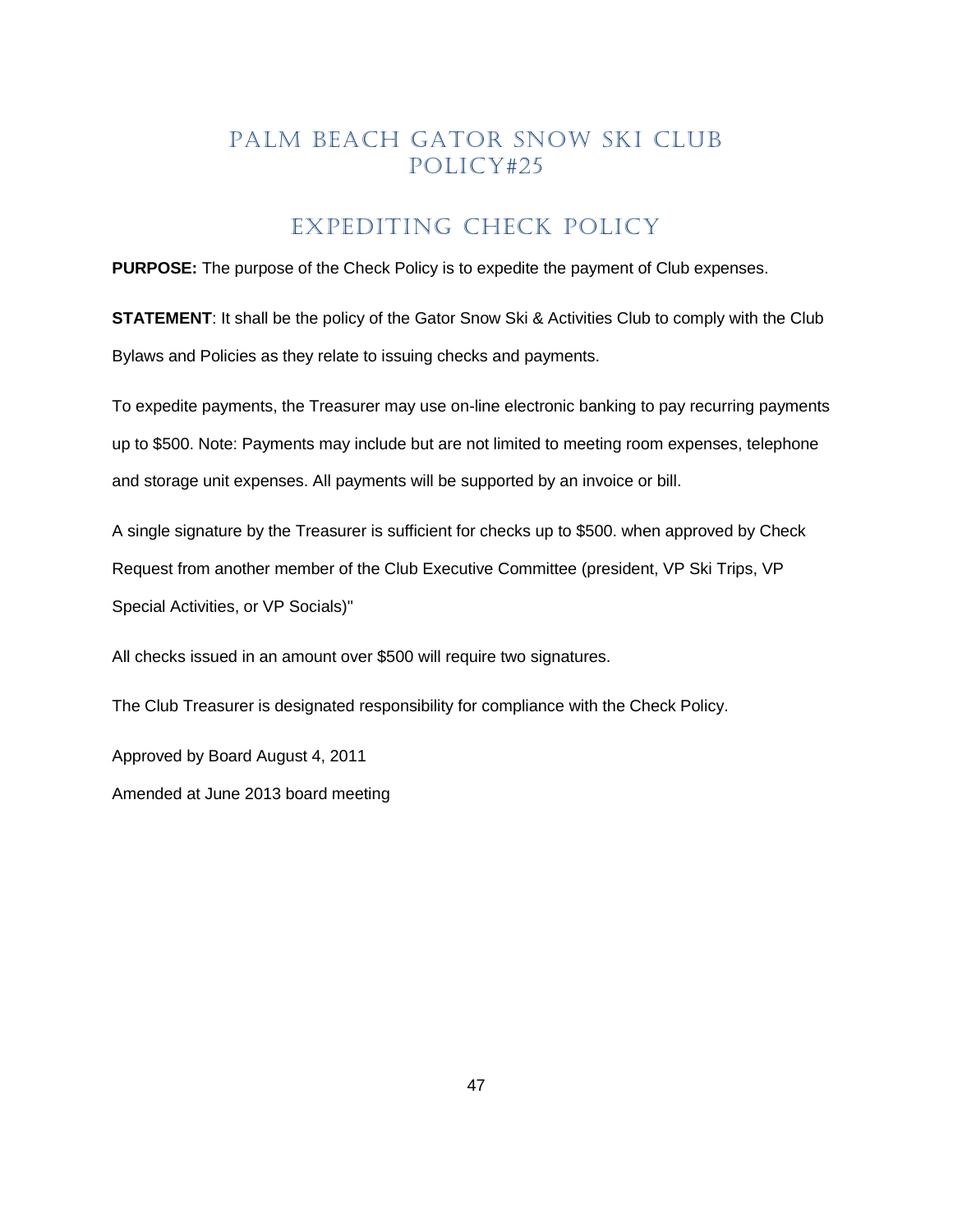#### EXPEDITING CHECK POLICY

<span id="page-46-0"></span>**PURPOSE:** The purpose of the Check Policy is to expedite the payment of Club expenses.

**STATEMENT**: It shall be the policy of the Gator Snow Ski & Activities Club to comply with the Club Bylaws and Policies as they relate to issuing checks and payments.

To expedite payments, the Treasurer may use on-line electronic banking to pay recurring payments up to \$500. Note: Payments may include but are not limited to meeting room expenses, telephone and storage unit expenses. All payments will be supported by an invoice or bill.

A single signature by the Treasurer is sufficient for checks up to \$500. when approved by Check Request from another member of the Club Executive Committee (president, VP Ski Trips, VP Special Activities, or VP Socials)"

All checks issued in an amount over \$500 will require two signatures.

The Club Treasurer is designated responsibility for compliance with the Check Policy.

Approved by Board August 4, 2011

Amended at June 2013 board meeting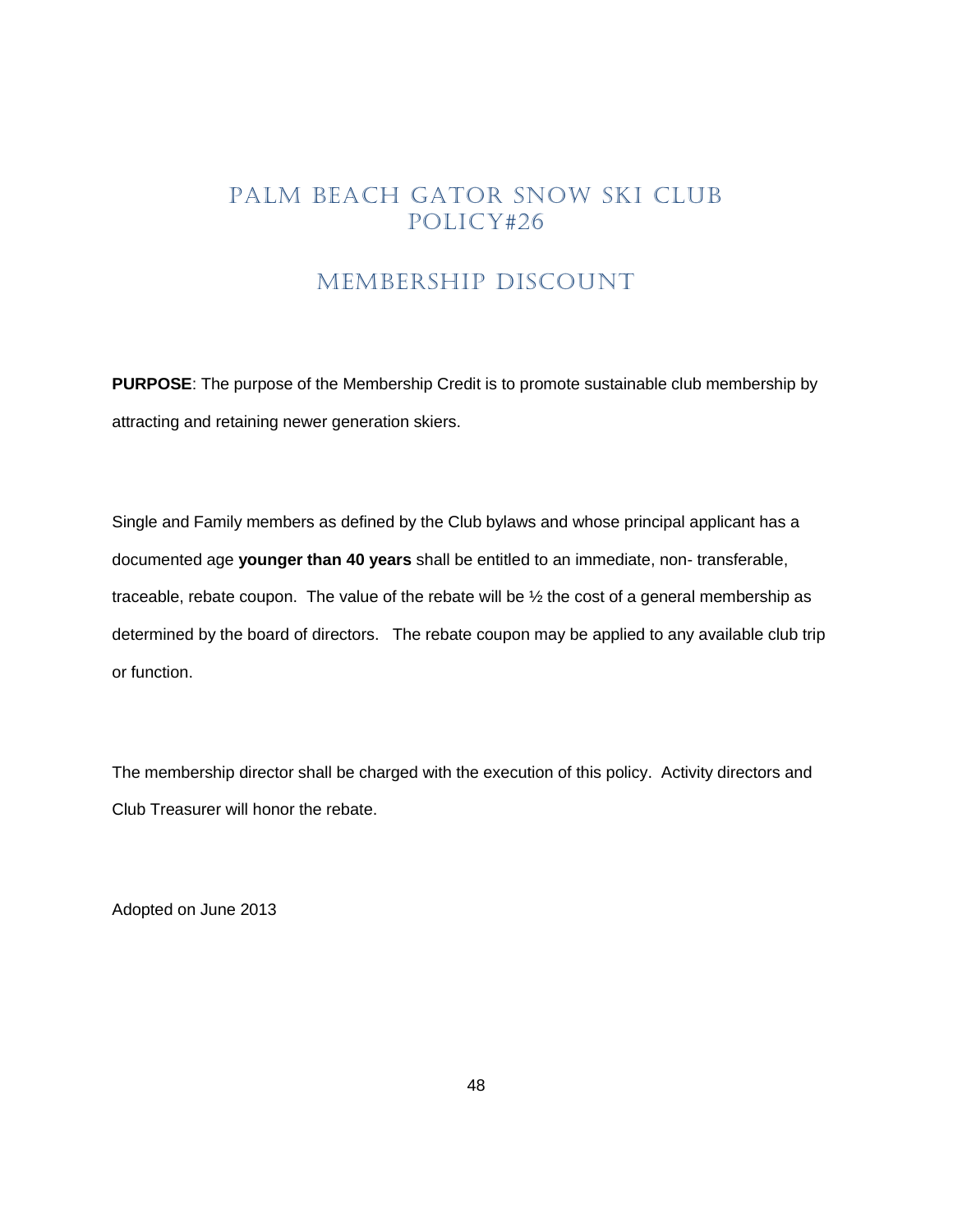#### MEMBERSHIP DISCOUNT

<span id="page-47-0"></span>**PURPOSE**: The purpose of the Membership Credit is to promote sustainable club membership by attracting and retaining newer generation skiers.

Single and Family members as defined by the Club bylaws and whose principal applicant has a documented age **younger than 40 years** shall be entitled to an immediate, non- transferable, traceable, rebate coupon. The value of the rebate will be ½ the cost of a general membership as determined by the board of directors. The rebate coupon may be applied to any available club trip or function.

The membership director shall be charged with the execution of this policy. Activity directors and Club Treasurer will honor the rebate.

Adopted on June 2013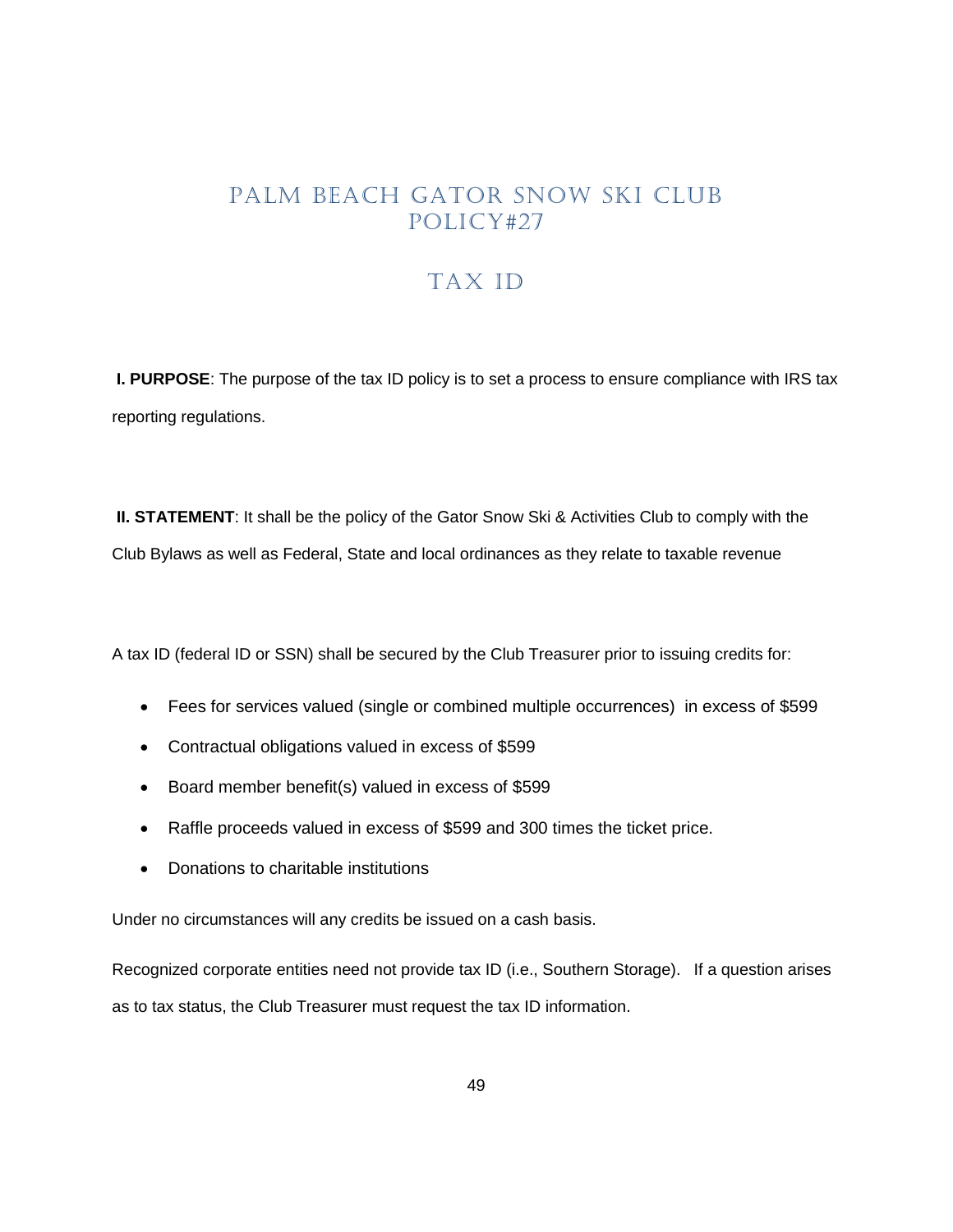# TAX ID

<span id="page-48-0"></span>**I. PURPOSE**: The purpose of the tax ID policy is to set a process to ensure compliance with IRS tax reporting regulations.

**II. STATEMENT:** It shall be the policy of the Gator Snow Ski & Activities Club to comply with the Club Bylaws as well as Federal, State and local ordinances as they relate to taxable revenue

A tax ID (federal ID or SSN) shall be secured by the Club Treasurer prior to issuing credits for:

- Fees for services valued (single or combined multiple occurrences) in excess of \$599
- Contractual obligations valued in excess of \$599
- Board member benefit(s) valued in excess of \$599
- Raffle proceeds valued in excess of \$599 and 300 times the ticket price.
- Donations to charitable institutions

Under no circumstances will any credits be issued on a cash basis.

Recognized corporate entities need not provide tax ID (i.e., Southern Storage). If a question arises as to tax status, the Club Treasurer must request the tax ID information.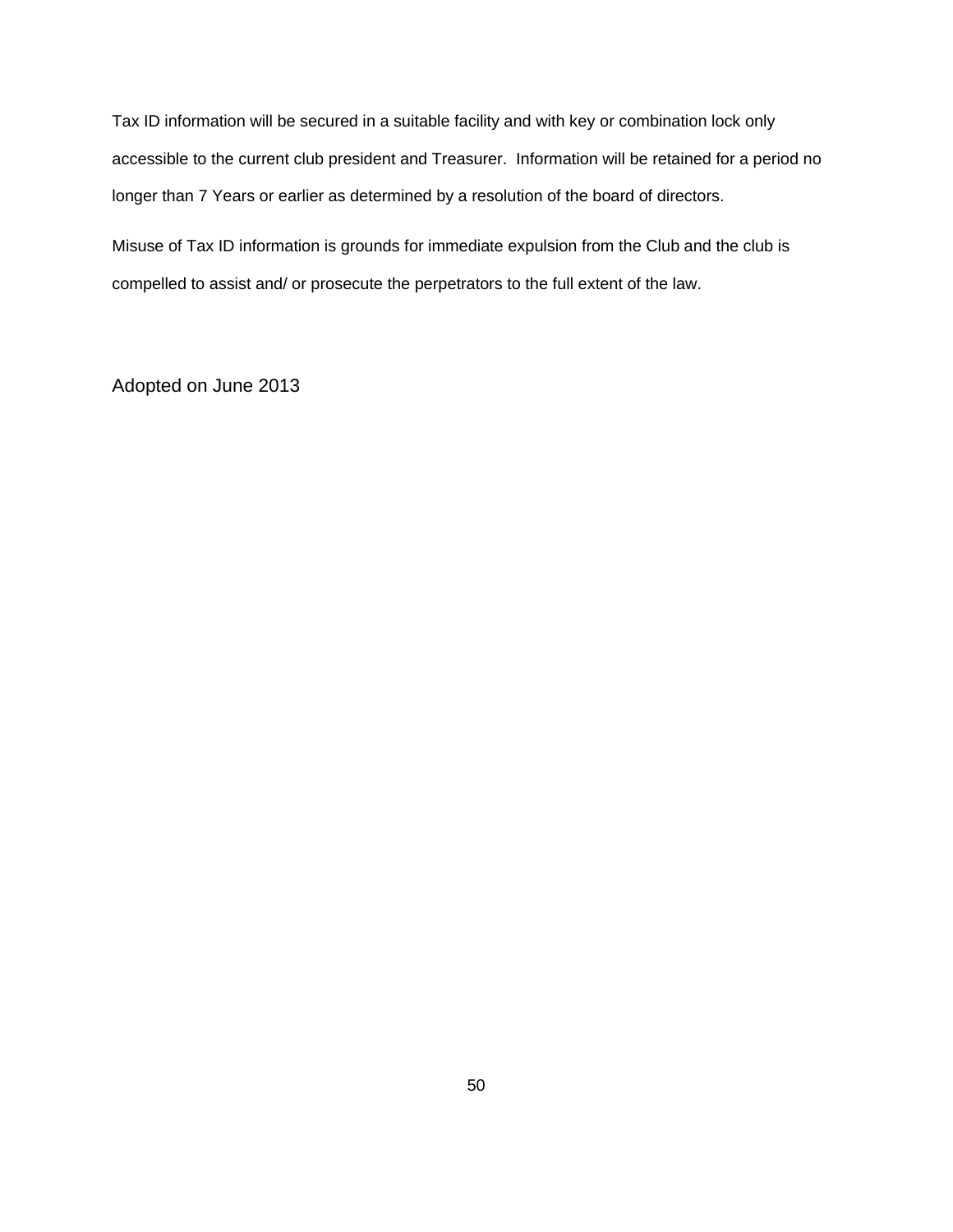Tax ID information will be secured in a suitable facility and with key or combination lock only accessible to the current club president and Treasurer. Information will be retained for a period no longer than 7 Years or earlier as determined by a resolution of the board of directors.

Misuse of Tax ID information is grounds for immediate expulsion from the Club and the club is compelled to assist and/ or prosecute the perpetrators to the full extent of the law.

Adopted on June 2013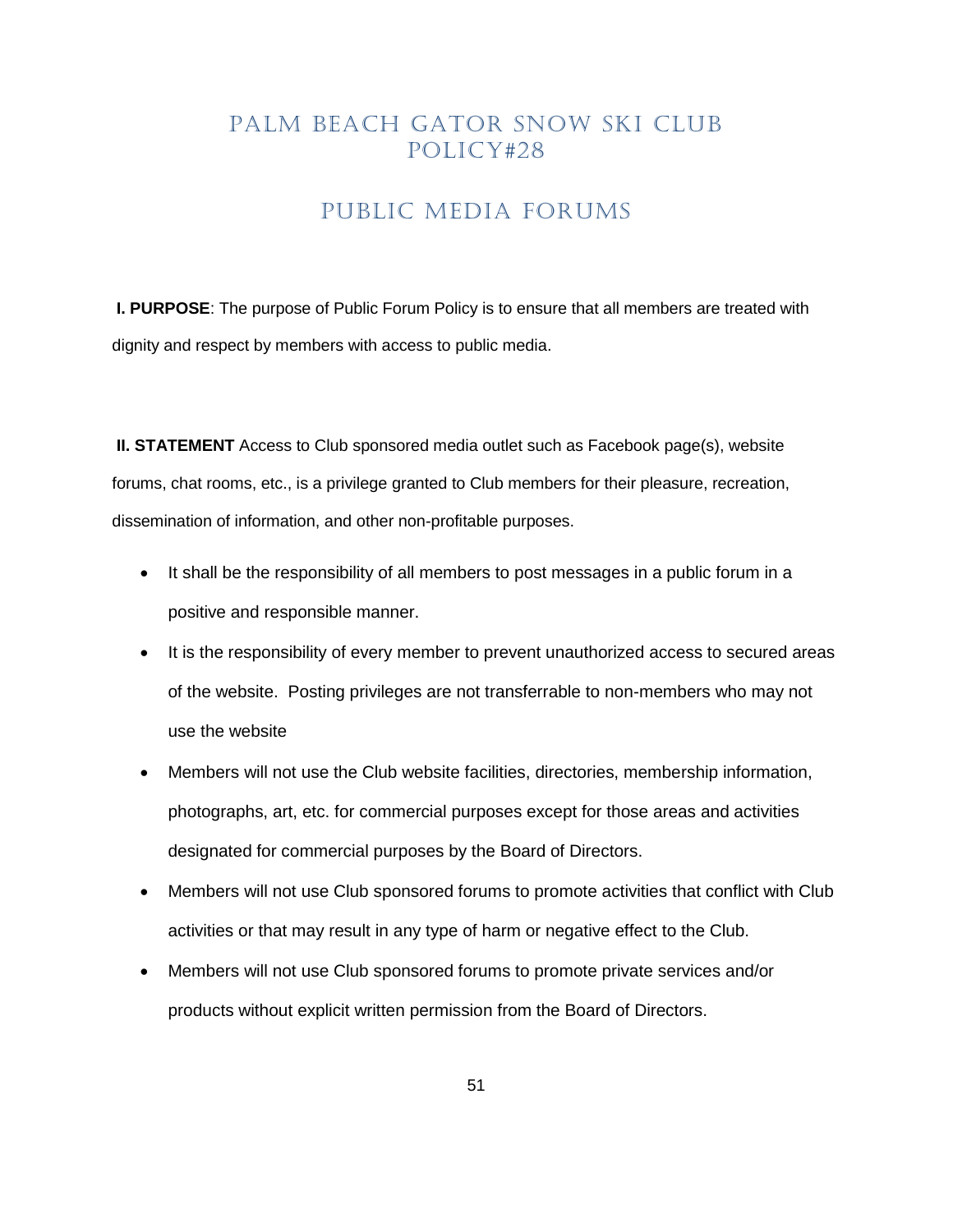## PUBLIC MEDIA FORUMS

<span id="page-50-0"></span>**I. PURPOSE**: The purpose of Public Forum Policy is to ensure that all members are treated with dignity and respect by members with access to public media.

**II. STATEMENT** Access to Club sponsored media outlet such as Facebook page(s), website forums, chat rooms, etc., is a privilege granted to Club members for their pleasure, recreation, dissemination of information, and other non-profitable purposes.

- It shall be the responsibility of all members to post messages in a public forum in a positive and responsible manner.
- It is the responsibility of every member to prevent unauthorized access to secured areas of the website. Posting privileges are not transferrable to non-members who may not use the website
- Members will not use the Club website facilities, directories, membership information, photographs, art, etc. for commercial purposes except for those areas and activities designated for commercial purposes by the Board of Directors.
- Members will not use Club sponsored forums to promote activities that conflict with Club activities or that may result in any type of harm or negative effect to the Club.
- Members will not use Club sponsored forums to promote private services and/or products without explicit written permission from the Board of Directors.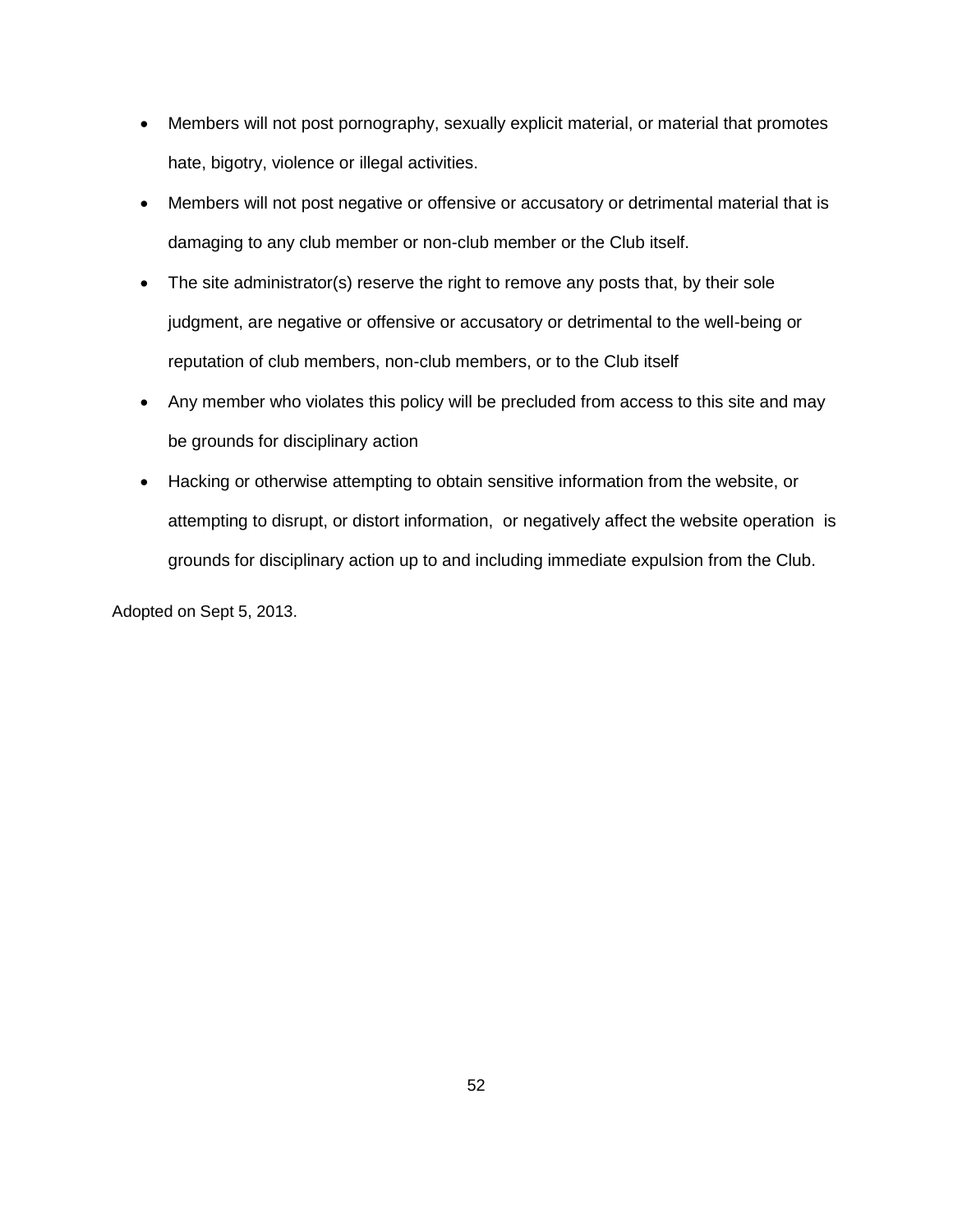- Members will not post pornography, sexually explicit material, or material that promotes hate, bigotry, violence or illegal activities.
- Members will not post negative or offensive or accusatory or detrimental material that is damaging to any club member or non-club member or the Club itself.
- The site administrator(s) reserve the right to remove any posts that, by their sole judgment, are negative or offensive or accusatory or detrimental to the well-being or reputation of club members, non-club members, or to the Club itself
- Any member who violates this policy will be precluded from access to this site and may be grounds for disciplinary action
- Hacking or otherwise attempting to obtain sensitive information from the website, or attempting to disrupt, or distort information, or negatively affect the website operation is grounds for disciplinary action up to and including immediate expulsion from the Club.

Adopted on Sept 5, 2013.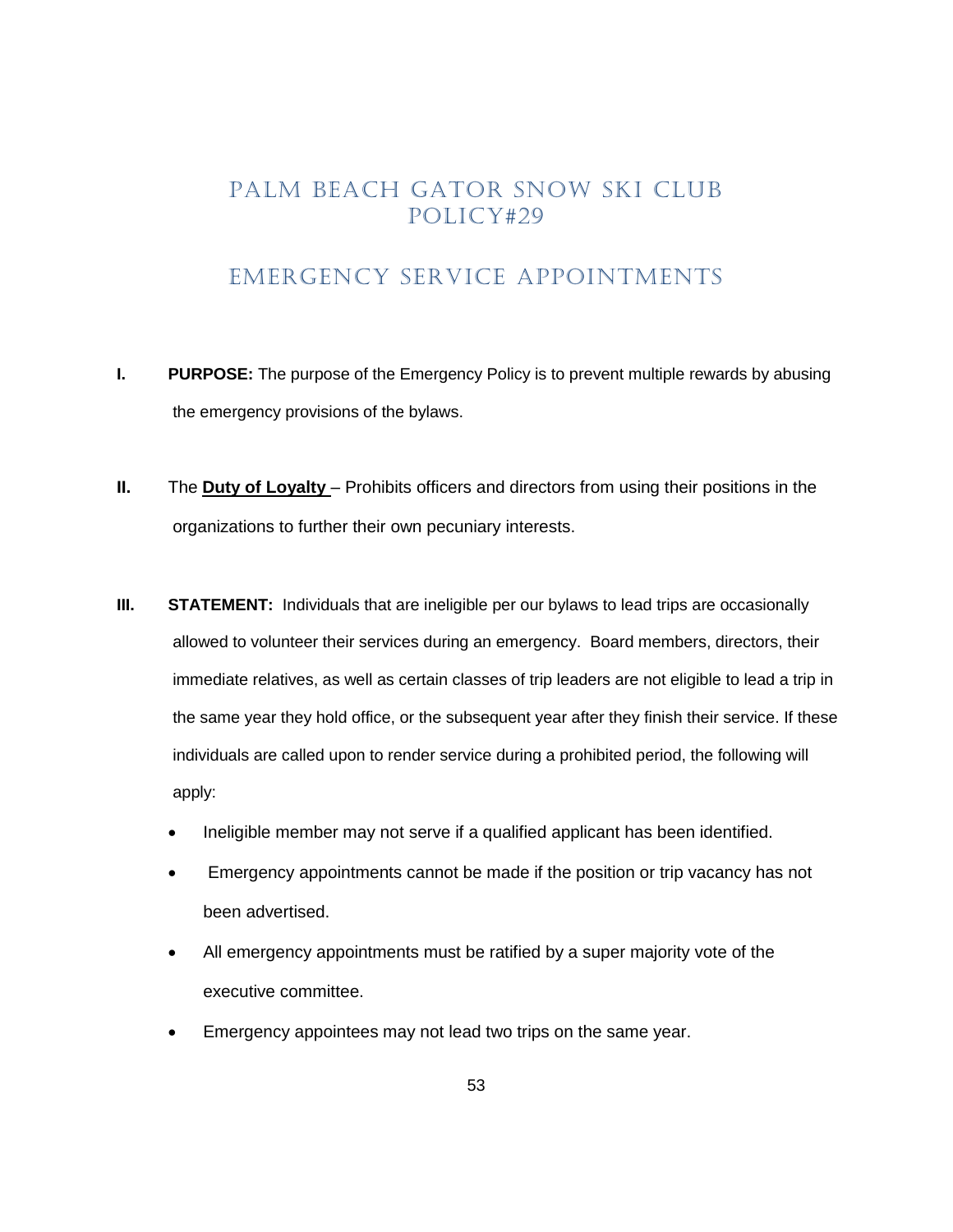### EMERGENCY SERVICE APPOINTMENTS

- <span id="page-52-0"></span>**I. PURPOSE:** The purpose of the Emergency Policy is to prevent multiple rewards by abusing the emergency provisions of the bylaws.
- **II.** The **Duty of Loyalty** Prohibits officers and directors from using their positions in the organizations to further their own pecuniary interests.
- **III. STATEMENT:** Individuals that are ineligible per our bylaws to lead trips are occasionally allowed to volunteer their services during an emergency. Board members, directors, their immediate relatives, as well as certain classes of trip leaders are not eligible to lead a trip in the same year they hold office, or the subsequent year after they finish their service. If these individuals are called upon to render service during a prohibited period, the following will apply:
	- Ineligible member may not serve if a qualified applicant has been identified.
	- Emergency appointments cannot be made if the position or trip vacancy has not been advertised.
	- All emergency appointments must be ratified by a super majority vote of the executive committee.
	- Emergency appointees may not lead two trips on the same year.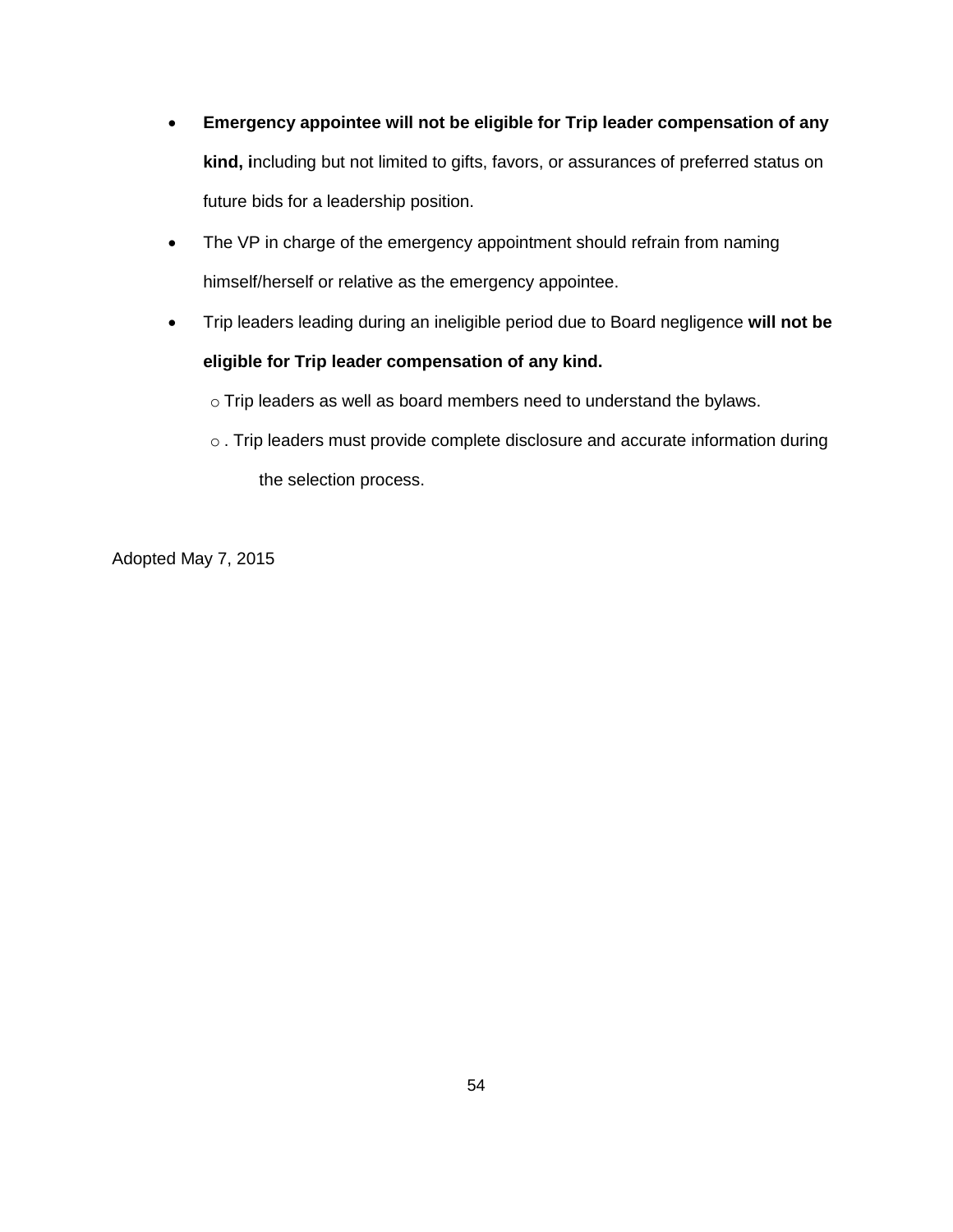- **Emergency appointee will not be eligible for Trip leader compensation of any kind, i**ncluding but not limited to gifts, favors, or assurances of preferred status on future bids for a leadership position.
- The VP in charge of the emergency appointment should refrain from naming himself/herself or relative as the emergency appointee.
- Trip leaders leading during an ineligible period due to Board negligence **will not be eligible for Trip leader compensation of any kind.**

o Trip leaders as well as board members need to understand the bylaws.

o . Trip leaders must provide complete disclosure and accurate information during the selection process.

Adopted May 7, 2015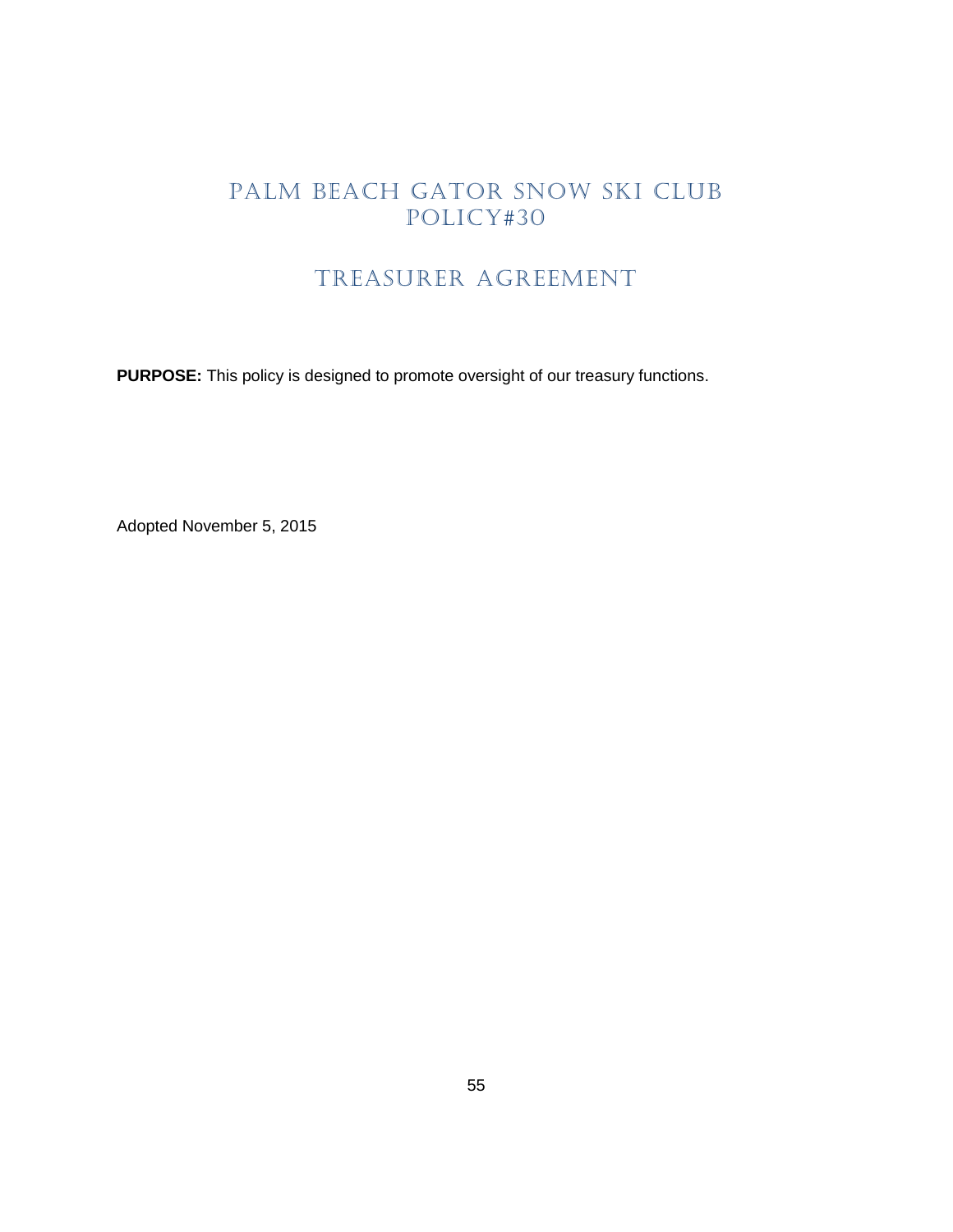# TREASURER AGREEMENT

<span id="page-54-0"></span>**PURPOSE:** This policy is designed to promote oversight of our treasury functions.

Adopted November 5, 2015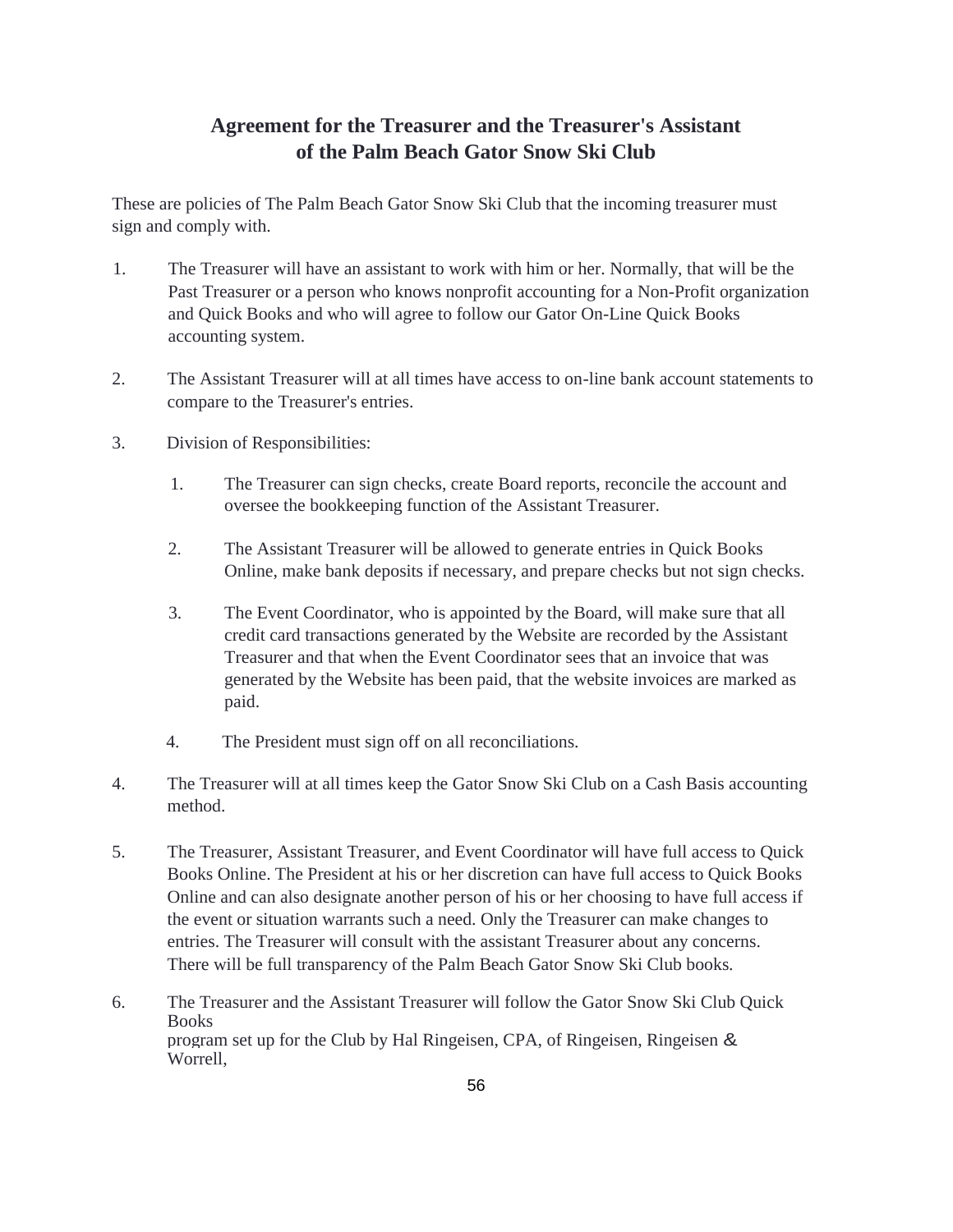#### **Agreement for the Treasurer and the Treasurer's Assistant of the Palm Beach Gator Snow Ski Club**

These are policies of The Palm Beach Gator Snow Ski Club that the incoming treasurer must sign and comply with.

- 1. The Treasurer will have an assistant to work with him or her. Normally, that will be the Past Treasurer or a person who knows nonprofit accounting for a Non-Profit organization and Quick Books and who will agree to follow our Gator On-Line Quick Books accounting system.
- 2. The Assistant Treasurer will at all times have access to on-line bank account statements to compare to the Treasurer's entries.
- 3. Division of Responsibilities:
	- 1. The Treasurer can sign checks, create Board reports, reconcile the account and oversee the bookkeeping function of the Assistant Treasurer.
	- 2. The Assistant Treasurer will be allowed to generate entries in Quick Books Online, make bank deposits if necessary, and prepare checks but not sign checks.
	- 3. The Event Coordinator, who is appointed by the Board, will make sure that all credit card transactions generated by the Website are recorded by the Assistant Treasurer and that when the Event Coordinator sees that an invoice that was generated by the Website has been paid, that the website invoices are marked as paid.
	- 4. The President must sign off on all reconciliations.
- 4. The Treasurer will at all times keep the Gator Snow Ski Club on a Cash Basis accounting method.
- 5. The Treasurer, Assistant Treasurer, and Event Coordinator will have full access to Quick Books Online. The President at his or her discretion can have full access to Quick Books Online and can also designate another person of his or her choosing to have full access if the event or situation warrants such a need. Only the Treasurer can make changes to entries. The Treasurer will consult with the assistant Treasurer about any concerns. There will be full transparency of the Palm Beach Gator Snow Ski Club books.
- 6. The Treasurer and the Assistant Treasurer will follow the Gator Snow Ski Club Quick **Books** program set up for the Club by Hal Ringeisen, CPA, of Ringeisen, Ringeisen & Worrell,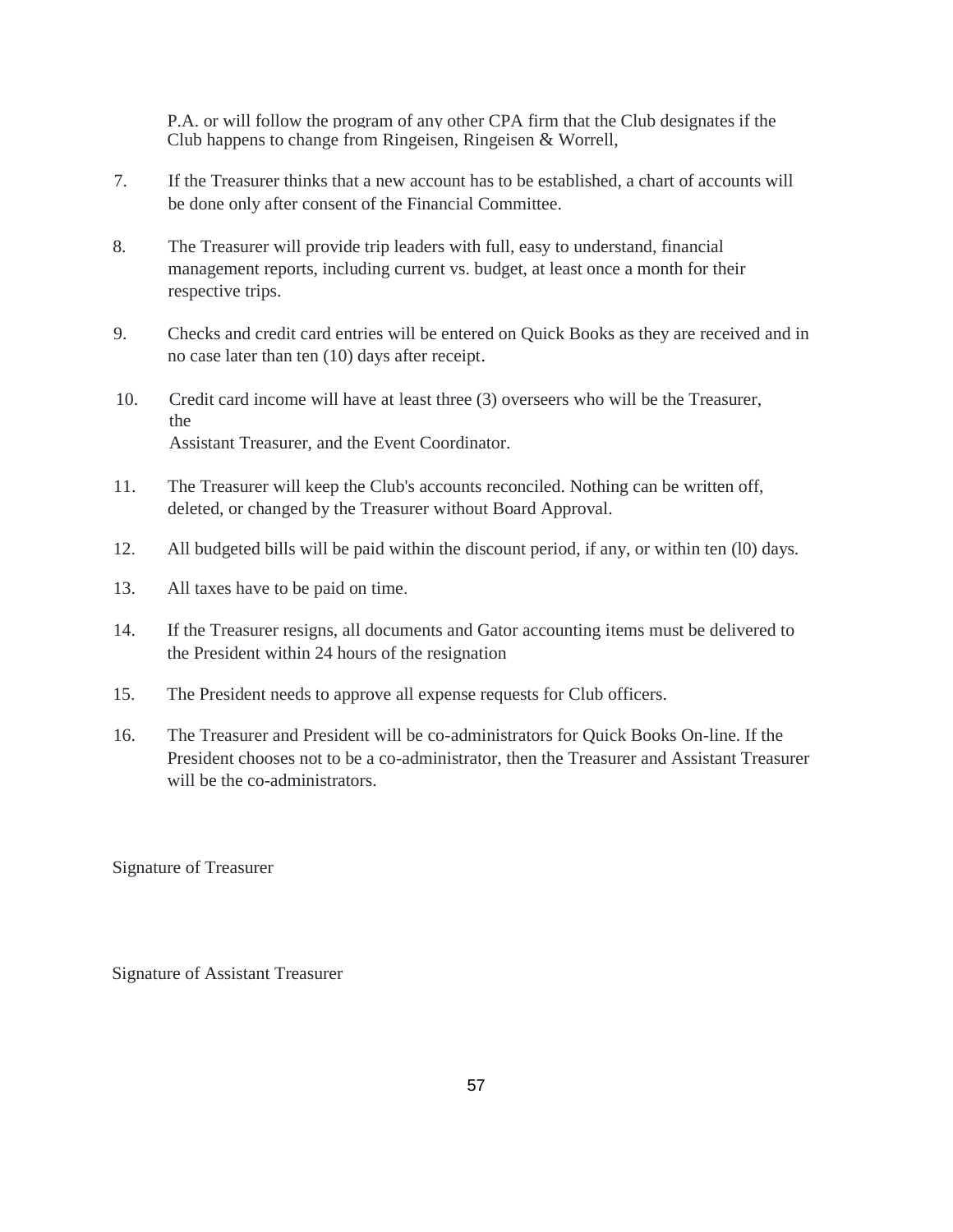P.A. or will follow the program of any other CPA firm that the Club designates if the Club happens to change from Ringeisen, Ringeisen & Worrell,

- 7. If the Treasurer thinks that a new account has to be established, a chart of accounts will be done only after consent of the Financial Committee.
- 8. The Treasurer will provide trip leaders with full, easy to understand, financial management reports, including current vs. budget, at least once a month for their respective trips.
- 9. Checks and credit card entries will be entered on Quick Books as they are received and in no case later than ten (10) days after receipt.
- 10. Credit card income will have at least three (3) overseers who will be the Treasurer, the Assistant Treasurer, and the Event Coordinator.
- 11. The Treasurer will keep the Club's accounts reconciled. Nothing can be written off, deleted, or changed by the Treasurer without Board Approval.
- 12. All budgeted bills will be paid within the discount period, if any, or within ten (l0) days.
- 13. All taxes have to be paid on time.
- 14. If the Treasurer resigns, all documents and Gator accounting items must be delivered to the President within 24 hours of the resignation
- 15. The President needs to approve all expense requests for Club officers.
- 16. The Treasurer and President will be co-administrators for Quick Books On-line. If the President chooses not to be a co-administrator, then the Treasurer and Assistant Treasurer will be the co-administrators.

Signature of Treasurer

Signature of Assistant Treasurer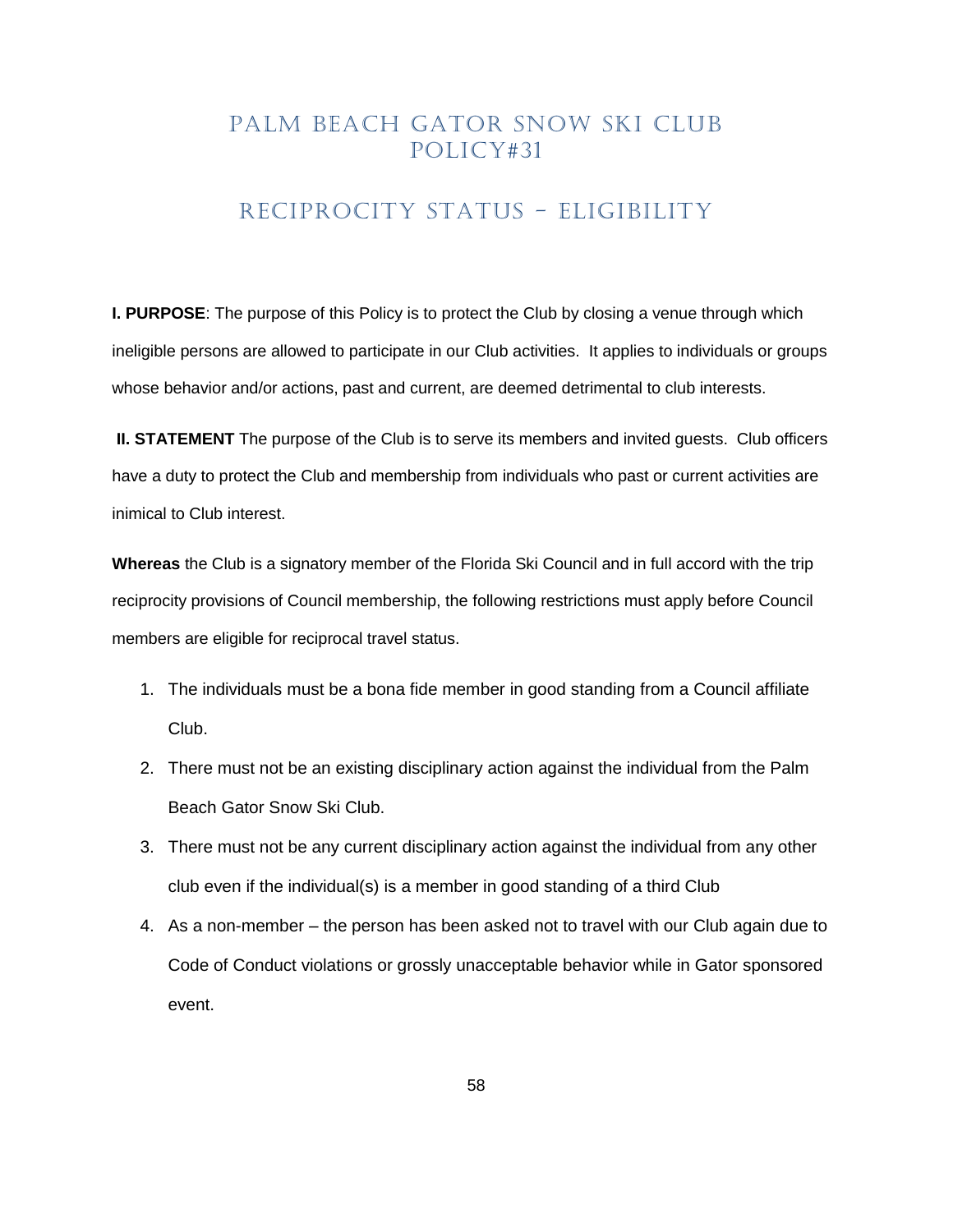#### RECIPROCITY STATUS - ELIGIBILITY

<span id="page-57-0"></span>**I. PURPOSE**: The purpose of this Policy is to protect the Club by closing a venue through which ineligible persons are allowed to participate in our Club activities. It applies to individuals or groups whose behavior and/or actions, past and current, are deemed detrimental to club interests.

**II. STATEMENT** The purpose of the Club is to serve its members and invited guests. Club officers have a duty to protect the Club and membership from individuals who past or current activities are inimical to Club interest.

**Whereas** the Club is a signatory member of the Florida Ski Council and in full accord with the trip reciprocity provisions of Council membership, the following restrictions must apply before Council members are eligible for reciprocal travel status.

- 1. The individuals must be a bona fide member in good standing from a Council affiliate Club.
- 2. There must not be an existing disciplinary action against the individual from the Palm Beach Gator Snow Ski Club.
- 3. There must not be any current disciplinary action against the individual from any other club even if the individual(s) is a member in good standing of a third Club
- 4. As a non-member the person has been asked not to travel with our Club again due to Code of Conduct violations or grossly unacceptable behavior while in Gator sponsored event.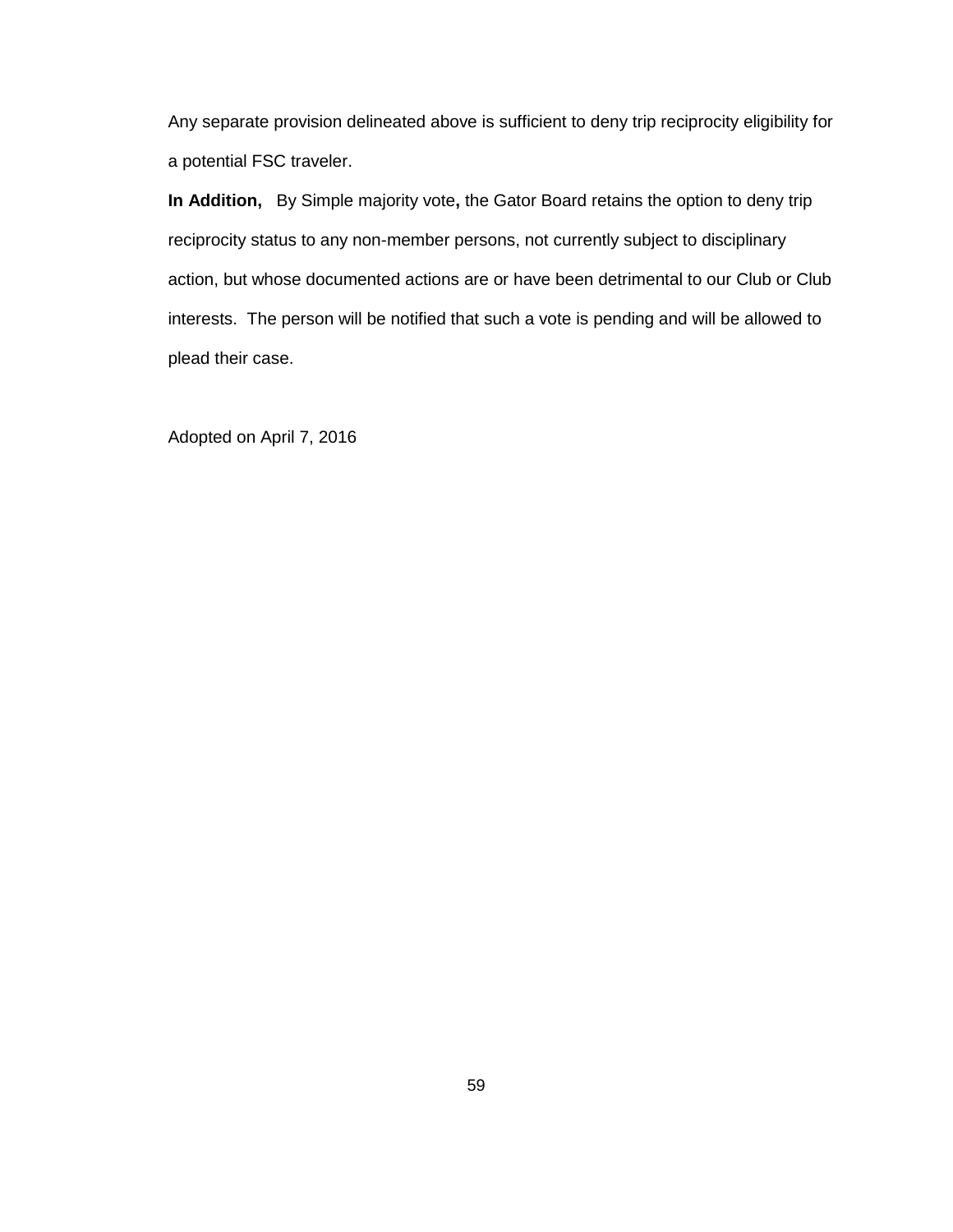Any separate provision delineated above is sufficient to deny trip reciprocity eligibility for a potential FSC traveler.

**In Addition,** By Simple majority vote**,** the Gator Board retains the option to deny trip reciprocity status to any non-member persons, not currently subject to disciplinary action, but whose documented actions are or have been detrimental to our Club or Club interests. The person will be notified that such a vote is pending and will be allowed to plead their case.

Adopted on April 7, 2016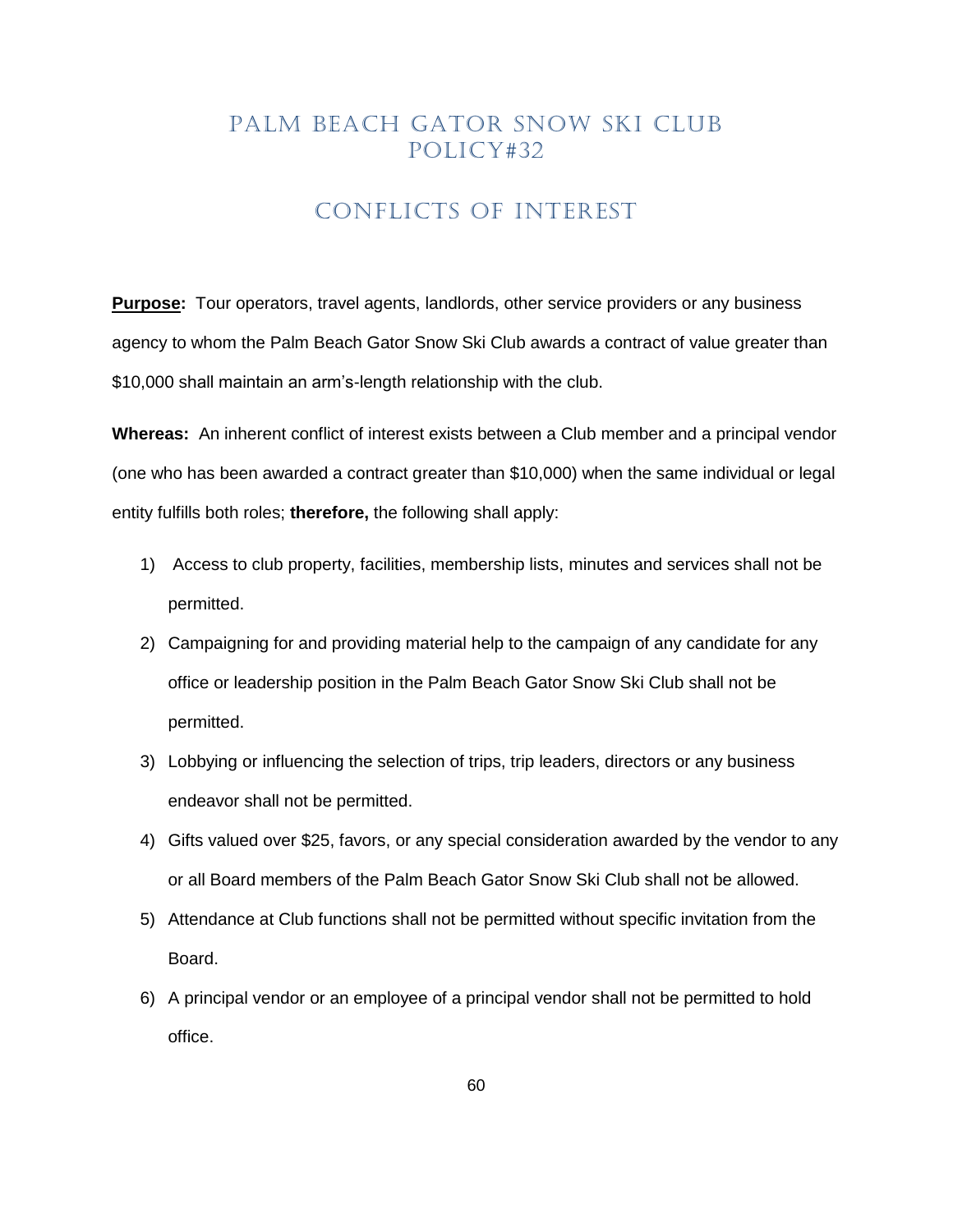### CONFLICTS OF INTEREST

<span id="page-59-0"></span>**Purpose:** Tour operators, travel agents, landlords, other service providers or any business agency to whom the Palm Beach Gator Snow Ski Club awards a contract of value greater than \$10,000 shall maintain an arm's-length relationship with the club.

**Whereas:** An inherent conflict of interest exists between a Club member and a principal vendor (one who has been awarded a contract greater than \$10,000) when the same individual or legal entity fulfills both roles; **therefore,** the following shall apply:

- 1) Access to club property, facilities, membership lists, minutes and services shall not be permitted.
- 2) Campaigning for and providing material help to the campaign of any candidate for any office or leadership position in the Palm Beach Gator Snow Ski Club shall not be permitted.
- 3) Lobbying or influencing the selection of trips, trip leaders, directors or any business endeavor shall not be permitted.
- 4) Gifts valued over \$25, favors, or any special consideration awarded by the vendor to any or all Board members of the Palm Beach Gator Snow Ski Club shall not be allowed.
- 5) Attendance at Club functions shall not be permitted without specific invitation from the Board.
- 6) A principal vendor or an employee of a principal vendor shall not be permitted to hold office.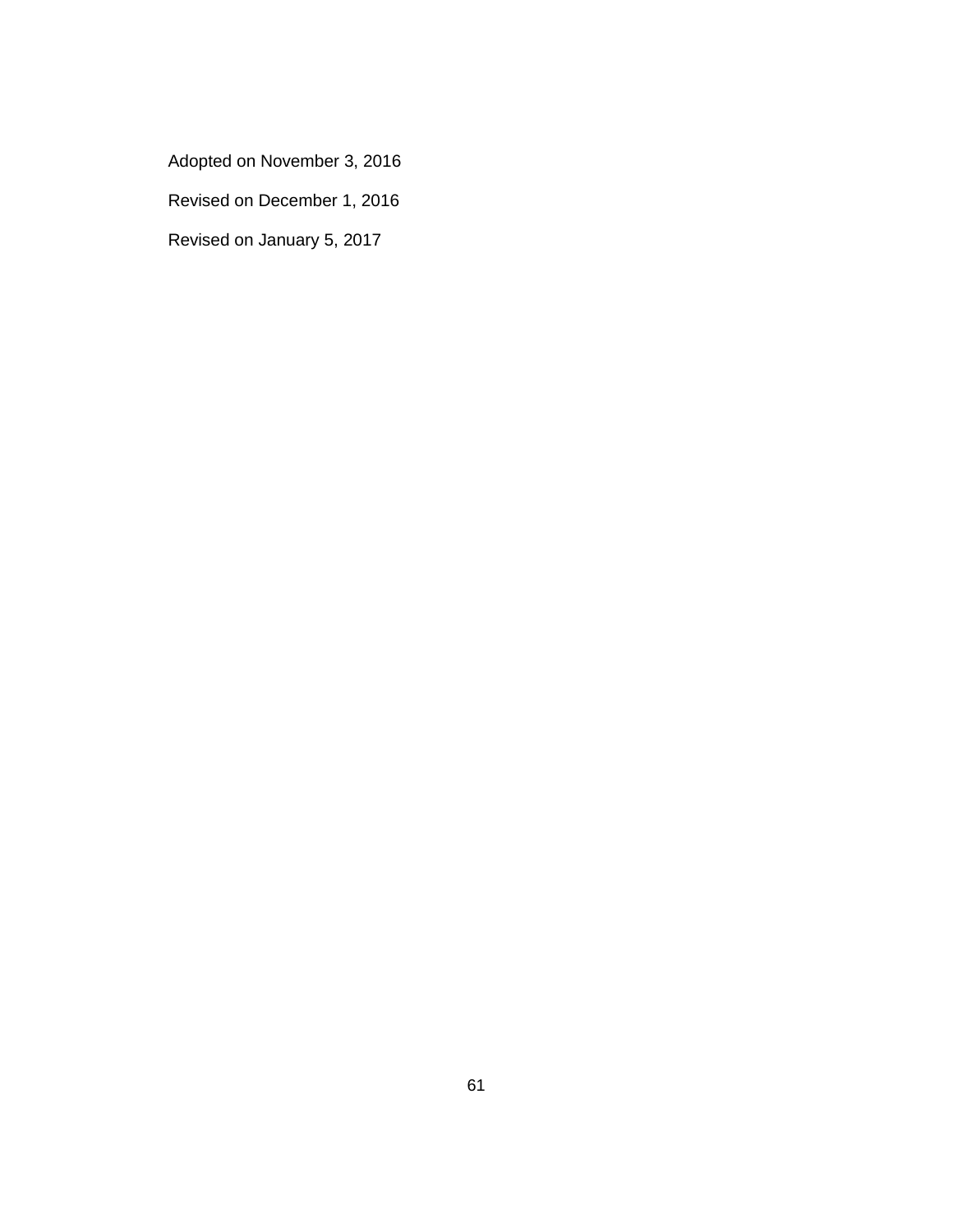- Adopted on November 3, 2016
- Revised on December 1, 2016
- Revised on January 5, 2017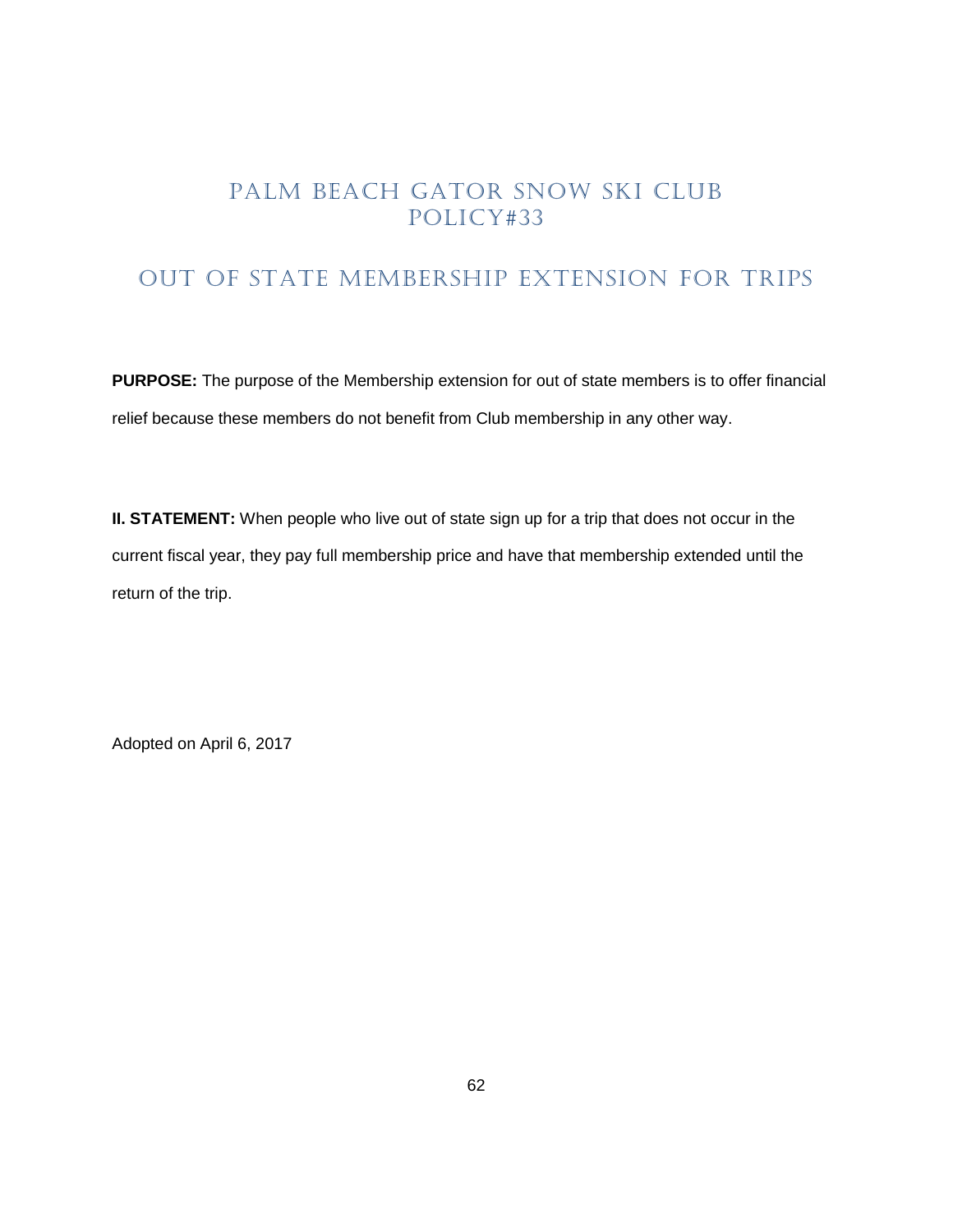# <span id="page-61-0"></span>OUT OF STATE MEMBERSHIP EXTENSION FOR TRIPS

**PURPOSE:** The purpose of the Membership extension for out of state members is to offer financial relief because these members do not benefit from Club membership in any other way.

**II. STATEMENT:** When people who live out of state sign up for a trip that does not occur in the current fiscal year, they pay full membership price and have that membership extended until the return of the trip.

Adopted on April 6, 2017